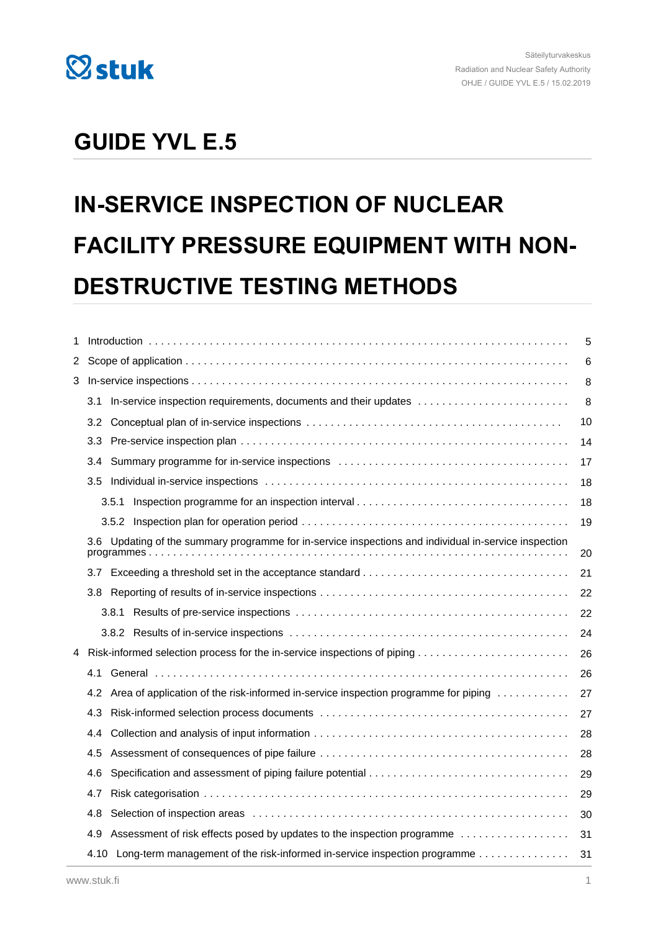

# **GUIDE YVL E.5**

# **IN-SERVICE INSPECTION OF NUCLEAR FACILITY PRESSURE EQUIPMENT WITH NON-DESTRUCTIVE TESTING METHODS**

| 1 |     | 5                                                                                                     |    |  |  |
|---|-----|-------------------------------------------------------------------------------------------------------|----|--|--|
| 2 |     | 6                                                                                                     |    |  |  |
| 3 |     | 8                                                                                                     |    |  |  |
|   |     | 3.1 In-service inspection requirements, documents and their updates                                   | 8  |  |  |
|   | 3.2 |                                                                                                       | 10 |  |  |
|   | 3.3 |                                                                                                       | 14 |  |  |
|   | 3.4 |                                                                                                       | 17 |  |  |
|   |     |                                                                                                       |    |  |  |
|   |     | 3.5.1                                                                                                 | 18 |  |  |
|   |     |                                                                                                       | 19 |  |  |
|   |     | 3.6 Updating of the summary programme for in-service inspections and individual in-service inspection | 20 |  |  |
|   |     |                                                                                                       |    |  |  |
|   |     |                                                                                                       | 22 |  |  |
|   |     |                                                                                                       | 22 |  |  |
|   |     |                                                                                                       | 24 |  |  |
| 4 |     |                                                                                                       | 26 |  |  |
|   | 4.1 |                                                                                                       | 26 |  |  |
|   | 4.2 | Area of application of the risk-informed in-service inspection programme for piping                   | 27 |  |  |
|   | 4.3 |                                                                                                       | 27 |  |  |
|   | 4.4 |                                                                                                       | 28 |  |  |
|   | 4.5 |                                                                                                       | 28 |  |  |
|   | 4.6 |                                                                                                       |    |  |  |
|   | 4.7 |                                                                                                       | 29 |  |  |
|   | 4.8 |                                                                                                       | 30 |  |  |
|   | 4.9 | Assessment of risk effects posed by updates to the inspection programme                               |    |  |  |
|   |     | 4.10 Long-term management of the risk-informed in-service inspection programme                        | 31 |  |  |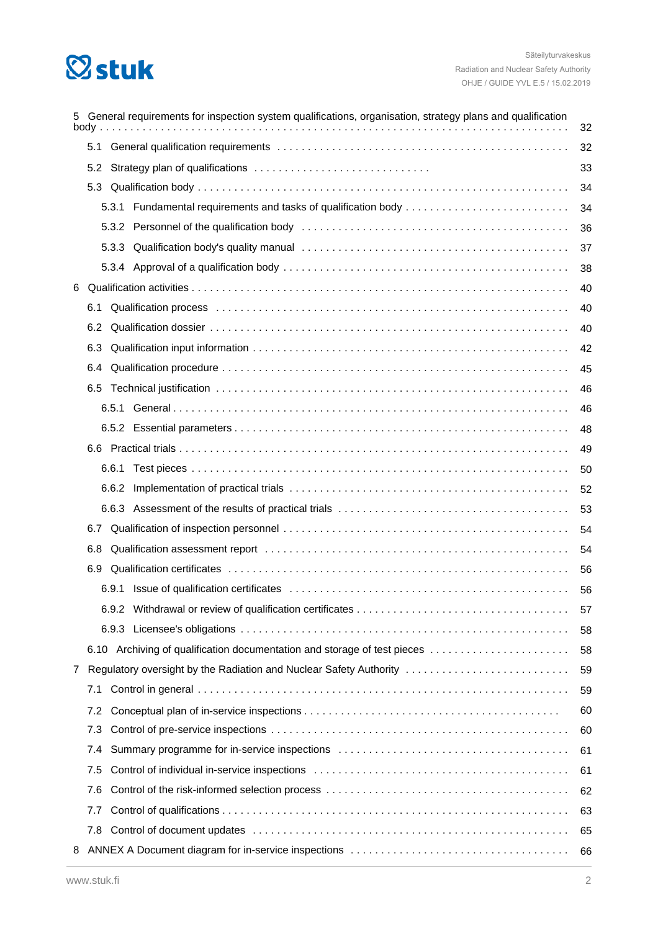# **Østuk**

| 5 | General requirements for inspection system qualifications, organisation, strategy plans and qualification<br>body.<br>32 |       |                                                                                                                                                                                                                                |    |  |
|---|--------------------------------------------------------------------------------------------------------------------------|-------|--------------------------------------------------------------------------------------------------------------------------------------------------------------------------------------------------------------------------------|----|--|
|   |                                                                                                                          |       |                                                                                                                                                                                                                                |    |  |
|   |                                                                                                                          |       |                                                                                                                                                                                                                                |    |  |
|   |                                                                                                                          |       |                                                                                                                                                                                                                                | 34 |  |
|   |                                                                                                                          |       | 5.3.1 Fundamental requirements and tasks of qualification body                                                                                                                                                                 | 34 |  |
|   |                                                                                                                          |       |                                                                                                                                                                                                                                | 36 |  |
|   |                                                                                                                          |       | 37                                                                                                                                                                                                                             |    |  |
|   |                                                                                                                          |       |                                                                                                                                                                                                                                | 38 |  |
| 6 |                                                                                                                          |       |                                                                                                                                                                                                                                | 40 |  |
|   | 6.1                                                                                                                      |       |                                                                                                                                                                                                                                | 40 |  |
|   | 6.2                                                                                                                      |       |                                                                                                                                                                                                                                | 40 |  |
|   | 6.3                                                                                                                      |       |                                                                                                                                                                                                                                | 42 |  |
|   | 6.4                                                                                                                      |       |                                                                                                                                                                                                                                | 45 |  |
|   |                                                                                                                          |       |                                                                                                                                                                                                                                | 46 |  |
|   |                                                                                                                          |       |                                                                                                                                                                                                                                | 46 |  |
|   |                                                                                                                          |       |                                                                                                                                                                                                                                | 48 |  |
|   |                                                                                                                          |       |                                                                                                                                                                                                                                | 49 |  |
|   |                                                                                                                          | 6.6.1 |                                                                                                                                                                                                                                | 50 |  |
|   |                                                                                                                          | 6.6.2 |                                                                                                                                                                                                                                | 52 |  |
|   |                                                                                                                          |       |                                                                                                                                                                                                                                | 53 |  |
|   | 6.7                                                                                                                      |       |                                                                                                                                                                                                                                | 54 |  |
|   | 6.8                                                                                                                      |       | Qualification assessment report (and the contract of the contract of the contract of the contract of the control of the contract of the contract of the contract of the contract of the contract of the contract of the contra | 54 |  |
|   | 6.9                                                                                                                      |       |                                                                                                                                                                                                                                | 56 |  |
|   |                                                                                                                          |       |                                                                                                                                                                                                                                | 56 |  |
|   |                                                                                                                          |       |                                                                                                                                                                                                                                | 57 |  |
|   |                                                                                                                          |       |                                                                                                                                                                                                                                | 58 |  |
|   |                                                                                                                          |       | 6.10 Archiving of qualification documentation and storage of test pieces                                                                                                                                                       | 58 |  |
| 7 |                                                                                                                          |       | Regulatory oversight by the Radiation and Nuclear Safety Authority                                                                                                                                                             | 59 |  |
|   | 7.1                                                                                                                      |       |                                                                                                                                                                                                                                | 59 |  |
|   | 7.2                                                                                                                      |       |                                                                                                                                                                                                                                | 60 |  |
|   | 7.3                                                                                                                      |       |                                                                                                                                                                                                                                | 60 |  |
|   | 7.4                                                                                                                      |       |                                                                                                                                                                                                                                | 61 |  |
|   | 7.5                                                                                                                      |       |                                                                                                                                                                                                                                | 61 |  |
|   | 7.6                                                                                                                      |       |                                                                                                                                                                                                                                |    |  |
|   | 7.7                                                                                                                      |       |                                                                                                                                                                                                                                | 63 |  |
|   | 7.8                                                                                                                      |       | Control of document updates et al., and the control of document updates etc.                                                                                                                                                   | 65 |  |
| 8 |                                                                                                                          |       |                                                                                                                                                                                                                                | 66 |  |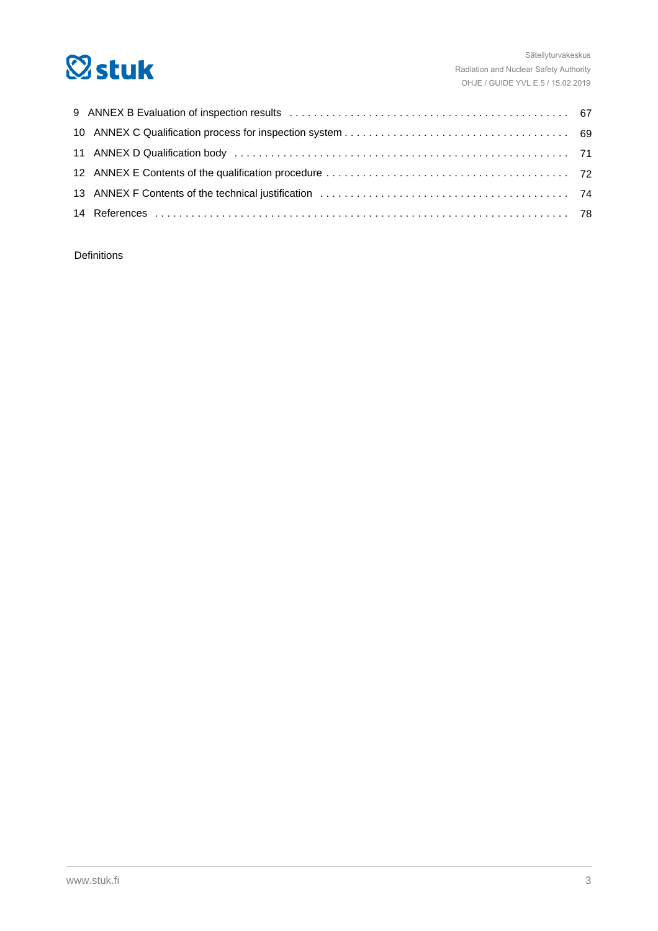

Definitions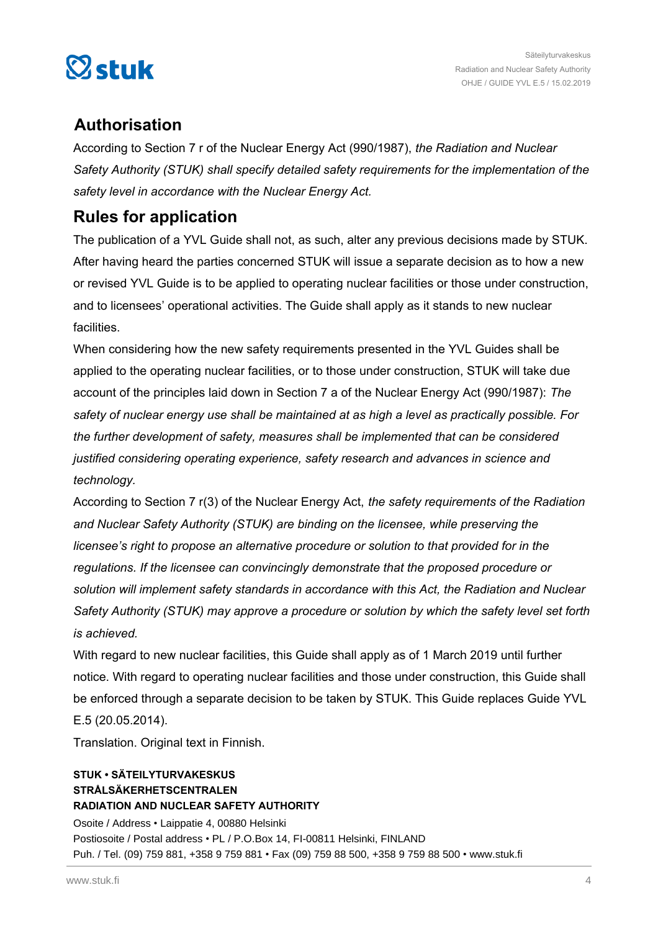

# **Authorisation**

According to Section 7 r of the Nuclear Energy Act (990/1987), *the Radiation and Nuclear Safety Authority (STUK) shall specify detailed safety requirements for the implementation of the safety level in accordance with the Nuclear Energy Act.*

# **Rules for application**

The publication of a YVL Guide shall not, as such, alter any previous decisions made by STUK. After having heard the parties concerned STUK will issue a separate decision as to how a new or revised YVL Guide is to be applied to operating nuclear facilities or those under construction, and to licensees' operational activities. The Guide shall apply as it stands to new nuclear facilities.

When considering how the new safety requirements presented in the YVL Guides shall be applied to the operating nuclear facilities, or to those under construction, STUK will take due account of the principles laid down in Section 7 a of the Nuclear Energy Act (990/1987): *The safety of nuclear energy use shall be maintained at as high a level as practically possible. For the further development of safety, measures shall be implemented that can be considered justified considering operating experience, safety research and advances in science and technology.*

According to Section 7 r(3) of the Nuclear Energy Act, *the safety requirements of the Radiation and Nuclear Safety Authority (STUK) are binding on the licensee, while preserving the licensee's right to propose an alternative procedure or solution to that provided for in the regulations. If the licensee can convincingly demonstrate that the proposed procedure or solution will implement safety standards in accordance with this Act, the Radiation and Nuclear Safety Authority (STUK) may approve a procedure or solution by which the safety level set forth is achieved.*

With regard to new nuclear facilities, this Guide shall apply as of 1 March 2019 until further notice. With regard to operating nuclear facilities and those under construction, this Guide shall be enforced through a separate decision to be taken by STUK. This Guide replaces Guide YVL E.5 (20.05.2014).

Translation. Original text in Finnish.

#### **STUK • SÄTEILYTURVAKESKUS STRÅLSÄKERHETSCENTRALEN RADIATION AND NUCLEAR SAFETY AUTHORITY**

Osoite / Address • Laippatie 4, 00880 Helsinki Postiosoite / Postal address • PL / P.O.Box 14, FI-00811 Helsinki, FINLAND Puh. / Tel. (09) 759 881, +358 9 759 881 • Fax (09) 759 88 500, +358 9 759 88 500 • www.stuk.fi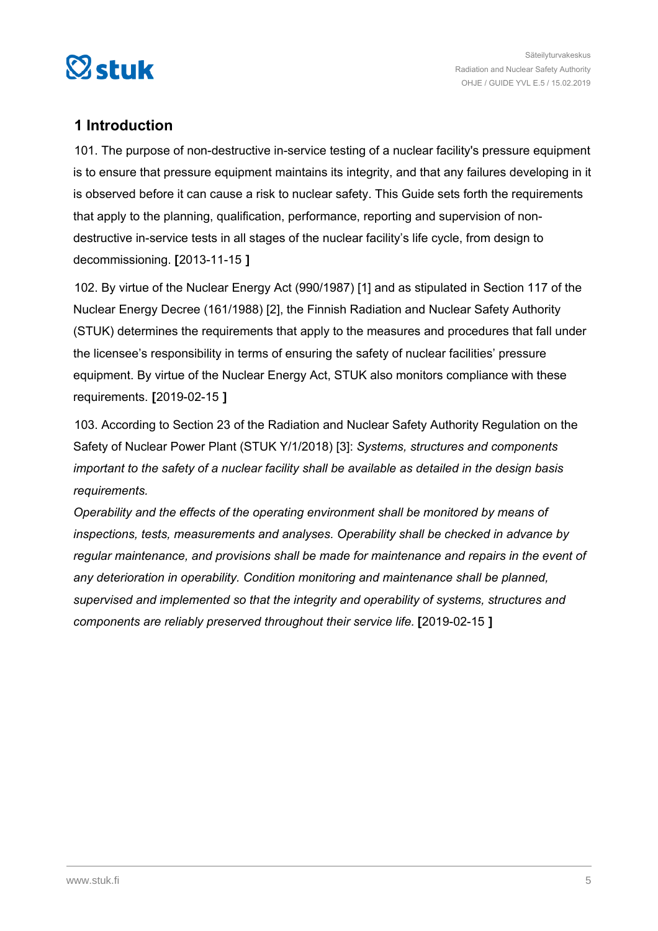<span id="page-4-0"></span>

# **1 Introduction**

101. The purpose of non-destructive in-service testing of a nuclear facility's pressure equipment is to ensure that pressure equipment maintains its integrity, and that any failures developing in it is observed before it can cause a risk to nuclear safety. This Guide sets forth the requirements that apply to the planning, qualification, performance, reporting and supervision of nondestructive in-service tests in all stages of the nuclear facility's life cycle, from design to decommissioning. **[**2013-11-15 **]**

102. By virtue of the Nuclear Energy Act (990/1987) [1] and as stipulated in Section 117 of the Nuclear Energy Decree (161/1988) [2], the Finnish Radiation and Nuclear Safety Authority (STUK) determines the requirements that apply to the measures and procedures that fall under the licensee's responsibility in terms of ensuring the safety of nuclear facilities' pressure equipment. By virtue of the Nuclear Energy Act, STUK also monitors compliance with these requirements. **[**2019-02-15 **]**

103. According to Section 23 of the Radiation and Nuclear Safety Authority Regulation on the Safety of Nuclear Power Plant (STUK Y/1/2018) [3]: *Systems, structures and components important to the safety of a nuclear facility shall be available as detailed in the design basis requirements.*

*Operability and the effects of the operating environment shall be monitored by means of inspections, tests, measurements and analyses. Operability shall be checked in advance by regular maintenance, and provisions shall be made for maintenance and repairs in the event of any deterioration in operability. Condition monitoring and maintenance shall be planned, supervised and implemented so that the integrity and operability of systems, structures and components are reliably preserved throughout their service life.* **[**2019-02-15 **]**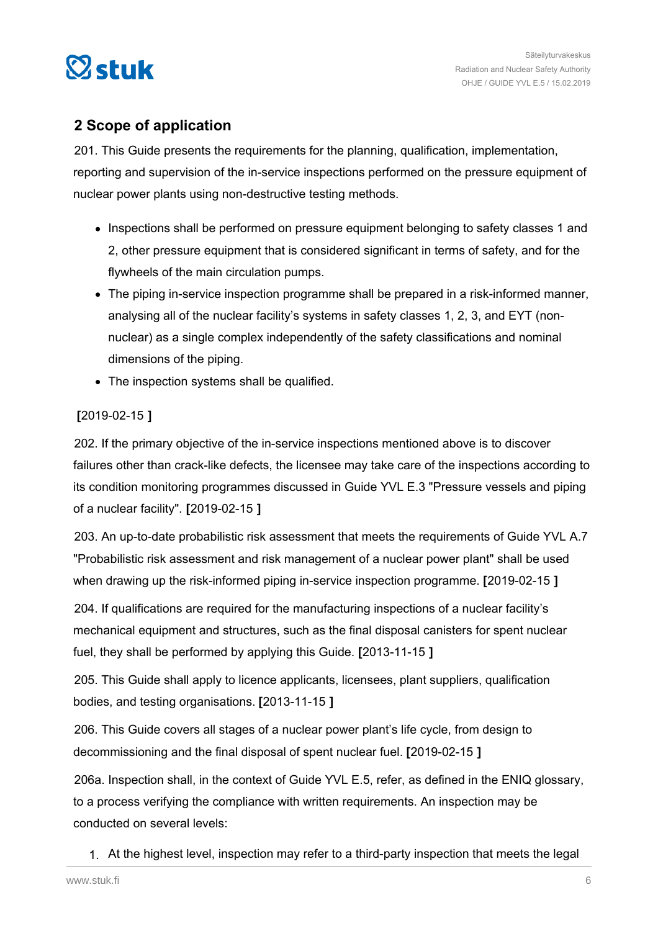<span id="page-5-0"></span>

# **2 Scope of application**

201. This Guide presents the requirements for the planning, qualification, implementation, reporting and supervision of the in-service inspections performed on the pressure equipment of nuclear power plants using non-destructive testing methods.

- Inspections shall be performed on pressure equipment belonging to safety classes 1 and 2, other pressure equipment that is considered significant in terms of safety, and for the flywheels of the main circulation pumps.
- The piping in-service inspection programme shall be prepared in a risk-informed manner, analysing all of the nuclear facility's systems in safety classes 1, 2, 3, and EYT (nonnuclear) as a single complex independently of the safety classifications and nominal dimensions of the piping.
- The inspection systems shall be qualified.

## **[**2019-02-15 **]**

202. If the primary objective of the in-service inspections mentioned above is to discover failures other than crack-like defects, the licensee may take care of the inspections according to its condition monitoring programmes discussed in Guide YVL E.3 "Pressure vessels and piping of a nuclear facility". **[**2019-02-15 **]**

203. An up-to-date probabilistic risk assessment that meets the requirements of Guide YVL A.7 "Probabilistic risk assessment and risk management of a nuclear power plant" shall be used when drawing up the risk-informed piping in-service inspection programme. **[**2019-02-15 **]**

204. If qualifications are required for the manufacturing inspections of a nuclear facility's mechanical equipment and structures, such as the final disposal canisters for spent nuclear fuel, they shall be performed by applying this Guide. **[**2013-11-15 **]**

205. This Guide shall apply to licence applicants, licensees, plant suppliers, qualification bodies, and testing organisations. **[**2013-11-15 **]**

206. This Guide covers all stages of a nuclear power plant's life cycle, from design to decommissioning and the final disposal of spent nuclear fuel. **[**2019-02-15 **]**

206a. Inspection shall, in the context of Guide YVL E.5, refer, as defined in the ENIQ glossary, to a process verifying the compliance with written requirements. An inspection may be conducted on several levels:

1. At the highest level, inspection may refer to a third-party inspection that meets the legal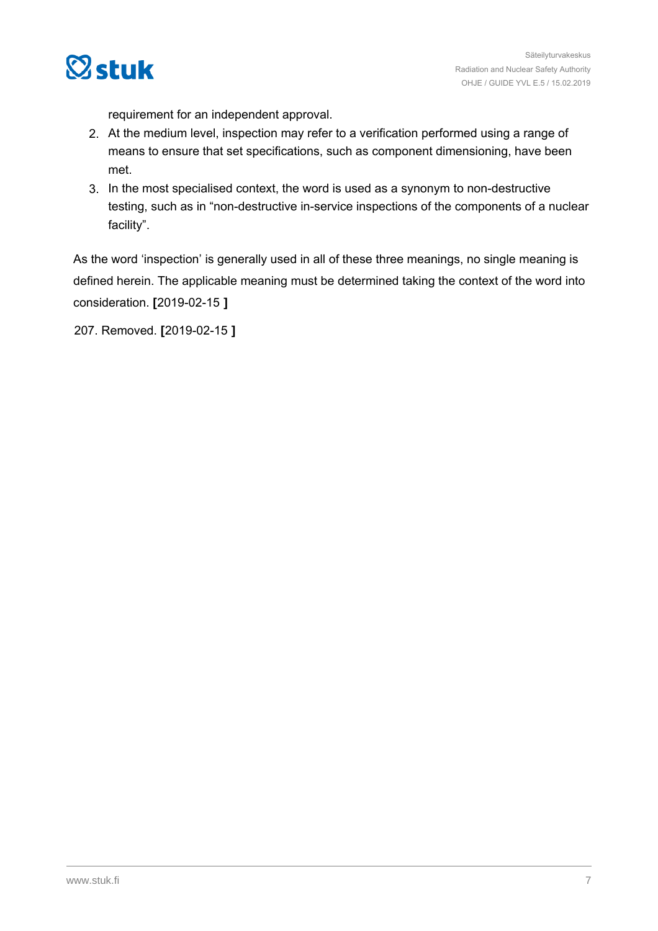

requirement for an independent approval.

- 2. At the medium level, inspection may refer to a verification performed using a range of means to ensure that set specifications, such as component dimensioning, have been met.
- 3. In the most specialised context, the word is used as a synonym to non-destructive testing, such as in "non-destructive in-service inspections of the components of a nuclear facility".

As the word 'inspection' is generally used in all of these three meanings, no single meaning is defined herein. The applicable meaning must be determined taking the context of the word into consideration. **[**2019-02-15 **]**

207. Removed. **[**2019-02-15 **]**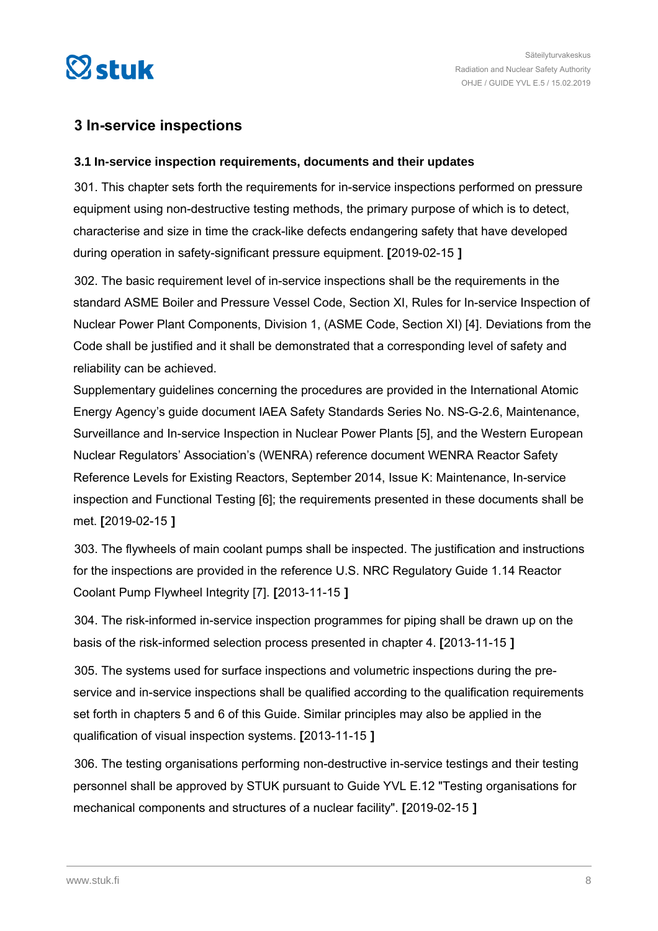<span id="page-7-0"></span>

## **3 In-service inspections**

#### **3.1 In-service inspection requirements, documents and their updates**

301. This chapter sets forth the requirements for in-service inspections performed on pressure equipment using non-destructive testing methods, the primary purpose of which is to detect, characterise and size in time the crack-like defects endangering safety that have developed during operation in safety-significant pressure equipment. **[**2019-02-15 **]**

302. The basic requirement level of in-service inspections shall be the requirements in the standard ASME Boiler and Pressure Vessel Code, Section XI, Rules for In-service Inspection of Nuclear Power Plant Components, Division 1, (ASME Code, Section XI) [4]. Deviations from the Code shall be justified and it shall be demonstrated that a corresponding level of safety and reliability can be achieved.

Supplementary guidelines concerning the procedures are provided in the International Atomic Energy Agency's guide document IAEA Safety Standards Series No. NS-G-2.6, Maintenance, Surveillance and In-service Inspection in Nuclear Power Plants [5], and the Western European Nuclear Regulators' Association's (WENRA) reference document WENRA Reactor Safety Reference Levels for Existing Reactors, September 2014, Issue K: Maintenance, In-service inspection and Functional Testing [6]; the requirements presented in these documents shall be met. **[**2019-02-15 **]**

303. The flywheels of main coolant pumps shall be inspected. The justification and instructions for the inspections are provided in the reference U.S. NRC Regulatory Guide 1.14 Reactor Coolant Pump Flywheel Integrity [7]. **[**2013-11-15 **]**

304. The risk-informed in-service inspection programmes for piping shall be drawn up on the basis of the risk-informed selection process presented in chapter 4. **[**2013-11-15 **]**

305. The systems used for surface inspections and volumetric inspections during the preservice and in-service inspections shall be qualified according to the qualification requirements set forth in chapters 5 and 6 of this Guide. Similar principles may also be applied in the qualification of visual inspection systems. **[**2013-11-15 **]**

306. The testing organisations performing non-destructive in-service testings and their testing personnel shall be approved by STUK pursuant to Guide YVL E.12 "Testing organisations for mechanical components and structures of a nuclear facility". **[**2019-02-15 **]**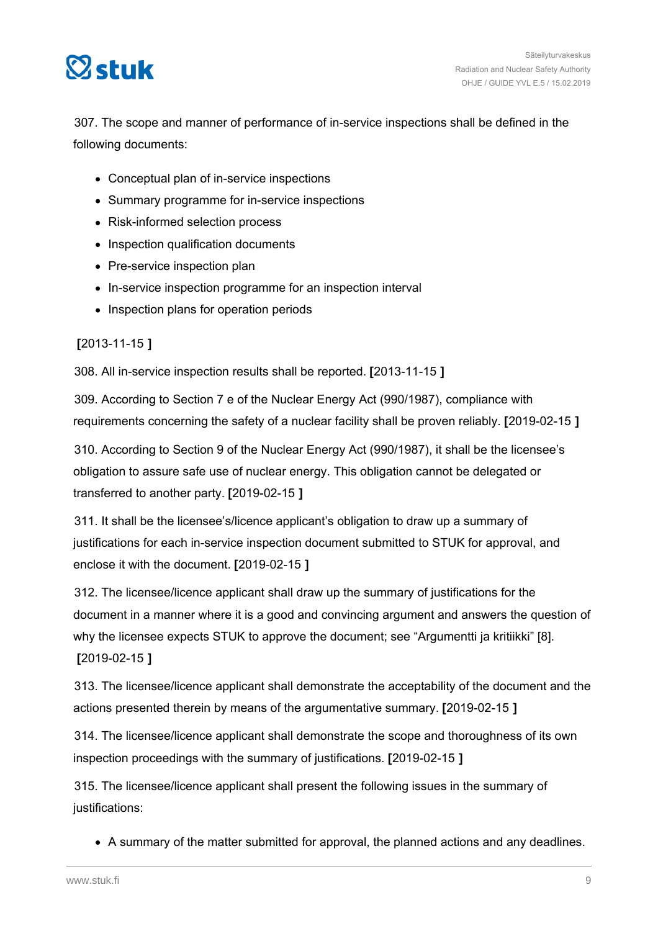

307. The scope and manner of performance of in-service inspections shall be defined in the following documents:

- Conceptual plan of in-service inspections
- Summary programme for in-service inspections
- Risk-informed selection process
- Inspection qualification documents
- Pre-service inspection plan
- In-service inspection programme for an inspection interval
- Inspection plans for operation periods

**[**2013-11-15 **]**

308. All in-service inspection results shall be reported. **[**2013-11-15 **]**

309. According to Section 7 e of the Nuclear Energy Act (990/1987), compliance with requirements concerning the safety of a nuclear facility shall be proven reliably. **[**2019-02-15 **]**

310. According to Section 9 of the Nuclear Energy Act (990/1987), it shall be the licensee's obligation to assure safe use of nuclear energy. This obligation cannot be delegated or transferred to another party. **[**2019-02-15 **]**

311. It shall be the licensee's/licence applicant's obligation to draw up a summary of justifications for each in-service inspection document submitted to STUK for approval, and enclose it with the document. **[**2019-02-15 **]**

312. The licensee/licence applicant shall draw up the summary of justifications for the document in a manner where it is a good and convincing argument and answers the question of why the licensee expects STUK to approve the document; see "Argumentti ja kritiikki" [8]. **[**2019-02-15 **]**

313. The licensee/licence applicant shall demonstrate the acceptability of the document and the actions presented therein by means of the argumentative summary. **[**2019-02-15 **]**

314. The licensee/licence applicant shall demonstrate the scope and thoroughness of its own inspection proceedings with the summary of justifications. **[**2019-02-15 **]**

315. The licensee/licence applicant shall present the following issues in the summary of justifications:

A summary of the matter submitted for approval, the planned actions and any deadlines.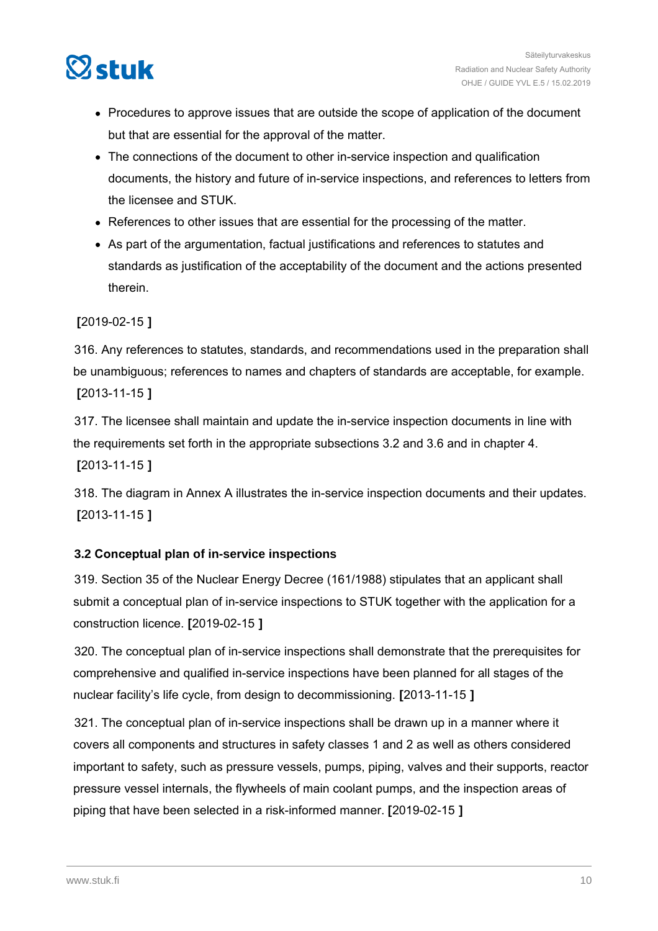<span id="page-9-0"></span>

- Procedures to approve issues that are outside the scope of application of the document but that are essential for the approval of the matter.
- The connections of the document to other in-service inspection and qualification documents, the history and future of in-service inspections, and references to letters from the licensee and STUK.
- References to other issues that are essential for the processing of the matter.
- As part of the argumentation, factual justifications and references to statutes and standards as justification of the acceptability of the document and the actions presented therein.

#### **[**2019-02-15 **]**

316. Any references to statutes, standards, and recommendations used in the preparation shall be unambiguous; references to names and chapters of standards are acceptable, for example. **[**2013-11-15 **]**

317. The licensee shall maintain and update the in-service inspection documents in line with the requirements set forth in the appropriate subsections 3.2 and 3.6 and in chapter 4. **[**2013-11-15 **]**

318. The diagram in Annex A illustrates the in-service inspection documents and their updates. **[**2013-11-15 **]**

#### **3.2 Conceptual plan of in-service inspections**

319. Section 35 of the Nuclear Energy Decree (161/1988) stipulates that an applicant shall submit a conceptual plan of in-service inspections to STUK together with the application for a construction licence. **[**2019-02-15 **]**

320. The conceptual plan of in-service inspections shall demonstrate that the prerequisites for comprehensive and qualified in-service inspections have been planned for all stages of the nuclear facility's life cycle, from design to decommissioning. **[**2013-11-15 **]**

321. The conceptual plan of in-service inspections shall be drawn up in a manner where it covers all components and structures in safety classes 1 and 2 as well as others considered important to safety, such as pressure vessels, pumps, piping, valves and their supports, reactor pressure vessel internals, the flywheels of main coolant pumps, and the inspection areas of piping that have been selected in a risk-informed manner. **[**2019-02-15 **]**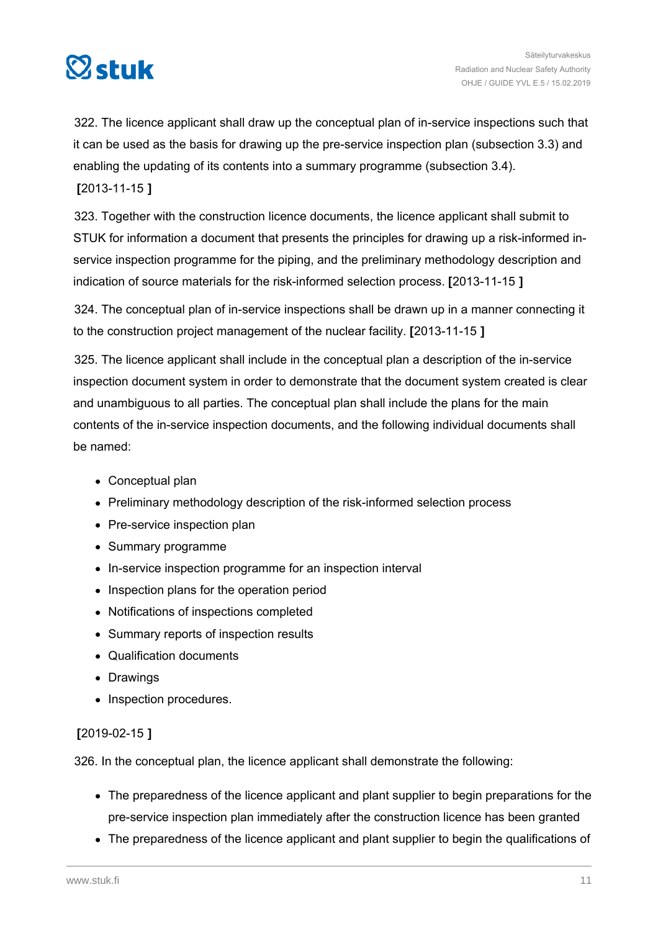

322. The licence applicant shall draw up the conceptual plan of in-service inspections such that it can be used as the basis for drawing up the pre-service inspection plan (subsection 3.3) and enabling the updating of its contents into a summary programme (subsection 3.4). **[**2013-11-15 **]**

323. Together with the construction licence documents, the licence applicant shall submit to STUK for information a document that presents the principles for drawing up a risk-informed inservice inspection programme for the piping, and the preliminary methodology description and indication of source materials for the risk-informed selection process. **[**2013-11-15 **]**

324. The conceptual plan of in-service inspections shall be drawn up in a manner connecting it to the construction project management of the nuclear facility. **[**2013-11-15 **]**

325. The licence applicant shall include in the conceptual plan a description of the in-service inspection document system in order to demonstrate that the document system created is clear and unambiguous to all parties. The conceptual plan shall include the plans for the main contents of the in-service inspection documents, and the following individual documents shall be named:

- Conceptual plan
- Preliminary methodology description of the risk-informed selection process
- Pre-service inspection plan
- Summary programme
- In-service inspection programme for an inspection interval
- Inspection plans for the operation period
- Notifications of inspections completed
- Summary reports of inspection results
- Qualification documents
- Drawings
- Inspection procedures.

## **[**2019-02-15 **]**

326. In the conceptual plan, the licence applicant shall demonstrate the following:

- The preparedness of the licence applicant and plant supplier to begin preparations for the pre-service inspection plan immediately after the construction licence has been granted
- The preparedness of the licence applicant and plant supplier to begin the qualifications of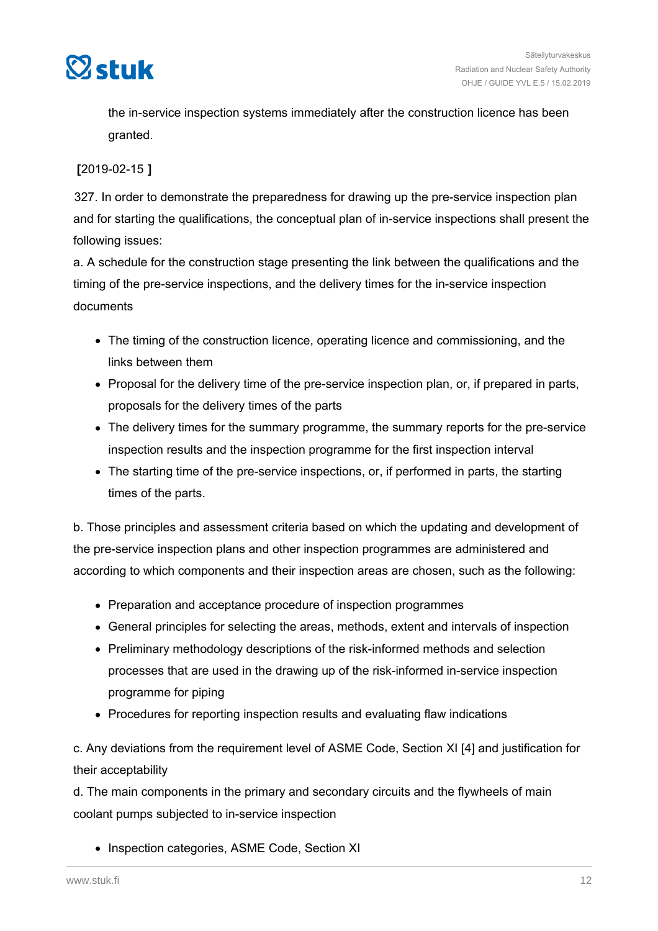

the in-service inspection systems immediately after the construction licence has been granted.

#### **[**2019-02-15 **]**

327. In order to demonstrate the preparedness for drawing up the pre-service inspection plan and for starting the qualifications, the conceptual plan of in-service inspections shall present the following issues:

a. A schedule for the construction stage presenting the link between the qualifications and the timing of the pre-service inspections, and the delivery times for the in-service inspection documents

- The timing of the construction licence, operating licence and commissioning, and the links between them
- Proposal for the delivery time of the pre-service inspection plan, or, if prepared in parts, proposals for the delivery times of the parts
- The delivery times for the summary programme, the summary reports for the pre-service inspection results and the inspection programme for the first inspection interval
- The starting time of the pre-service inspections, or, if performed in parts, the starting times of the parts.

b. Those principles and assessment criteria based on which the updating and development of the pre-service inspection plans and other inspection programmes are administered and according to which components and their inspection areas are chosen, such as the following:

- Preparation and acceptance procedure of inspection programmes
- General principles for selecting the areas, methods, extent and intervals of inspection
- Preliminary methodology descriptions of the risk-informed methods and selection processes that are used in the drawing up of the risk-informed in-service inspection programme for piping
- Procedures for reporting inspection results and evaluating flaw indications

c. Any deviations from the requirement level of ASME Code, Section XI [4] and justification for their acceptability

d. The main components in the primary and secondary circuits and the flywheels of main coolant pumps subjected to in-service inspection

• Inspection categories, ASME Code, Section XI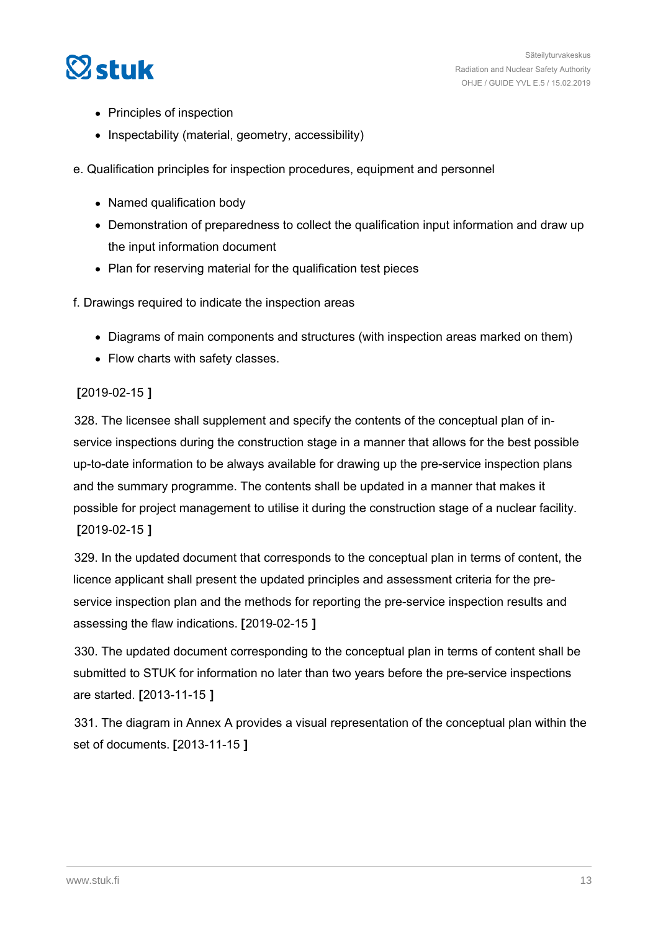

- Principles of inspection
- Inspectability (material, geometry, accessibility)

e. Qualification principles for inspection procedures, equipment and personnel

- Named qualification body
- Demonstration of preparedness to collect the qualification input information and draw up the input information document
- Plan for reserving material for the qualification test pieces

f. Drawings required to indicate the inspection areas

- Diagrams of main components and structures (with inspection areas marked on them)
- Flow charts with safety classes.

#### **[**2019-02-15 **]**

328. The licensee shall supplement and specify the contents of the conceptual plan of inservice inspections during the construction stage in a manner that allows for the best possible up-to-date information to be always available for drawing up the pre-service inspection plans and the summary programme. The contents shall be updated in a manner that makes it possible for project management to utilise it during the construction stage of a nuclear facility. **[**2019-02-15 **]**

329. In the updated document that corresponds to the conceptual plan in terms of content, the licence applicant shall present the updated principles and assessment criteria for the preservice inspection plan and the methods for reporting the pre-service inspection results and assessing the flaw indications. **[**2019-02-15 **]**

330. The updated document corresponding to the conceptual plan in terms of content shall be submitted to STUK for information no later than two years before the pre-service inspections are started. **[**2013-11-15 **]**

331. The diagram in Annex A provides a visual representation of the conceptual plan within the set of documents. **[**2013-11-15 **]**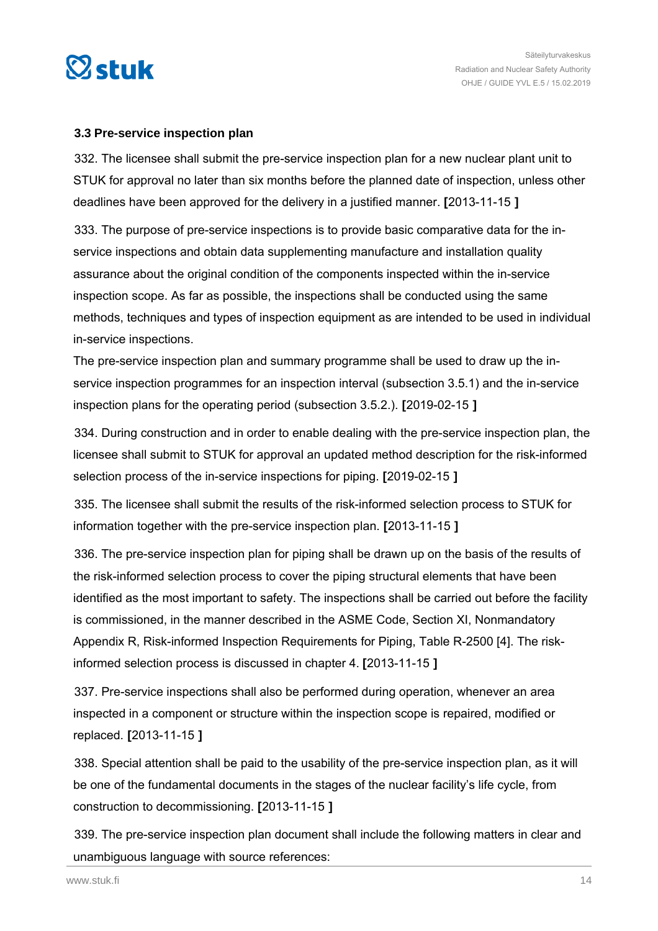<span id="page-13-0"></span>

#### **3.3 Pre-service inspection plan**

332. The licensee shall submit the pre-service inspection plan for a new nuclear plant unit to STUK for approval no later than six months before the planned date of inspection, unless other deadlines have been approved for the delivery in a justified manner. **[**2013-11-15 **]**

333. The purpose of pre-service inspections is to provide basic comparative data for the inservice inspections and obtain data supplementing manufacture and installation quality assurance about the original condition of the components inspected within the in-service inspection scope. As far as possible, the inspections shall be conducted using the same methods, techniques and types of inspection equipment as are intended to be used in individual in-service inspections.

The pre-service inspection plan and summary programme shall be used to draw up the inservice inspection programmes for an inspection interval (subsection 3.5.1) and the in-service inspection plans for the operating period (subsection 3.5.2.). **[**2019-02-15 **]**

334. During construction and in order to enable dealing with the pre-service inspection plan, the licensee shall submit to STUK for approval an updated method description for the risk-informed selection process of the in-service inspections for piping. **[**2019-02-15 **]**

335. The licensee shall submit the results of the risk-informed selection process to STUK for information together with the pre-service inspection plan. **[**2013-11-15 **]**

336. The pre-service inspection plan for piping shall be drawn up on the basis of the results of the risk-informed selection process to cover the piping structural elements that have been identified as the most important to safety. The inspections shall be carried out before the facility is commissioned, in the manner described in the ASME Code, Section XI, Nonmandatory Appendix R, Risk-informed Inspection Requirements for Piping, Table R-2500 [4]. The riskinformed selection process is discussed in chapter 4. **[**2013-11-15 **]**

337. Pre-service inspections shall also be performed during operation, whenever an area inspected in a component or structure within the inspection scope is repaired, modified or replaced. **[**2013-11-15 **]**

338. Special attention shall be paid to the usability of the pre-service inspection plan, as it will be one of the fundamental documents in the stages of the nuclear facility's life cycle, from construction to decommissioning. **[**2013-11-15 **]**

339. The pre-service inspection plan document shall include the following matters in clear and unambiguous language with source references: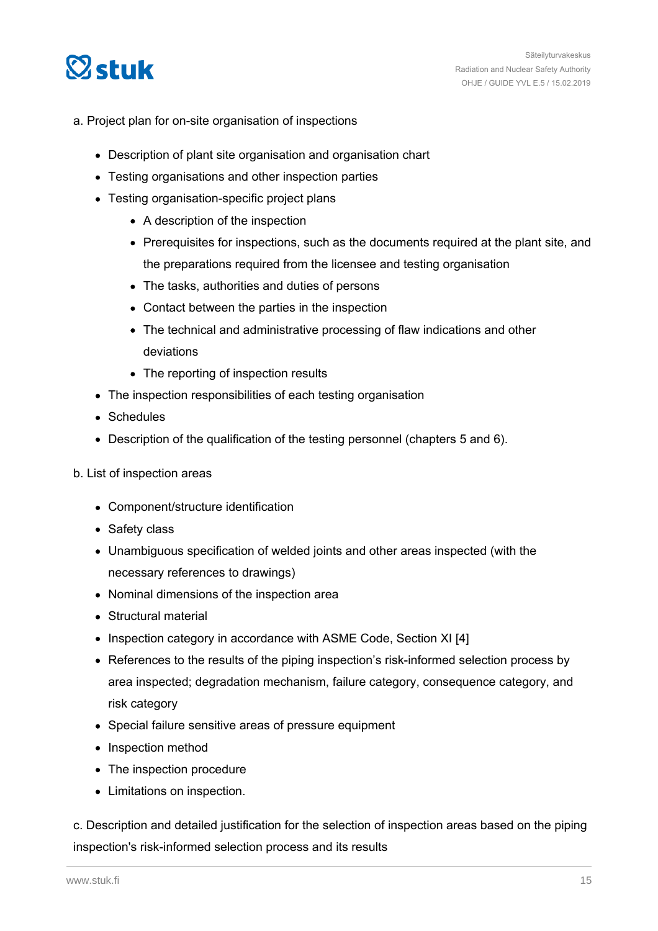

- a. Project plan for on-site organisation of inspections
	- Description of plant site organisation and organisation chart
	- Testing organisations and other inspection parties
	- Testing organisation-specific project plans
		- A description of the inspection
		- Prerequisites for inspections, such as the documents required at the plant site, and the preparations required from the licensee and testing organisation
		- The tasks, authorities and duties of persons
		- Contact between the parties in the inspection
		- The technical and administrative processing of flaw indications and other deviations
		- The reporting of inspection results
	- The inspection responsibilities of each testing organisation
	- Schedules
	- Description of the qualification of the testing personnel (chapters 5 and 6).
- b. List of inspection areas
	- Component/structure identification
	- Safety class
	- Unambiguous specification of welded joints and other areas inspected (with the necessary references to drawings)
	- Nominal dimensions of the inspection area
	- Structural material
	- Inspection category in accordance with ASME Code, Section XI [4]
	- References to the results of the piping inspection's risk-informed selection process by area inspected; degradation mechanism, failure category, consequence category, and risk category
	- Special failure sensitive areas of pressure equipment
	- Inspection method
	- The inspection procedure
	- Limitations on inspection.

c. Description and detailed justification for the selection of inspection areas based on the piping inspection's risk-informed selection process and its results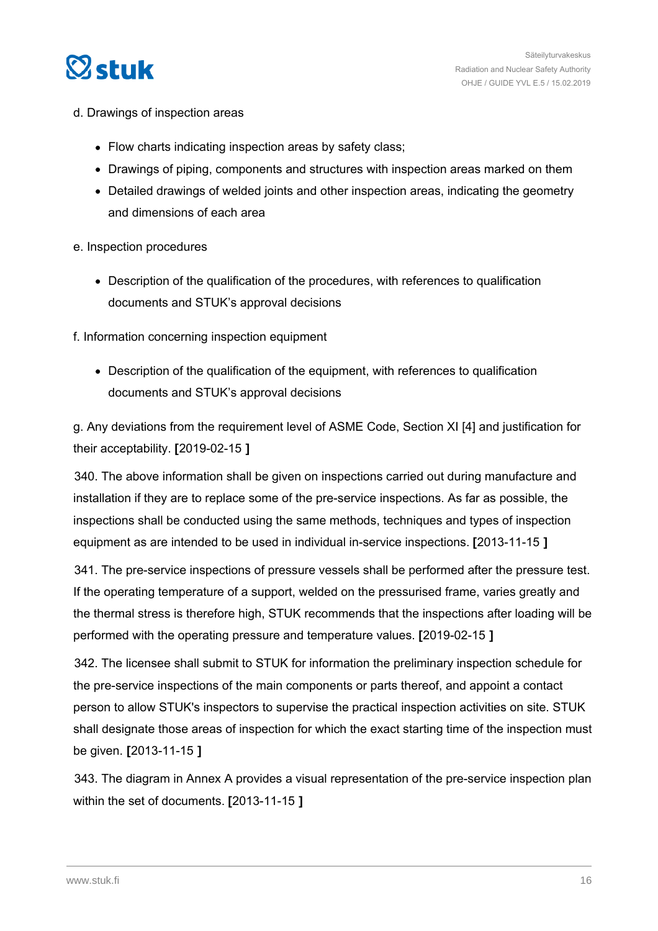

- d. Drawings of inspection areas
	- Flow charts indicating inspection areas by safety class;
	- Drawings of piping, components and structures with inspection areas marked on them
	- Detailed drawings of welded joints and other inspection areas, indicating the geometry and dimensions of each area

#### e. Inspection procedures

Description of the qualification of the procedures, with references to qualification documents and STUK's approval decisions

f. Information concerning inspection equipment

Description of the qualification of the equipment, with references to qualification documents and STUK's approval decisions

g. Any deviations from the requirement level of ASME Code, Section XI [4] and justification for their acceptability. **[**2019-02-15 **]**

340. The above information shall be given on inspections carried out during manufacture and installation if they are to replace some of the pre-service inspections. As far as possible, the inspections shall be conducted using the same methods, techniques and types of inspection equipment as are intended to be used in individual in-service inspections. **[**2013-11-15 **]**

341. The pre-service inspections of pressure vessels shall be performed after the pressure test. If the operating temperature of a support, welded on the pressurised frame, varies greatly and the thermal stress is therefore high, STUK recommends that the inspections after loading will be performed with the operating pressure and temperature values. **[**2019-02-15 **]**

342. The licensee shall submit to STUK for information the preliminary inspection schedule for the pre-service inspections of the main components or parts thereof, and appoint a contact person to allow STUK's inspectors to supervise the practical inspection activities on site. STUK shall designate those areas of inspection for which the exact starting time of the inspection must be given. **[**2013-11-15 **]**

343. The diagram in Annex A provides a visual representation of the pre-service inspection plan within the set of documents. **[**2013-11-15 **]**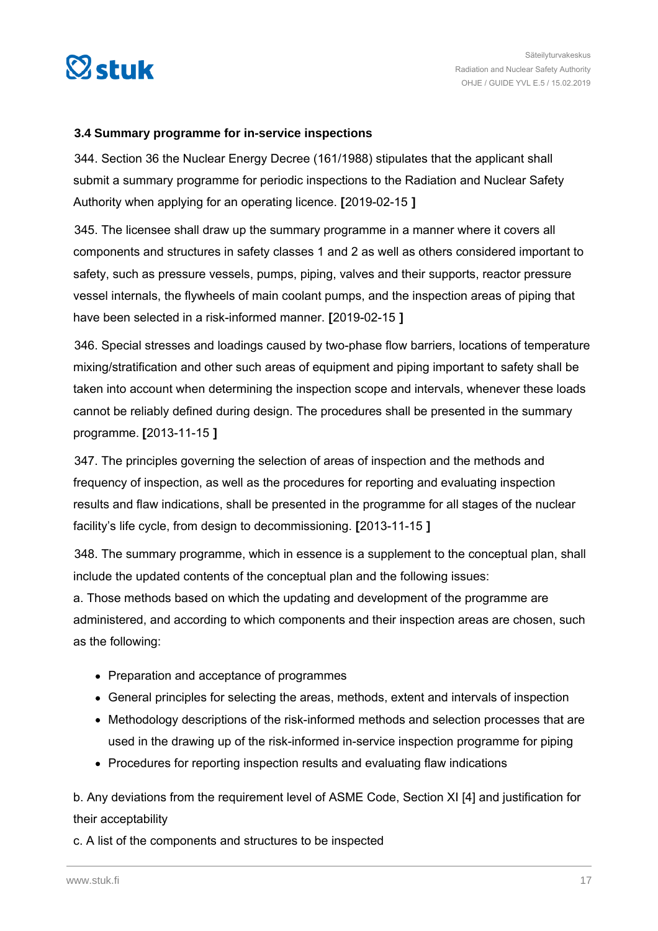<span id="page-16-0"></span>

#### **3.4 Summary programme for in-service inspections**

344. Section 36 the Nuclear Energy Decree (161/1988) stipulates that the applicant shall submit a summary programme for periodic inspections to the Radiation and Nuclear Safety Authority when applying for an operating licence. **[**2019-02-15 **]**

345. The licensee shall draw up the summary programme in a manner where it covers all components and structures in safety classes 1 and 2 as well as others considered important to safety, such as pressure vessels, pumps, piping, valves and their supports, reactor pressure vessel internals, the flywheels of main coolant pumps, and the inspection areas of piping that have been selected in a risk-informed manner. **[**2019-02-15 **]**

346. Special stresses and loadings caused by two-phase flow barriers, locations of temperature mixing/stratification and other such areas of equipment and piping important to safety shall be taken into account when determining the inspection scope and intervals, whenever these loads cannot be reliably defined during design. The procedures shall be presented in the summary programme. **[**2013-11-15 **]**

347. The principles governing the selection of areas of inspection and the methods and frequency of inspection, as well as the procedures for reporting and evaluating inspection results and flaw indications, shall be presented in the programme for all stages of the nuclear facility's life cycle, from design to decommissioning. **[**2013-11-15 **]**

348. The summary programme, which in essence is a supplement to the conceptual plan, shall include the updated contents of the conceptual plan and the following issues:

a. Those methods based on which the updating and development of the programme are administered, and according to which components and their inspection areas are chosen, such as the following:

- Preparation and acceptance of programmes
- General principles for selecting the areas, methods, extent and intervals of inspection
- Methodology descriptions of the risk-informed methods and selection processes that are used in the drawing up of the risk-informed in-service inspection programme for piping
- Procedures for reporting inspection results and evaluating flaw indications

b. Any deviations from the requirement level of ASME Code, Section XI [4] and justification for their acceptability

c. A list of the components and structures to be inspected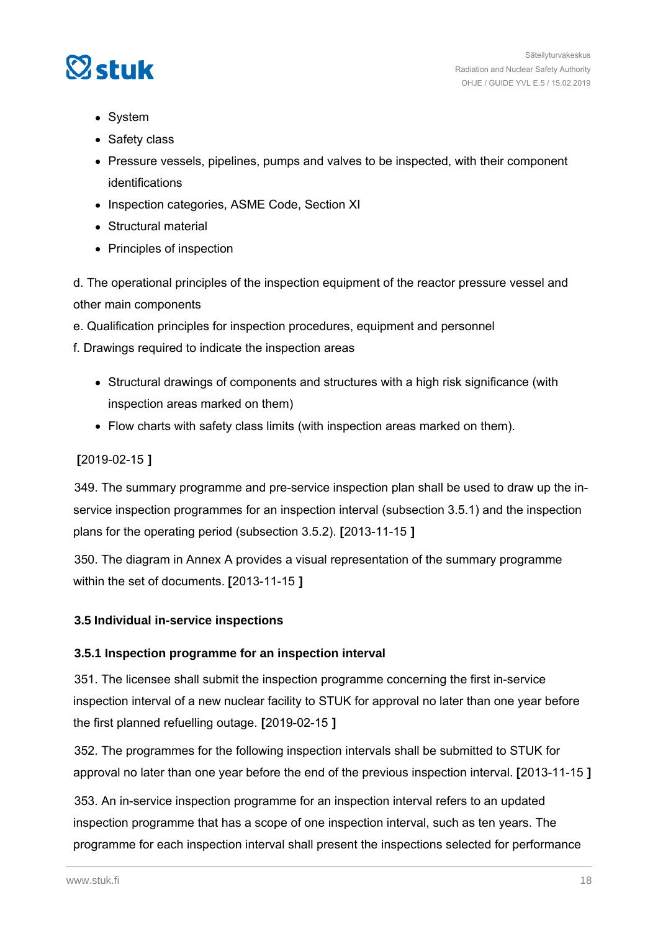<span id="page-17-0"></span>

- System
- Safety class
- Pressure vessels, pipelines, pumps and valves to be inspected, with their component identifications
- Inspection categories, ASME Code, Section XI
- **Structural material**
- Principles of inspection

d. The operational principles of the inspection equipment of the reactor pressure vessel and other main components

e. Qualification principles for inspection procedures, equipment and personnel

- f. Drawings required to indicate the inspection areas
	- Structural drawings of components and structures with a high risk significance (with inspection areas marked on them)
	- Flow charts with safety class limits (with inspection areas marked on them).

#### **[**2019-02-15 **]**

349. The summary programme and pre-service inspection plan shall be used to draw up the inservice inspection programmes for an inspection interval (subsection 3.5.1) and the inspection plans for the operating period (subsection 3.5.2). **[**2013-11-15 **]**

350. The diagram in Annex A provides a visual representation of the summary programme within the set of documents. **[**2013-11-15 **]**

#### **3.5 Individual in-service inspections**

#### **3.5.1 Inspection programme for an inspection interval**

351. The licensee shall submit the inspection programme concerning the first in-service inspection interval of a new nuclear facility to STUK for approval no later than one year before the first planned refuelling outage. **[**2019-02-15 **]**

352. The programmes for the following inspection intervals shall be submitted to STUK for approval no later than one year before the end of the previous inspection interval. **[**2013-11-15 **]**

353. An in-service inspection programme for an inspection interval refers to an updated inspection programme that has a scope of one inspection interval, such as ten years. The programme for each inspection interval shall present the inspections selected for performance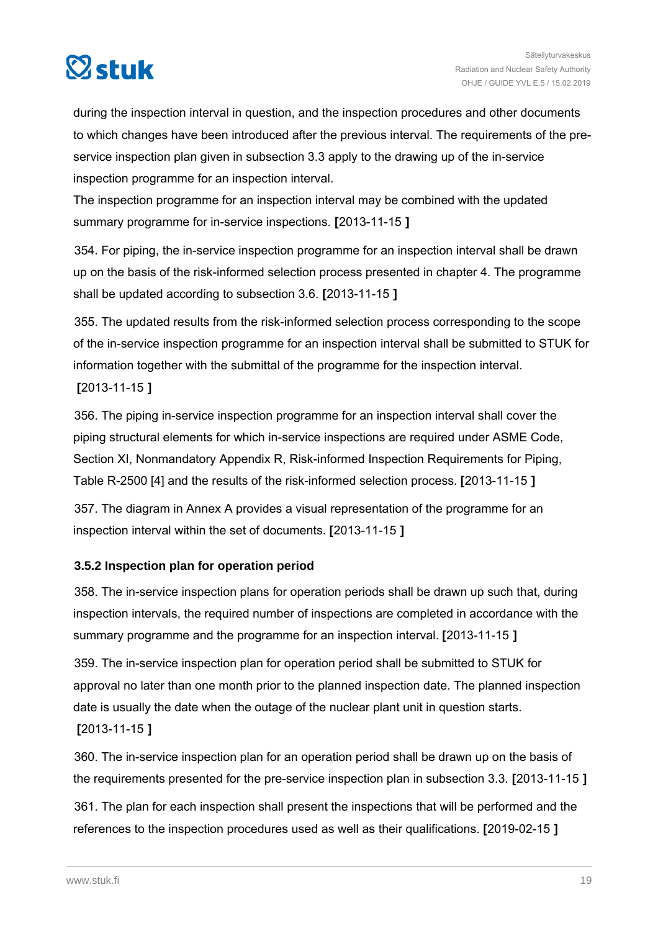<span id="page-18-0"></span>

during the inspection interval in question, and the inspection procedures and other documents to which changes have been introduced after the previous interval. The requirements of the preservice inspection plan given in subsection 3.3 apply to the drawing up of the in-service inspection programme for an inspection interval.

The inspection programme for an inspection interval may be combined with the updated summary programme for in-service inspections. **[**2013-11-15 **]**

354. For piping, the in-service inspection programme for an inspection interval shall be drawn up on the basis of the risk-informed selection process presented in chapter 4. The programme shall be updated according to subsection 3.6. **[**2013-11-15 **]**

355. The updated results from the risk-informed selection process corresponding to the scope of the in-service inspection programme for an inspection interval shall be submitted to STUK for information together with the submittal of the programme for the inspection interval. **[**2013-11-15 **]**

356. The piping in-service inspection programme for an inspection interval shall cover the piping structural elements for which in-service inspections are required under ASME Code, Section XI, Nonmandatory Appendix R, Risk-informed Inspection Requirements for Piping, Table R-2500 [4] and the results of the risk-informed selection process. **[**2013-11-15 **]**

357. The diagram in Annex A provides a visual representation of the programme for an inspection interval within the set of documents. **[**2013-11-15 **]**

## **3.5.2 Inspection plan for operation period**

358. The in-service inspection plans for operation periods shall be drawn up such that, during inspection intervals, the required number of inspections are completed in accordance with the summary programme and the programme for an inspection interval. **[**2013-11-15 **]**

359. The in-service inspection plan for operation period shall be submitted to STUK for approval no later than one month prior to the planned inspection date. The planned inspection date is usually the date when the outage of the nuclear plant unit in question starts.

**[**2013-11-15 **]**

360. The in-service inspection plan for an operation period shall be drawn up on the basis of the requirements presented for the pre-service inspection plan in subsection 3.3. **[**2013-11-15 **]**

361. The plan for each inspection shall present the inspections that will be performed and the references to the inspection procedures used as well as their qualifications. **[**2019-02-15 **]**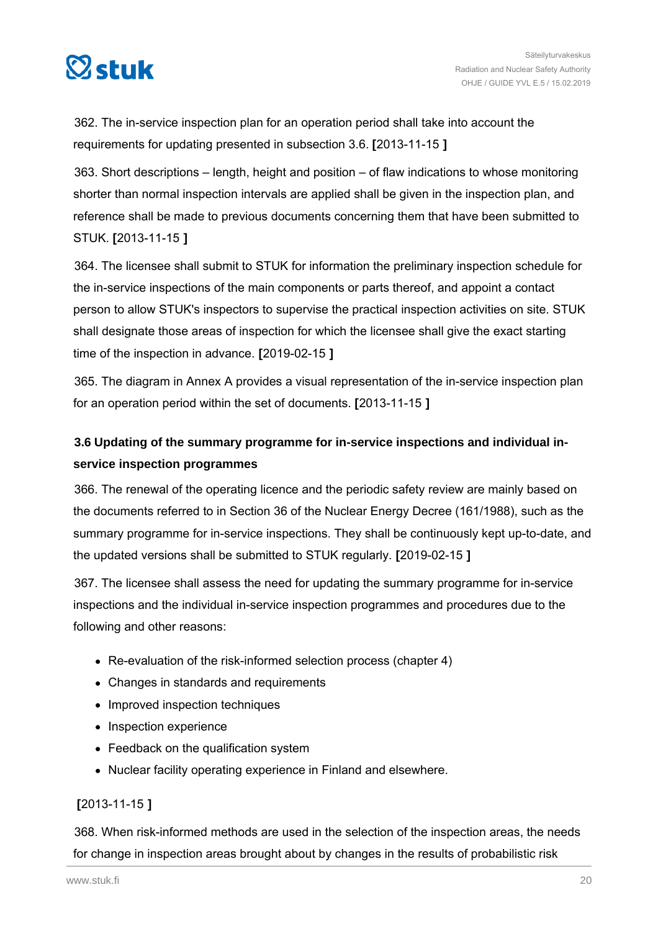<span id="page-19-0"></span>

362. The in-service inspection plan for an operation period shall take into account the requirements for updating presented in subsection 3.6. **[**2013-11-15 **]**

363. Short descriptions – length, height and position – of flaw indications to whose monitoring shorter than normal inspection intervals are applied shall be given in the inspection plan, and reference shall be made to previous documents concerning them that have been submitted to STUK. **[**2013-11-15 **]**

364. The licensee shall submit to STUK for information the preliminary inspection schedule for the in-service inspections of the main components or parts thereof, and appoint a contact person to allow STUK's inspectors to supervise the practical inspection activities on site. STUK shall designate those areas of inspection for which the licensee shall give the exact starting time of the inspection in advance. **[**2019-02-15 **]**

365. The diagram in Annex A provides a visual representation of the in-service inspection plan for an operation period within the set of documents. **[**2013-11-15 **]**

# **3.6 Updating of the summary programme for in-service inspections and individual inservice inspection programmes**

366. The renewal of the operating licence and the periodic safety review are mainly based on the documents referred to in Section 36 of the Nuclear Energy Decree (161/1988), such as the summary programme for in-service inspections. They shall be continuously kept up-to-date, and the updated versions shall be submitted to STUK regularly. **[**2019-02-15 **]**

367. The licensee shall assess the need for updating the summary programme for in-service inspections and the individual in-service inspection programmes and procedures due to the following and other reasons:

- Re-evaluation of the risk-informed selection process (chapter 4)
- Changes in standards and requirements
- Improved inspection techniques
- Inspection experience
- Feedback on the qualification system
- Nuclear facility operating experience in Finland and elsewhere.

#### **[**2013-11-15 **]**

368. When risk-informed methods are used in the selection of the inspection areas, the needs for change in inspection areas brought about by changes in the results of probabilistic risk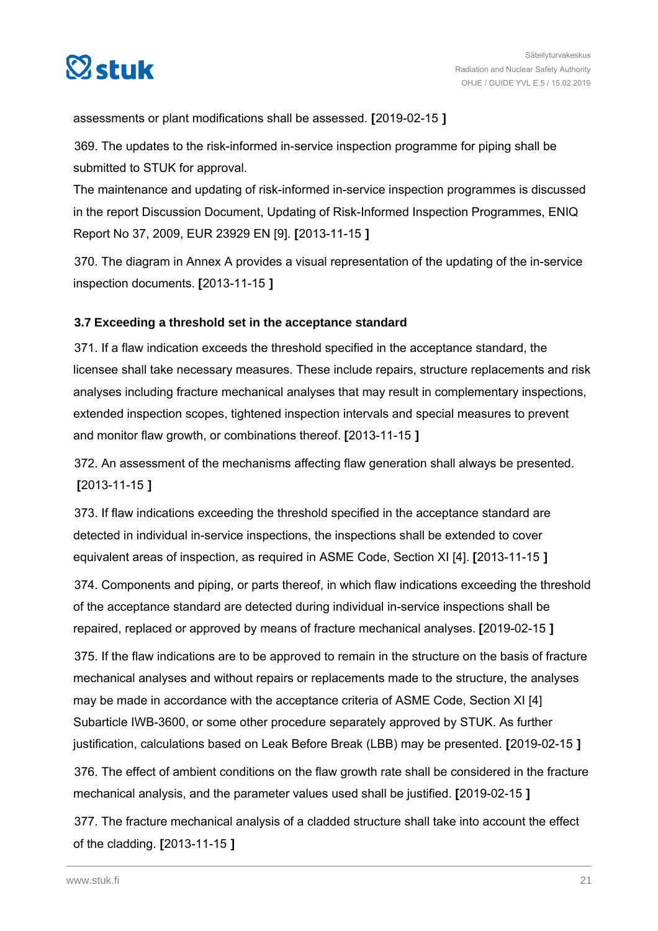<span id="page-20-0"></span>

assessments or plant modifications shall be assessed. **[**2019-02-15 **]**

369. The updates to the risk-informed in-service inspection programme for piping shall be submitted to STUK for approval.

The maintenance and updating of risk-informed in-service inspection programmes is discussed in the report Discussion Document, Updating of Risk-Informed Inspection Programmes, ENIQ Report No 37, 2009, EUR 23929 EN [9]. **[**2013-11-15 **]**

370. The diagram in Annex A provides a visual representation of the updating of the in-service inspection documents. **[**2013-11-15 **]**

#### **3.7 Exceeding a threshold set in the acceptance standard**

371. If a flaw indication exceeds the threshold specified in the acceptance standard, the licensee shall take necessary measures. These include repairs, structure replacements and risk analyses including fracture mechanical analyses that may result in complementary inspections, extended inspection scopes, tightened inspection intervals and special measures to prevent and monitor flaw growth, or combinations thereof. **[**2013-11-15 **]**

372. An assessment of the mechanisms affecting flaw generation shall always be presented. **[**2013-11-15 **]**

373. If flaw indications exceeding the threshold specified in the acceptance standard are detected in individual in-service inspections, the inspections shall be extended to cover equivalent areas of inspection, as required in ASME Code, Section XI [4]. **[**2013-11-15 **]**

374. Components and piping, or parts thereof, in which flaw indications exceeding the threshold of the acceptance standard are detected during individual in-service inspections shall be repaired, replaced or approved by means of fracture mechanical analyses. **[**2019-02-15 **]**

375. If the flaw indications are to be approved to remain in the structure on the basis of fracture mechanical analyses and without repairs or replacements made to the structure, the analyses may be made in accordance with the acceptance criteria of ASME Code, Section XI [4] Subarticle IWB-3600, or some other procedure separately approved by STUK. As further justification, calculations based on Leak Before Break (LBB) may be presented. **[**2019-02-15 **]**

376. The effect of ambient conditions on the flaw growth rate shall be considered in the fracture mechanical analysis, and the parameter values used shall be justified. **[**2019-02-15 **]**

377. The fracture mechanical analysis of a cladded structure shall take into account the effect of the cladding. **[**2013-11-15 **]**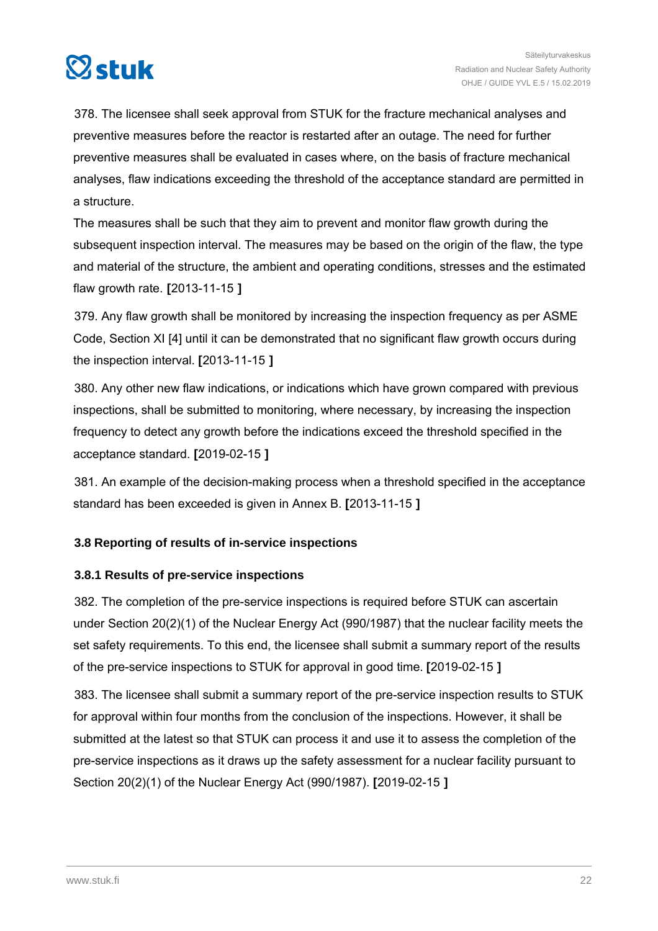<span id="page-21-0"></span>

378. The licensee shall seek approval from STUK for the fracture mechanical analyses and preventive measures before the reactor is restarted after an outage. The need for further preventive measures shall be evaluated in cases where, on the basis of fracture mechanical analyses, flaw indications exceeding the threshold of the acceptance standard are permitted in a structure.

The measures shall be such that they aim to prevent and monitor flaw growth during the subsequent inspection interval. The measures may be based on the origin of the flaw, the type and material of the structure, the ambient and operating conditions, stresses and the estimated flaw growth rate. **[**2013-11-15 **]**

379. Any flaw growth shall be monitored by increasing the inspection frequency as per ASME Code, Section XI [4] until it can be demonstrated that no significant flaw growth occurs during the inspection interval. **[**2013-11-15 **]**

380. Any other new flaw indications, or indications which have grown compared with previous inspections, shall be submitted to monitoring, where necessary, by increasing the inspection frequency to detect any growth before the indications exceed the threshold specified in the acceptance standard. **[**2019-02-15 **]**

381. An example of the decision-making process when a threshold specified in the acceptance standard has been exceeded is given in Annex B. **[**2013-11-15 **]**

#### **3.8 Reporting of results of in-service inspections**

#### **3.8.1 Results of pre-service inspections**

382. The completion of the pre-service inspections is required before STUK can ascertain under Section 20(2)(1) of the Nuclear Energy Act (990/1987) that the nuclear facility meets the set safety requirements. To this end, the licensee shall submit a summary report of the results of the pre-service inspections to STUK for approval in good time. **[**2019-02-15 **]**

383. The licensee shall submit a summary report of the pre-service inspection results to STUK for approval within four months from the conclusion of the inspections. However, it shall be submitted at the latest so that STUK can process it and use it to assess the completion of the pre-service inspections as it draws up the safety assessment for a nuclear facility pursuant to Section 20(2)(1) of the Nuclear Energy Act (990/1987). **[**2019-02-15 **]**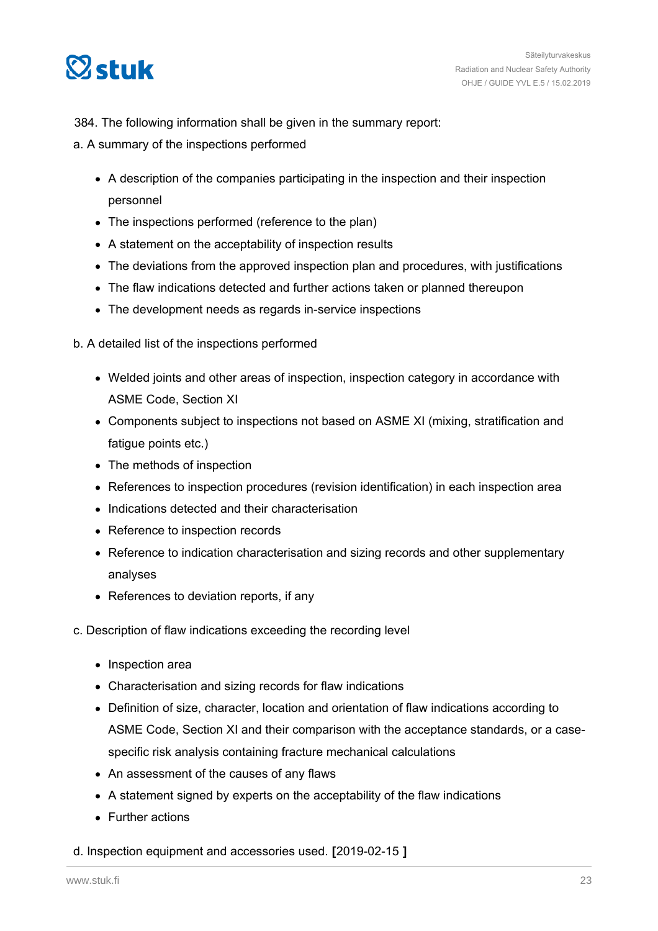

#### 384. The following information shall be given in the summary report:

- a. A summary of the inspections performed
	- A description of the companies participating in the inspection and their inspection personnel
	- The inspections performed (reference to the plan)
	- A statement on the acceptability of inspection results
	- The deviations from the approved inspection plan and procedures, with justifications
	- The flaw indications detected and further actions taken or planned thereupon
	- The development needs as regards in-service inspections
- b. A detailed list of the inspections performed
	- Welded joints and other areas of inspection, inspection category in accordance with ASME Code, Section XI
	- Components subject to inspections not based on ASME XI (mixing, stratification and fatigue points etc.)
	- The methods of inspection
	- References to inspection procedures (revision identification) in each inspection area
	- Indications detected and their characterisation
	- Reference to inspection records
	- Reference to indication characterisation and sizing records and other supplementary analyses
	- References to deviation reports, if any
- c. Description of flaw indications exceeding the recording level
	- Inspection area
	- Characterisation and sizing records for flaw indications
	- Definition of size, character, location and orientation of flaw indications according to ASME Code, Section XI and their comparison with the acceptance standards, or a casespecific risk analysis containing fracture mechanical calculations
	- An assessment of the causes of any flaws
	- A statement signed by experts on the acceptability of the flaw indications
	- Further actions

#### d. Inspection equipment and accessories used. **[**2019-02-15 **]**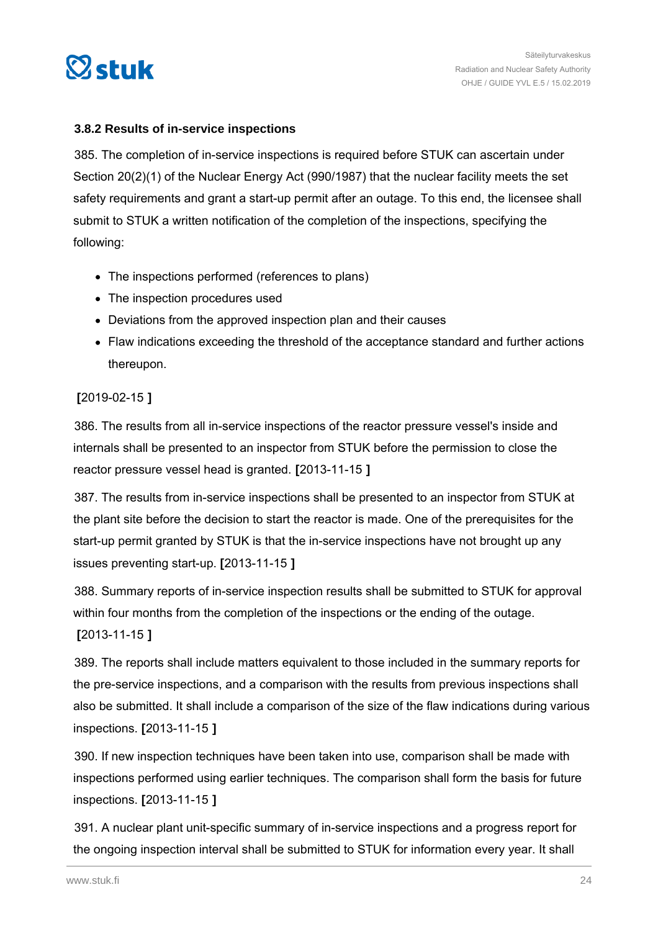<span id="page-23-0"></span>

#### **3.8.2 Results of in-service inspections**

385. The completion of in-service inspections is required before STUK can ascertain under Section 20(2)(1) of the Nuclear Energy Act (990/1987) that the nuclear facility meets the set safety requirements and grant a start-up permit after an outage. To this end, the licensee shall submit to STUK a written notification of the completion of the inspections, specifying the following:

- The inspections performed (references to plans)
- The inspection procedures used
- Deviations from the approved inspection plan and their causes
- Flaw indications exceeding the threshold of the acceptance standard and further actions thereupon.

#### **[**2019-02-15 **]**

386. The results from all in-service inspections of the reactor pressure vessel's inside and internals shall be presented to an inspector from STUK before the permission to close the reactor pressure vessel head is granted. **[**2013-11-15 **]**

387. The results from in-service inspections shall be presented to an inspector from STUK at the plant site before the decision to start the reactor is made. One of the prerequisites for the start-up permit granted by STUK is that the in-service inspections have not brought up any issues preventing start-up. **[**2013-11-15 **]**

388. Summary reports of in-service inspection results shall be submitted to STUK for approval within four months from the completion of the inspections or the ending of the outage. **[**2013-11-15 **]**

389. The reports shall include matters equivalent to those included in the summary reports for the pre-service inspections, and a comparison with the results from previous inspections shall also be submitted. It shall include a comparison of the size of the flaw indications during various inspections. **[**2013-11-15 **]**

390. If new inspection techniques have been taken into use, comparison shall be made with inspections performed using earlier techniques. The comparison shall form the basis for future inspections. **[**2013-11-15 **]**

391. A nuclear plant unit-specific summary of in-service inspections and a progress report for the ongoing inspection interval shall be submitted to STUK for information every year. It shall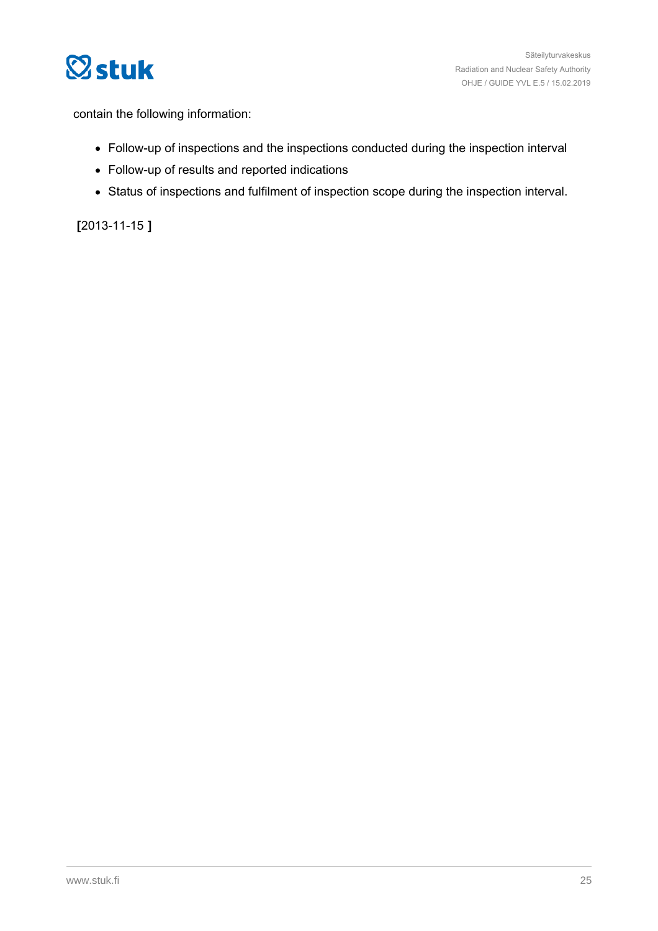

contain the following information:

- Follow-up of inspections and the inspections conducted during the inspection interval
- Follow-up of results and reported indications
- Status of inspections and fulfilment of inspection scope during the inspection interval.

**[**2013-11-15 **]**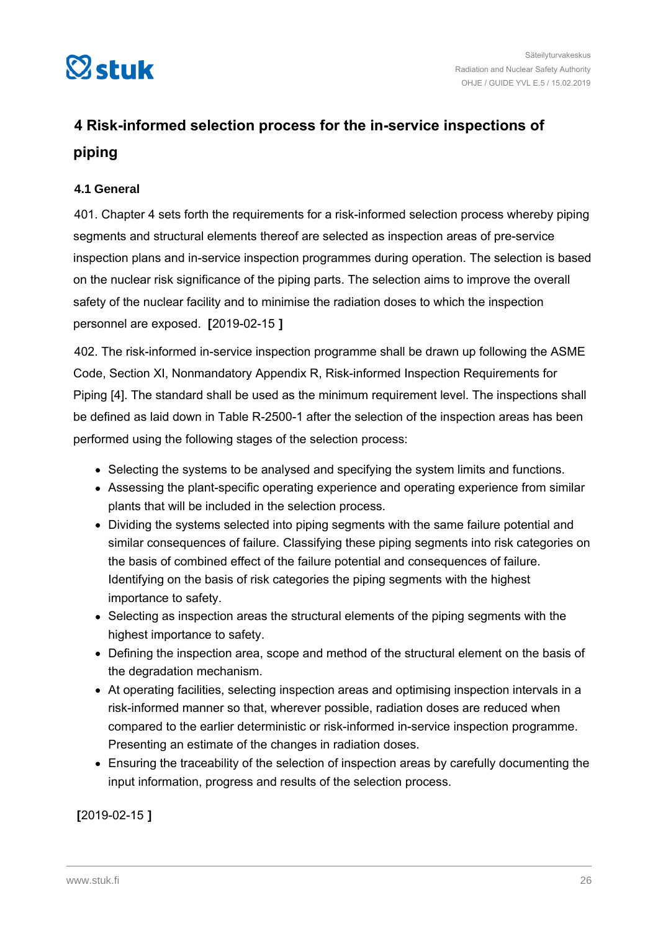<span id="page-25-0"></span>

# **4 Risk-informed selection process for the in-service inspections of piping**

#### **4.1 General**

401. Chapter 4 sets forth the requirements for a risk-informed selection process whereby piping segments and structural elements thereof are selected as inspection areas of pre-service inspection plans and in-service inspection programmes during operation. The selection is based on the nuclear risk significance of the piping parts. The selection aims to improve the overall safety of the nuclear facility and to minimise the radiation doses to which the inspection personnel are exposed. **[**2019-02-15 **]**

402. The risk-informed in-service inspection programme shall be drawn up following the ASME Code, Section XI, Nonmandatory Appendix R, Risk-informed Inspection Requirements for Piping [4]. The standard shall be used as the minimum requirement level. The inspections shall be defined as laid down in Table R-2500-1 after the selection of the inspection areas has been performed using the following stages of the selection process:

- Selecting the systems to be analysed and specifying the system limits and functions.
- Assessing the plant-specific operating experience and operating experience from similar plants that will be included in the selection process.
- Dividing the systems selected into piping segments with the same failure potential and similar consequences of failure. Classifying these piping segments into risk categories on the basis of combined effect of the failure potential and consequences of failure. Identifying on the basis of risk categories the piping segments with the highest importance to safety.
- Selecting as inspection areas the structural elements of the piping segments with the highest importance to safety.
- Defining the inspection area, scope and method of the structural element on the basis of the degradation mechanism.
- At operating facilities, selecting inspection areas and optimising inspection intervals in a risk-informed manner so that, wherever possible, radiation doses are reduced when compared to the earlier deterministic or risk-informed in-service inspection programme. Presenting an estimate of the changes in radiation doses.
- Ensuring the traceability of the selection of inspection areas by carefully documenting the input information, progress and results of the selection process.

**[**2019-02-15 **]**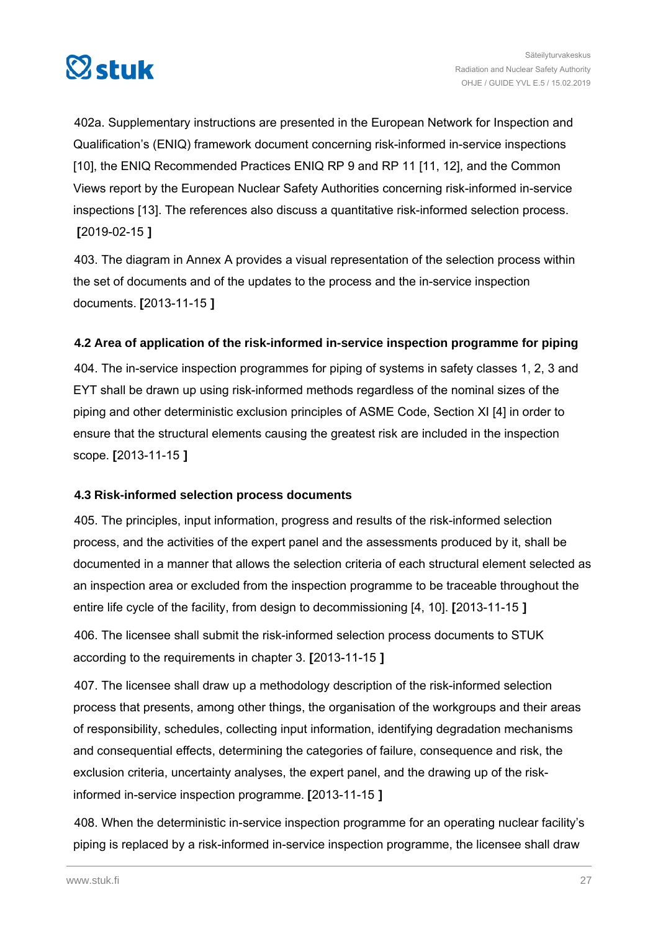<span id="page-26-0"></span>

402a. Supplementary instructions are presented in the European Network for Inspection and Qualification's (ENIQ) framework document concerning risk-informed in-service inspections [10], the ENIQ Recommended Practices ENIQ RP 9 and RP 11 [11, 12], and the Common Views report by the European Nuclear Safety Authorities concerning risk-informed in-service inspections [13]. The references also discuss a quantitative risk-informed selection process. **[**2019-02-15 **]**

403. The diagram in Annex A provides a visual representation of the selection process within the set of documents and of the updates to the process and the in-service inspection documents. **[**2013-11-15 **]**

#### **4.2 Area of application of the risk-informed in-service inspection programme for piping**

404. The in-service inspection programmes for piping of systems in safety classes 1, 2, 3 and EYT shall be drawn up using risk-informed methods regardless of the nominal sizes of the piping and other deterministic exclusion principles of ASME Code, Section XI [4] in order to ensure that the structural elements causing the greatest risk are included in the inspection scope. **[**2013-11-15 **]**

#### **4.3 Risk-informed selection process documents**

405. The principles, input information, progress and results of the risk-informed selection process, and the activities of the expert panel and the assessments produced by it, shall be documented in a manner that allows the selection criteria of each structural element selected as an inspection area or excluded from the inspection programme to be traceable throughout the entire life cycle of the facility, from design to decommissioning [4, 10]. **[**2013-11-15 **]**

406. The licensee shall submit the risk-informed selection process documents to STUK according to the requirements in chapter 3. **[**2013-11-15 **]**

407. The licensee shall draw up a methodology description of the risk-informed selection process that presents, among other things, the organisation of the workgroups and their areas of responsibility, schedules, collecting input information, identifying degradation mechanisms and consequential effects, determining the categories of failure, consequence and risk, the exclusion criteria, uncertainty analyses, the expert panel, and the drawing up of the riskinformed in-service inspection programme. **[**2013-11-15 **]**

408. When the deterministic in-service inspection programme for an operating nuclear facility's piping is replaced by a risk-informed in-service inspection programme, the licensee shall draw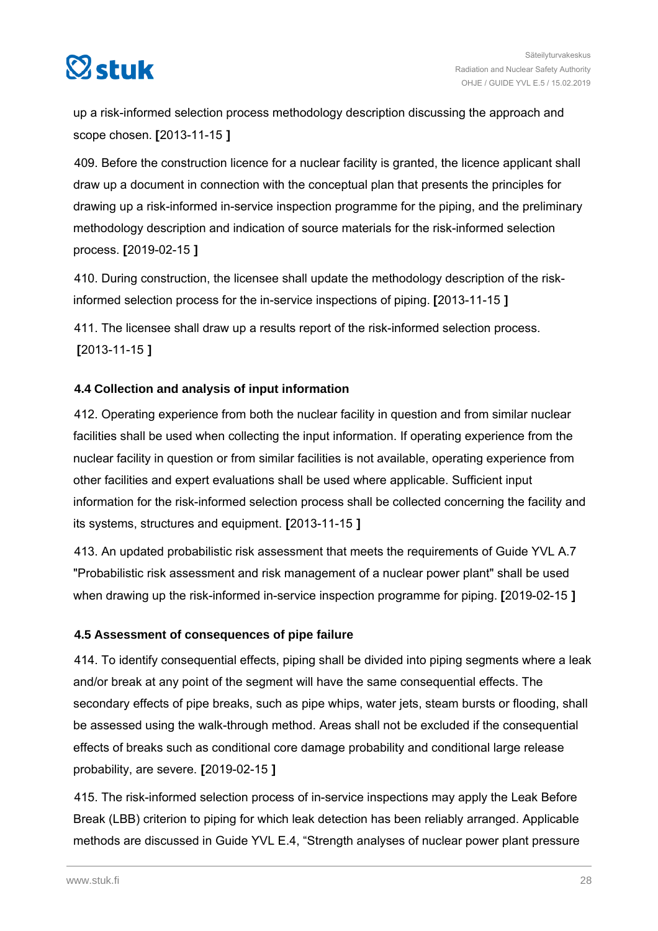<span id="page-27-0"></span>

up a risk-informed selection process methodology description discussing the approach and scope chosen. **[**2013-11-15 **]**

409. Before the construction licence for a nuclear facility is granted, the licence applicant shall draw up a document in connection with the conceptual plan that presents the principles for drawing up a risk-informed in-service inspection programme for the piping, and the preliminary methodology description and indication of source materials for the risk-informed selection process. **[**2019-02-15 **]**

410. During construction, the licensee shall update the methodology description of the riskinformed selection process for the in-service inspections of piping. **[**2013-11-15 **]**

411. The licensee shall draw up a results report of the risk-informed selection process. **[**2013-11-15 **]**

#### **4.4 Collection and analysis of input information**

412. Operating experience from both the nuclear facility in question and from similar nuclear facilities shall be used when collecting the input information. If operating experience from the nuclear facility in question or from similar facilities is not available, operating experience from other facilities and expert evaluations shall be used where applicable. Sufficient input information for the risk-informed selection process shall be collected concerning the facility and its systems, structures and equipment. **[**2013-11-15 **]**

413. An updated probabilistic risk assessment that meets the requirements of Guide YVL A.7 "Probabilistic risk assessment and risk management of a nuclear power plant" shall be used when drawing up the risk-informed in-service inspection programme for piping. **[**2019-02-15 **]**

#### **4.5 Assessment of consequences of pipe failure**

414. To identify consequential effects, piping shall be divided into piping segments where a leak and/or break at any point of the segment will have the same consequential effects. The secondary effects of pipe breaks, such as pipe whips, water jets, steam bursts or flooding, shall be assessed using the walk-through method. Areas shall not be excluded if the consequential effects of breaks such as conditional core damage probability and conditional large release probability, are severe. **[**2019-02-15 **]**

415. The risk-informed selection process of in-service inspections may apply the Leak Before Break (LBB) criterion to piping for which leak detection has been reliably arranged. Applicable methods are discussed in Guide YVL E.4, "Strength analyses of nuclear power plant pressure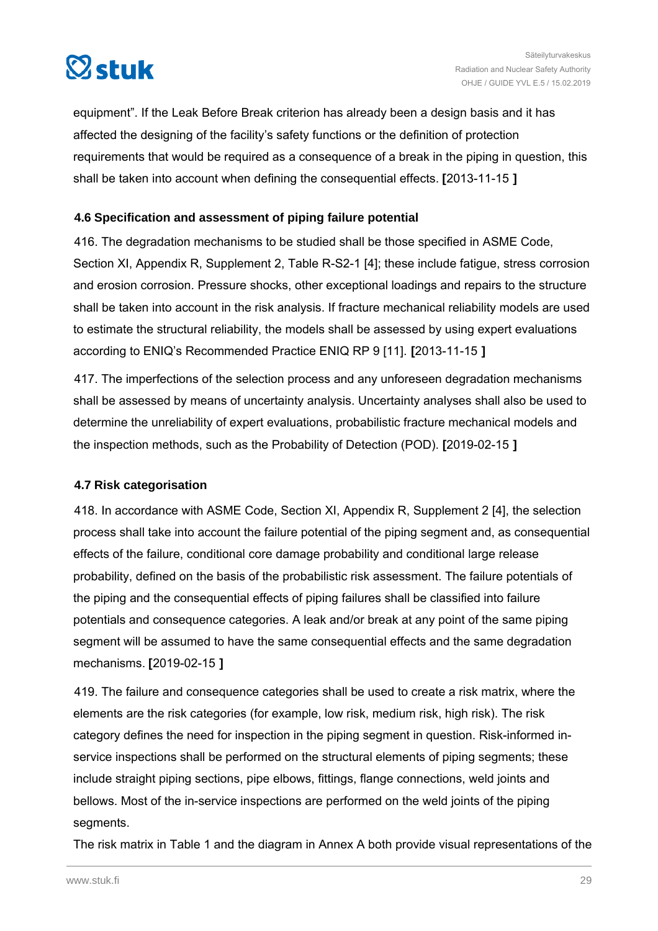<span id="page-28-0"></span>

equipment". If the Leak Before Break criterion has already been a design basis and it has affected the designing of the facility's safety functions or the definition of protection requirements that would be required as a consequence of a break in the piping in question, this shall be taken into account when defining the consequential effects. **[**2013-11-15 **]**

#### **4.6 Specification and assessment of piping failure potential**

416. The degradation mechanisms to be studied shall be those specified in ASME Code, Section XI, Appendix R, Supplement 2, Table R-S2-1 [4]; these include fatigue, stress corrosion and erosion corrosion. Pressure shocks, other exceptional loadings and repairs to the structure shall be taken into account in the risk analysis. If fracture mechanical reliability models are used to estimate the structural reliability, the models shall be assessed by using expert evaluations according to ENIQ's Recommended Practice ENIQ RP 9 [11]. **[**2013-11-15 **]**

417. The imperfections of the selection process and any unforeseen degradation mechanisms shall be assessed by means of uncertainty analysis. Uncertainty analyses shall also be used to determine the unreliability of expert evaluations, probabilistic fracture mechanical models and the inspection methods, such as the Probability of Detection (POD). **[**2019-02-15 **]**

#### **4.7 Risk categorisation**

418. In accordance with ASME Code, Section XI, Appendix R, Supplement 2 [4], the selection process shall take into account the failure potential of the piping segment and, as consequential effects of the failure, conditional core damage probability and conditional large release probability, defined on the basis of the probabilistic risk assessment. The failure potentials of the piping and the consequential effects of piping failures shall be classified into failure potentials and consequence categories. A leak and/or break at any point of the same piping segment will be assumed to have the same consequential effects and the same degradation mechanisms. **[**2019-02-15 **]**

419. The failure and consequence categories shall be used to create a risk matrix, where the elements are the risk categories (for example, low risk, medium risk, high risk). The risk category defines the need for inspection in the piping segment in question. Risk-informed inservice inspections shall be performed on the structural elements of piping segments; these include straight piping sections, pipe elbows, fittings, flange connections, weld joints and bellows. Most of the in-service inspections are performed on the weld joints of the piping segments.

The risk matrix in Table 1 and the diagram in Annex A both provide visual representations of the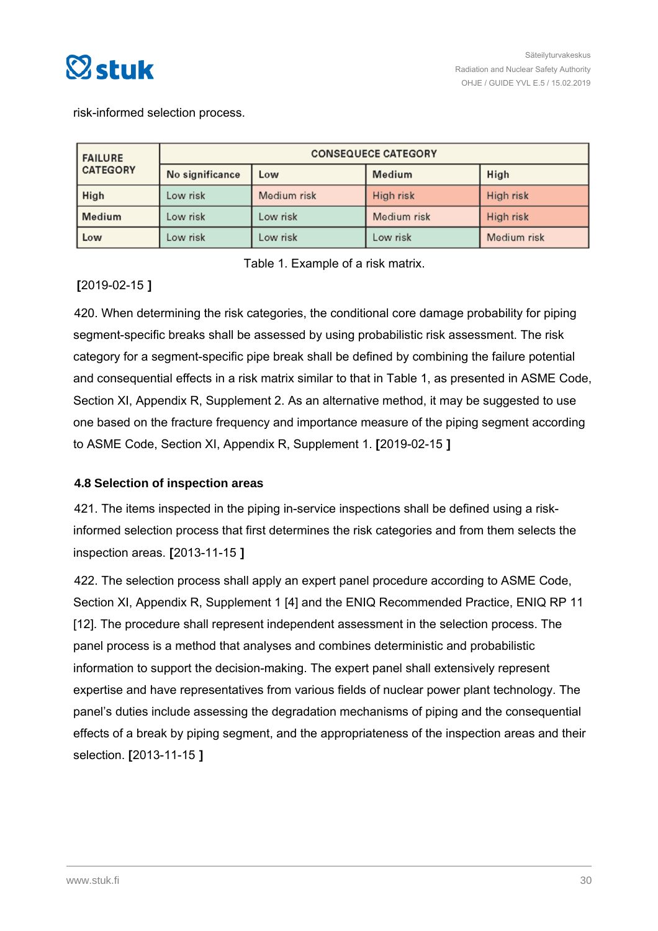<span id="page-29-0"></span>

risk-informed selection process.

| <b>FAILURE</b>  | <b>CONSEQUECE CATEGORY</b> |             |             |             |
|-----------------|----------------------------|-------------|-------------|-------------|
| <b>CATEGORY</b> | No significance            | Low         | Medium      | High        |
| High            | Low risk                   | Medium risk | High risk   | High risk   |
| Medium          | Low risk                   | Low risk    | Medium risk | High risk   |
| Low             | Low risk                   | Low risk    | Low risk    | Medium risk |

Table 1. Example of a risk matrix.

#### **[**2019-02-15 **]**

420. When determining the risk categories, the conditional core damage probability for piping segment-specific breaks shall be assessed by using probabilistic risk assessment. The risk category for a segment-specific pipe break shall be defined by combining the failure potential and consequential effects in a risk matrix similar to that in Table 1, as presented in ASME Code, Section XI, Appendix R, Supplement 2. As an alternative method, it may be suggested to use one based on the fracture frequency and importance measure of the piping segment according to ASME Code, Section XI, Appendix R, Supplement 1. **[**2019-02-15 **]**

#### **4.8 Selection of inspection areas**

421. The items inspected in the piping in-service inspections shall be defined using a riskinformed selection process that first determines the risk categories and from them selects the inspection areas. **[**2013-11-15 **]**

422. The selection process shall apply an expert panel procedure according to ASME Code, Section XI, Appendix R, Supplement 1 [4] and the ENIQ Recommended Practice, ENIQ RP 11 [12]. The procedure shall represent independent assessment in the selection process. The panel process is a method that analyses and combines deterministic and probabilistic information to support the decision-making. The expert panel shall extensively represent expertise and have representatives from various fields of nuclear power plant technology. The panel's duties include assessing the degradation mechanisms of piping and the consequential effects of a break by piping segment, and the appropriateness of the inspection areas and their selection. **[**2013-11-15 **]**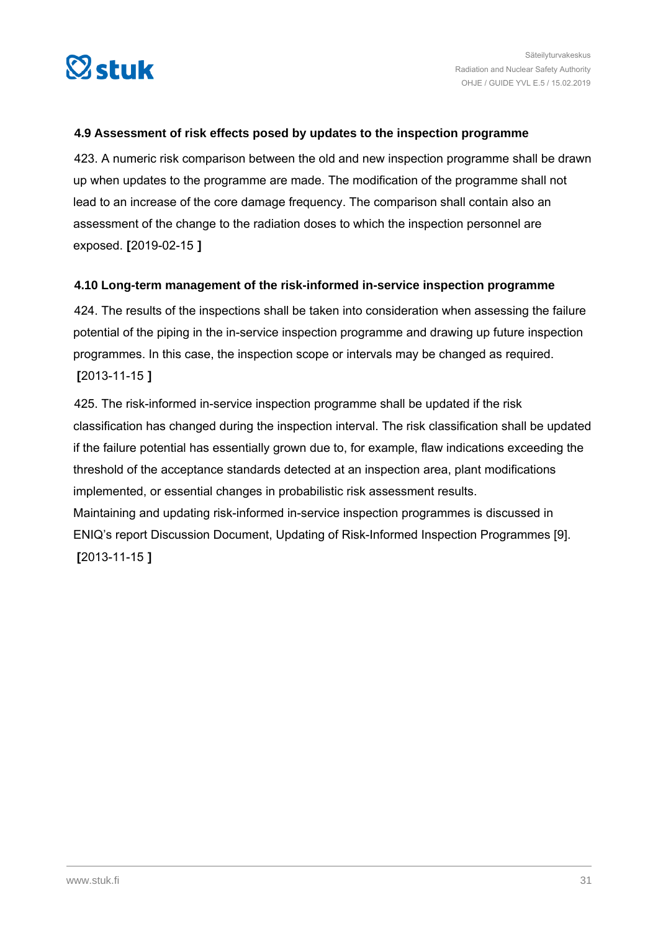<span id="page-30-0"></span>

#### **4.9 Assessment of risk effects posed by updates to the inspection programme**

423. A numeric risk comparison between the old and new inspection programme shall be drawn up when updates to the programme are made. The modification of the programme shall not lead to an increase of the core damage frequency. The comparison shall contain also an assessment of the change to the radiation doses to which the inspection personnel are exposed. **[**2019-02-15 **]**

#### **4.10 Long-term management of the risk-informed in-service inspection programme**

424. The results of the inspections shall be taken into consideration when assessing the failure potential of the piping in the in-service inspection programme and drawing up future inspection programmes. In this case, the inspection scope or intervals may be changed as required. **[**2013-11-15 **]**

425. The risk-informed in-service inspection programme shall be updated if the risk classification has changed during the inspection interval. The risk classification shall be updated if the failure potential has essentially grown due to, for example, flaw indications exceeding the threshold of the acceptance standards detected at an inspection area, plant modifications implemented, or essential changes in probabilistic risk assessment results. Maintaining and updating risk-informed in-service inspection programmes is discussed in ENIQ's report Discussion Document, Updating of Risk-Informed Inspection Programmes [9]. **[**2013-11-15 **]**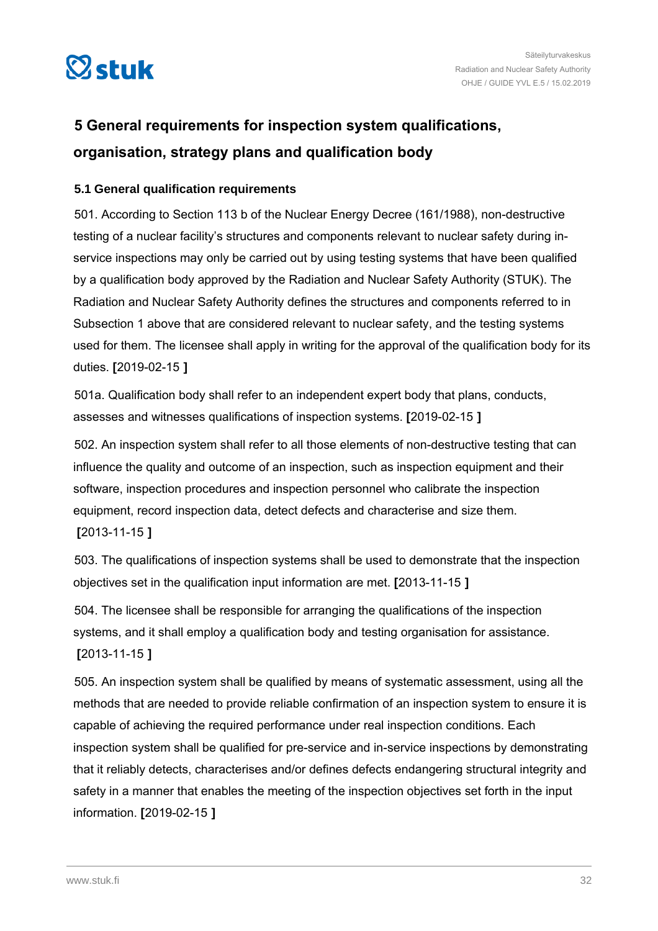<span id="page-31-0"></span>

# **5 General requirements for inspection system qualifications, organisation, strategy plans and qualification body**

#### **5.1 General qualification requirements**

501. According to Section 113 b of the Nuclear Energy Decree (161/1988), non-destructive testing of a nuclear facility's structures and components relevant to nuclear safety during inservice inspections may only be carried out by using testing systems that have been qualified by a qualification body approved by the Radiation and Nuclear Safety Authority (STUK). The Radiation and Nuclear Safety Authority defines the structures and components referred to in Subsection 1 above that are considered relevant to nuclear safety, and the testing systems used for them. The licensee shall apply in writing for the approval of the qualification body for its duties. **[**2019-02-15 **]**

501a. Qualification body shall refer to an independent expert body that plans, conducts, assesses and witnesses qualifications of inspection systems. **[**2019-02-15 **]**

502. An inspection system shall refer to all those elements of non-destructive testing that can influence the quality and outcome of an inspection, such as inspection equipment and their software, inspection procedures and inspection personnel who calibrate the inspection equipment, record inspection data, detect defects and characterise and size them. **[**2013-11-15 **]**

503. The qualifications of inspection systems shall be used to demonstrate that the inspection objectives set in the qualification input information are met. **[**2013-11-15 **]**

504. The licensee shall be responsible for arranging the qualifications of the inspection systems, and it shall employ a qualification body and testing organisation for assistance. **[**2013-11-15 **]**

505. An inspection system shall be qualified by means of systematic assessment, using all the methods that are needed to provide reliable confirmation of an inspection system to ensure it is capable of achieving the required performance under real inspection conditions. Each inspection system shall be qualified for pre-service and in-service inspections by demonstrating that it reliably detects, characterises and/or defines defects endangering structural integrity and safety in a manner that enables the meeting of the inspection objectives set forth in the input information. **[**2019-02-15 **]**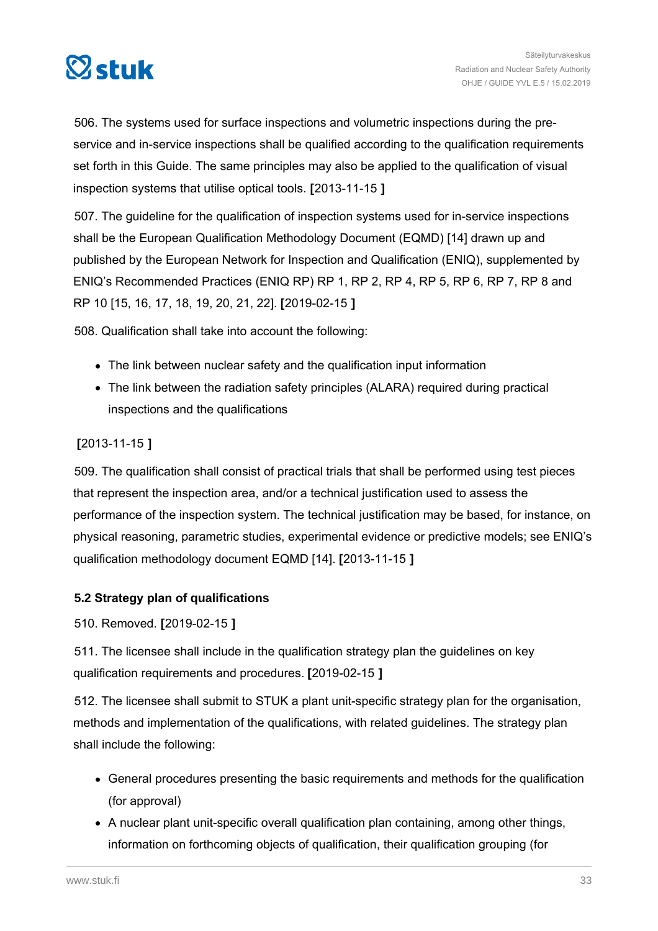<span id="page-32-0"></span>

506. The systems used for surface inspections and volumetric inspections during the preservice and in-service inspections shall be qualified according to the qualification requirements set forth in this Guide. The same principles may also be applied to the qualification of visual inspection systems that utilise optical tools. **[**2013-11-15 **]**

507. The guideline for the qualification of inspection systems used for in-service inspections shall be the European Qualification Methodology Document (EQMD) [14] drawn up and published by the European Network for Inspection and Qualification (ENIQ), supplemented by ENIQ's Recommended Practices (ENIQ RP) RP 1, RP 2, RP 4, RP 5, RP 6, RP 7, RP 8 and RP 10 [15, 16, 17, 18, 19, 20, 21, 22]. **[**2019-02-15 **]**

508. Qualification shall take into account the following:

- The link between nuclear safety and the qualification input information
- The link between the radiation safety principles (ALARA) required during practical inspections and the qualifications

#### **[**2013-11-15 **]**

509. The qualification shall consist of practical trials that shall be performed using test pieces that represent the inspection area, and/or a technical justification used to assess the performance of the inspection system. The technical justification may be based, for instance, on physical reasoning, parametric studies, experimental evidence or predictive models; see ENIQ's qualification methodology document EQMD [14]. **[**2013-11-15 **]**

#### **5.2 Strategy plan of qualifications**

510. Removed. **[**2019-02-15 **]**

511. The licensee shall include in the qualification strategy plan the guidelines on key qualification requirements and procedures. **[**2019-02-15 **]**

512. The licensee shall submit to STUK a plant unit-specific strategy plan for the organisation, methods and implementation of the qualifications, with related guidelines. The strategy plan shall include the following:

- General procedures presenting the basic requirements and methods for the qualification (for approval)
- A nuclear plant unit-specific overall qualification plan containing, among other things, information on forthcoming objects of qualification, their qualification grouping (for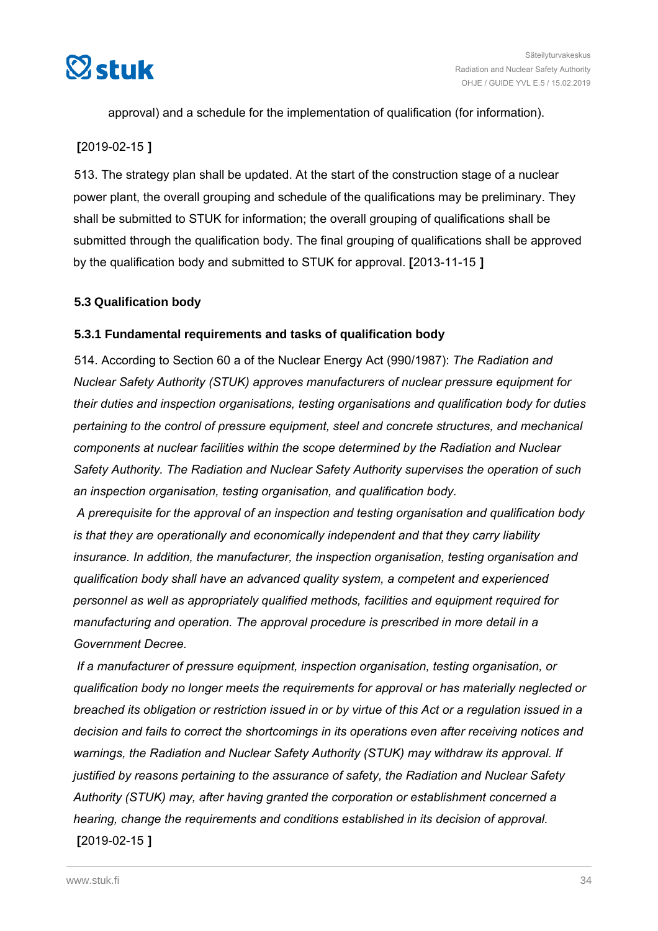<span id="page-33-0"></span>

approval) and a schedule for the implementation of qualification (for information).

#### **[**2019-02-15 **]**

513. The strategy plan shall be updated. At the start of the construction stage of a nuclear power plant, the overall grouping and schedule of the qualifications may be preliminary. They shall be submitted to STUK for information; the overall grouping of qualifications shall be submitted through the qualification body. The final grouping of qualifications shall be approved by the qualification body and submitted to STUK for approval. **[**2013-11-15 **]**

#### **5.3 Qualification body**

#### **5.3.1 Fundamental requirements and tasks of qualification body**

514. According to Section 60 a of the Nuclear Energy Act (990/1987): *The Radiation and Nuclear Safety Authority (STUK) approves manufacturers of nuclear pressure equipment for their duties and inspection organisations, testing organisations and qualification body for duties pertaining to the control of pressure equipment, steel and concrete structures, and mechanical components at nuclear facilities within the scope determined by the Radiation and Nuclear Safety Authority. The Radiation and Nuclear Safety Authority supervises the operation of such an inspection organisation, testing organisation, and qualification body.*

*A prerequisite for the approval of an inspection and testing organisation and qualification body is that they are operationally and economically independent and that they carry liability insurance. In addition, the manufacturer, the inspection organisation, testing organisation and qualification body shall have an advanced quality system, a competent and experienced personnel as well as appropriately qualified methods, facilities and equipment required for manufacturing and operation. The approval procedure is prescribed in more detail in a Government Decree.*

*If a manufacturer of pressure equipment, inspection organisation, testing organisation, or qualification body no longer meets the requirements for approval or has materially neglected or breached its obligation or restriction issued in or by virtue of this Act or a regulation issued in a decision and fails to correct the shortcomings in its operations even after receiving notices and warnings, the Radiation and Nuclear Safety Authority (STUK) may withdraw its approval. If justified by reasons pertaining to the assurance of safety, the Radiation and Nuclear Safety Authority (STUK) may, after having granted the corporation or establishment concerned a hearing, change the requirements and conditions established in its decision of approval.* **[**2019-02-15 **]**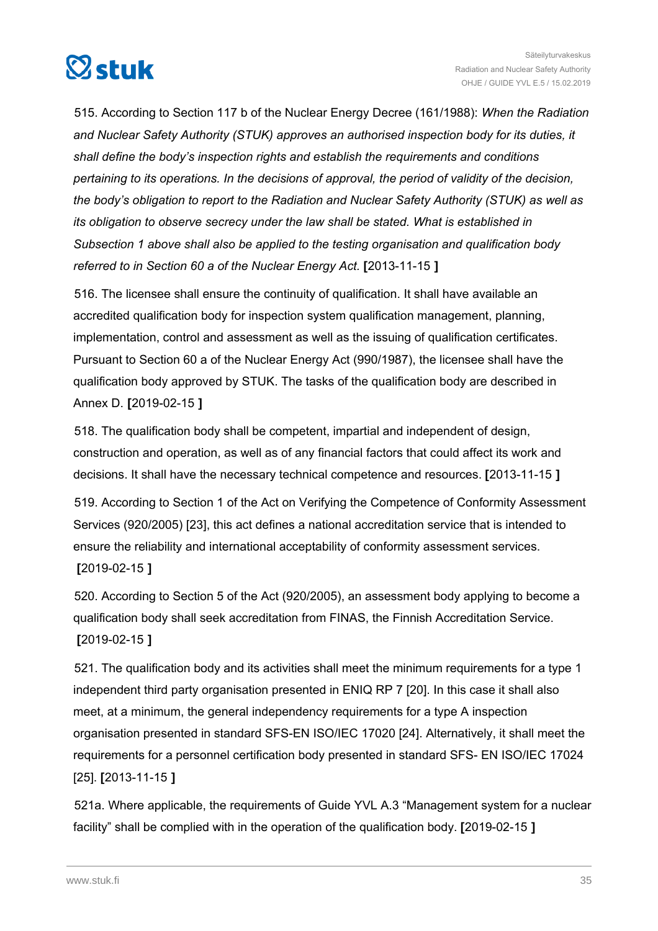

515. According to Section 117 b of the Nuclear Energy Decree (161/1988): *When the Radiation and Nuclear Safety Authority (STUK) approves an authorised inspection body for its duties, it shall define the body's inspection rights and establish the requirements and conditions pertaining to its operations. In the decisions of approval, the period of validity of the decision, the body's obligation to report to the Radiation and Nuclear Safety Authority (STUK) as well as its obligation to observe secrecy under the law shall be stated. What is established in Subsection 1 above shall also be applied to the testing organisation and qualification body referred to in Section 60 a of the Nuclear Energy Act.* **[**2013-11-15 **]**

516. The licensee shall ensure the continuity of qualification. It shall have available an accredited qualification body for inspection system qualification management, planning, implementation, control and assessment as well as the issuing of qualification certificates. Pursuant to Section 60 a of the Nuclear Energy Act (990/1987), the licensee shall have the qualification body approved by STUK. The tasks of the qualification body are described in Annex D. **[**2019-02-15 **]**

518. The qualification body shall be competent, impartial and independent of design, construction and operation, as well as of any financial factors that could affect its work and decisions. It shall have the necessary technical competence and resources. **[**2013-11-15 **]**

519. According to Section 1 of the Act on Verifying the Competence of Conformity Assessment Services (920/2005) [23], this act defines a national accreditation service that is intended to ensure the reliability and international acceptability of conformity assessment services. **[**2019-02-15 **]**

520. According to Section 5 of the Act (920/2005), an assessment body applying to become a qualification body shall seek accreditation from FINAS, the Finnish Accreditation Service. **[**2019-02-15 **]**

521. The qualification body and its activities shall meet the minimum requirements for a type 1 independent third party organisation presented in ENIQ RP 7 [20]. In this case it shall also meet, at a minimum, the general independency requirements for a type A inspection organisation presented in standard SFS-EN ISO/IEC 17020 [24]. Alternatively, it shall meet the requirements for a personnel certification body presented in standard SFS- EN ISO/IEC 17024 [25]. **[**2013-11-15 **]**

521a. Where applicable, the requirements of Guide YVL A.3 "Management system for a nuclear facility" shall be complied with in the operation of the qualification body. **[**2019-02-15 **]**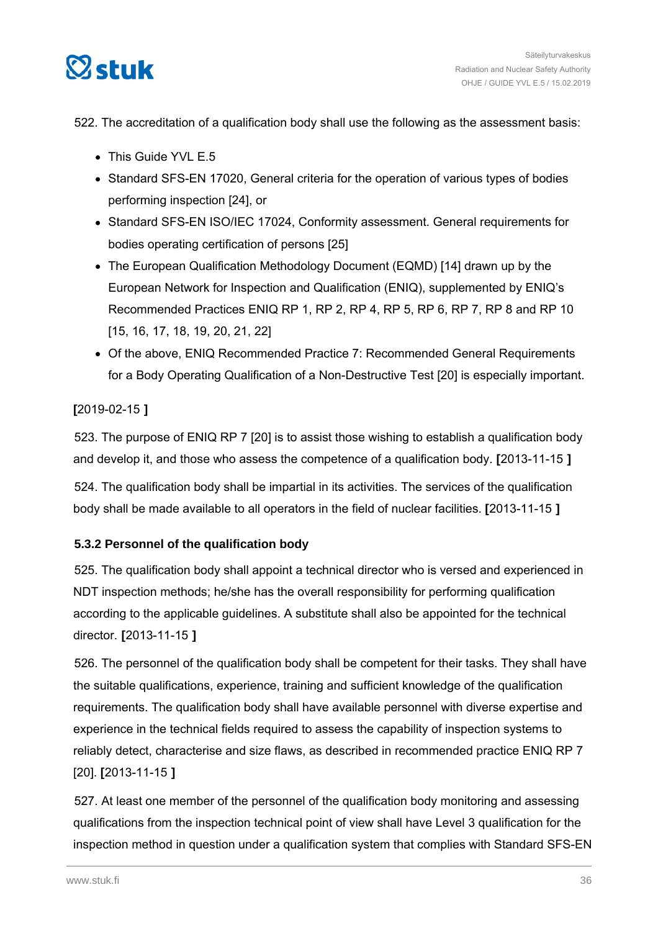<span id="page-35-0"></span>

## 522. The accreditation of a qualification body shall use the following as the assessment basis:

- This Guide YVL E.5
- Standard SFS-EN 17020, General criteria for the operation of various types of bodies performing inspection [24], or
- Standard SFS-EN ISO/IEC 17024, Conformity assessment. General requirements for bodies operating certification of persons [25]
- The European Qualification Methodology Document (EQMD) [14] drawn up by the European Network for Inspection and Qualification (ENIQ), supplemented by ENIQ's Recommended Practices ENIQ RP 1, RP 2, RP 4, RP 5, RP 6, RP 7, RP 8 and RP 10 [15, 16, 17, 18, 19, 20, 21, 22]
- Of the above, ENIQ Recommended Practice 7: Recommended General Requirements for a Body Operating Qualification of a Non-Destructive Test [20] is especially important.

## **[**2019-02-15 **]**

523. The purpose of ENIQ RP 7 [20] is to assist those wishing to establish a qualification body and develop it, and those who assess the competence of a qualification body. **[**2013-11-15 **]**

524. The qualification body shall be impartial in its activities. The services of the qualification body shall be made available to all operators in the field of nuclear facilities. **[**2013-11-15 **]**

## **5.3.2 Personnel of the qualification body**

525. The qualification body shall appoint a technical director who is versed and experienced in NDT inspection methods; he/she has the overall responsibility for performing qualification according to the applicable guidelines. A substitute shall also be appointed for the technical director. **[**2013-11-15 **]**

526. The personnel of the qualification body shall be competent for their tasks. They shall have the suitable qualifications, experience, training and sufficient knowledge of the qualification requirements. The qualification body shall have available personnel with diverse expertise and experience in the technical fields required to assess the capability of inspection systems to reliably detect, characterise and size flaws, as described in recommended practice ENIQ RP 7 [20]. **[**2013-11-15 **]**

527. At least one member of the personnel of the qualification body monitoring and assessing qualifications from the inspection technical point of view shall have Level 3 qualification for the inspection method in question under a qualification system that complies with Standard SFS-EN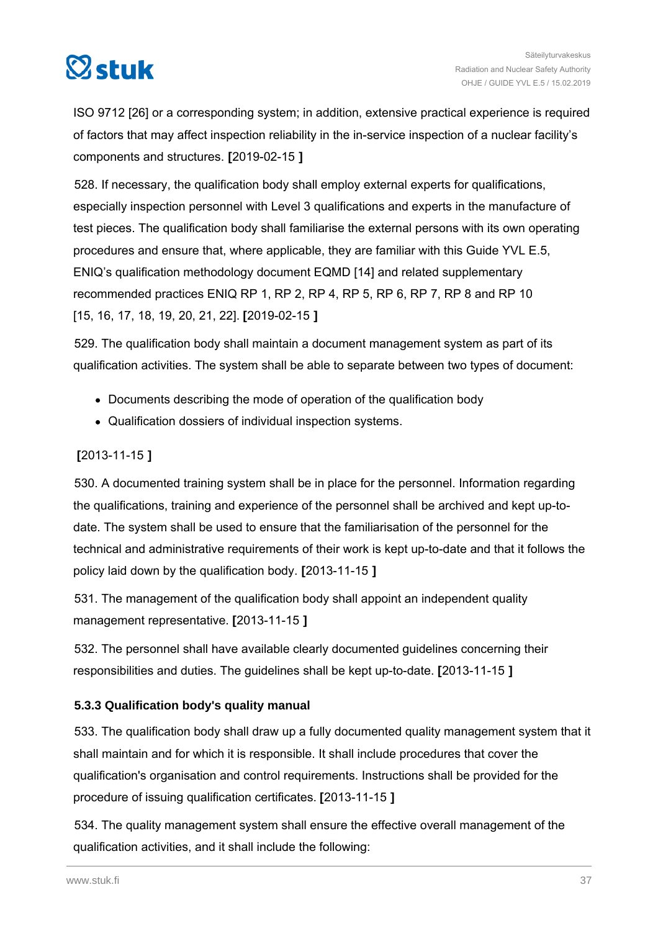

ISO 9712 [26] or a corresponding system; in addition, extensive practical experience is required of factors that may affect inspection reliability in the in-service inspection of a nuclear facility's components and structures. **[**2019-02-15 **]**

528. If necessary, the qualification body shall employ external experts for qualifications, especially inspection personnel with Level 3 qualifications and experts in the manufacture of test pieces. The qualification body shall familiarise the external persons with its own operating procedures and ensure that, where applicable, they are familiar with this Guide YVL E.5, ENIQ's qualification methodology document EQMD [14] and related supplementary recommended practices ENIQ RP 1, RP 2, RP 4, RP 5, RP 6, RP 7, RP 8 and RP 10 [15, 16, 17, 18, 19, 20, 21, 22]. **[**2019-02-15 **]**

529. The qualification body shall maintain a document management system as part of its qualification activities. The system shall be able to separate between two types of document:

- Documents describing the mode of operation of the qualification body
- Qualification dossiers of individual inspection systems.

## **[**2013-11-15 **]**

530. A documented training system shall be in place for the personnel. Information regarding the qualifications, training and experience of the personnel shall be archived and kept up-todate. The system shall be used to ensure that the familiarisation of the personnel for the technical and administrative requirements of their work is kept up-to-date and that it follows the policy laid down by the qualification body. **[**2013-11-15 **]**

531. The management of the qualification body shall appoint an independent quality management representative. **[**2013-11-15 **]**

532. The personnel shall have available clearly documented guidelines concerning their responsibilities and duties. The guidelines shall be kept up-to-date. **[**2013-11-15 **]**

#### **5.3.3 Qualification body's quality manual**

533. The qualification body shall draw up a fully documented quality management system that it shall maintain and for which it is responsible. It shall include procedures that cover the qualification's organisation and control requirements. Instructions shall be provided for the procedure of issuing qualification certificates. **[**2013-11-15 **]**

534. The quality management system shall ensure the effective overall management of the qualification activities, and it shall include the following: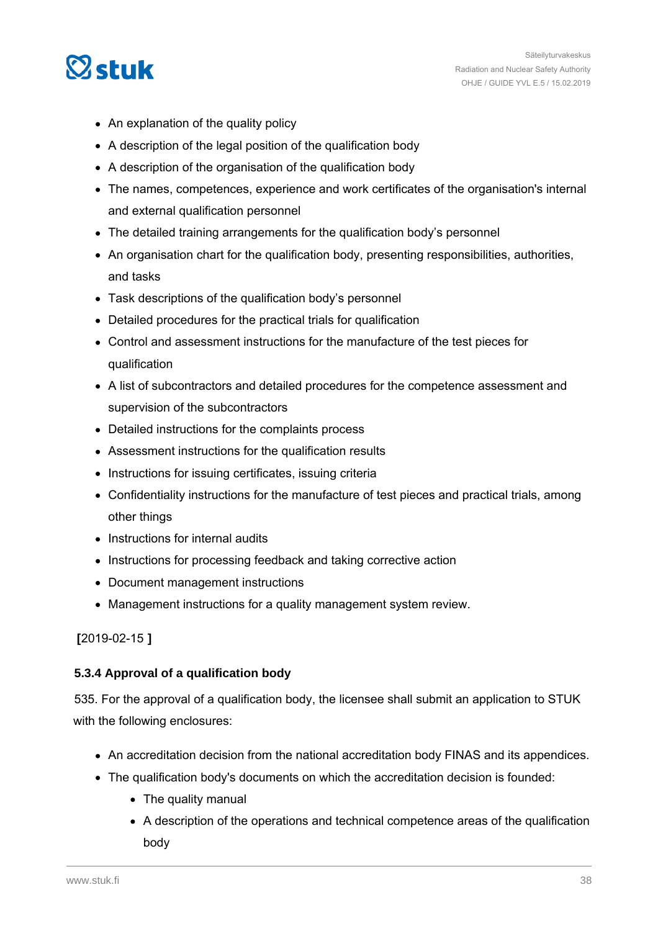

- An explanation of the quality policy
- A description of the legal position of the qualification body
- A description of the organisation of the qualification body
- The names, competences, experience and work certificates of the organisation's internal and external qualification personnel
- The detailed training arrangements for the qualification body's personnel
- An organisation chart for the qualification body, presenting responsibilities, authorities, and tasks
- Task descriptions of the qualification body's personnel
- Detailed procedures for the practical trials for qualification
- Control and assessment instructions for the manufacture of the test pieces for qualification
- A list of subcontractors and detailed procedures for the competence assessment and supervision of the subcontractors
- Detailed instructions for the complaints process
- Assessment instructions for the qualification results
- Instructions for issuing certificates, issuing criteria
- Confidentiality instructions for the manufacture of test pieces and practical trials, among other things
- Instructions for internal audits
- Instructions for processing feedback and taking corrective action
- Document management instructions
- Management instructions for a quality management system review.

#### **[**2019-02-15 **]**

#### **5.3.4 Approval of a qualification body**

535. For the approval of a qualification body, the licensee shall submit an application to STUK with the following enclosures:

- An accreditation decision from the national accreditation body FINAS and its appendices.
- The qualification body's documents on which the accreditation decision is founded:
	- The quality manual
	- A description of the operations and technical competence areas of the qualification body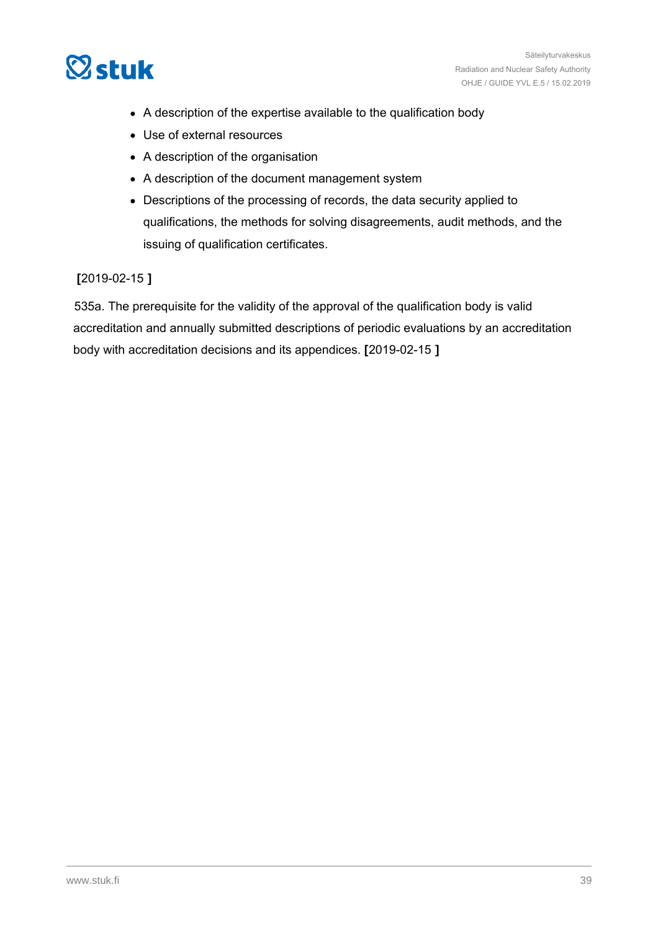

- A description of the expertise available to the qualification body
- Use of external resources
- A description of the organisation
- A description of the document management system
- Descriptions of the processing of records, the data security applied to qualifications, the methods for solving disagreements, audit methods, and the issuing of qualification certificates.

#### **[**2019-02-15 **]**

535a. The prerequisite for the validity of the approval of the qualification body is valid accreditation and annually submitted descriptions of periodic evaluations by an accreditation body with accreditation decisions and its appendices. **[**2019-02-15 **]**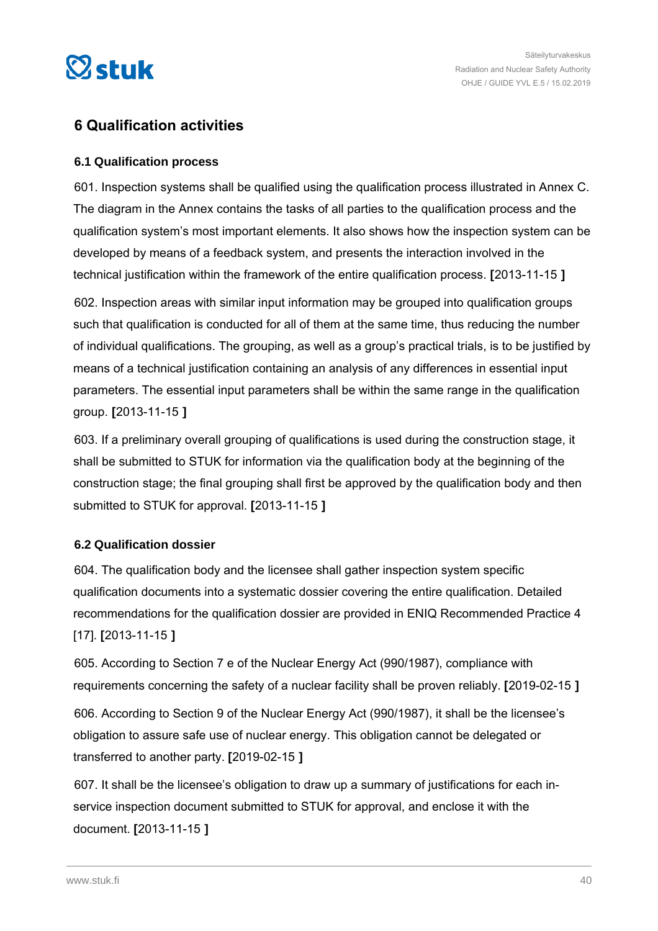

# **6 Qualification activities**

#### **6.1 Qualification process**

601. Inspection systems shall be qualified using the qualification process illustrated in Annex C. The diagram in the Annex contains the tasks of all parties to the qualification process and the qualification system's most important elements. It also shows how the inspection system can be developed by means of a feedback system, and presents the interaction involved in the technical justification within the framework of the entire qualification process. **[**2013-11-15 **]**

602. Inspection areas with similar input information may be grouped into qualification groups such that qualification is conducted for all of them at the same time, thus reducing the number of individual qualifications. The grouping, as well as a group's practical trials, is to be justified by means of a technical justification containing an analysis of any differences in essential input parameters. The essential input parameters shall be within the same range in the qualification group. **[**2013-11-15 **]**

603. If a preliminary overall grouping of qualifications is used during the construction stage, it shall be submitted to STUK for information via the qualification body at the beginning of the construction stage; the final grouping shall first be approved by the qualification body and then submitted to STUK for approval. **[**2013-11-15 **]**

#### **6.2 Qualification dossier**

604. The qualification body and the licensee shall gather inspection system specific qualification documents into a systematic dossier covering the entire qualification. Detailed recommendations for the qualification dossier are provided in ENIQ Recommended Practice 4 [17]. **[**2013-11-15 **]**

605. According to Section 7 e of the Nuclear Energy Act (990/1987), compliance with requirements concerning the safety of a nuclear facility shall be proven reliably. **[**2019-02-15 **]**

606. According to Section 9 of the Nuclear Energy Act (990/1987), it shall be the licensee's obligation to assure safe use of nuclear energy. This obligation cannot be delegated or transferred to another party. **[**2019-02-15 **]**

607. It shall be the licensee's obligation to draw up a summary of justifications for each inservice inspection document submitted to STUK for approval, and enclose it with the document. **[**2013-11-15 **]**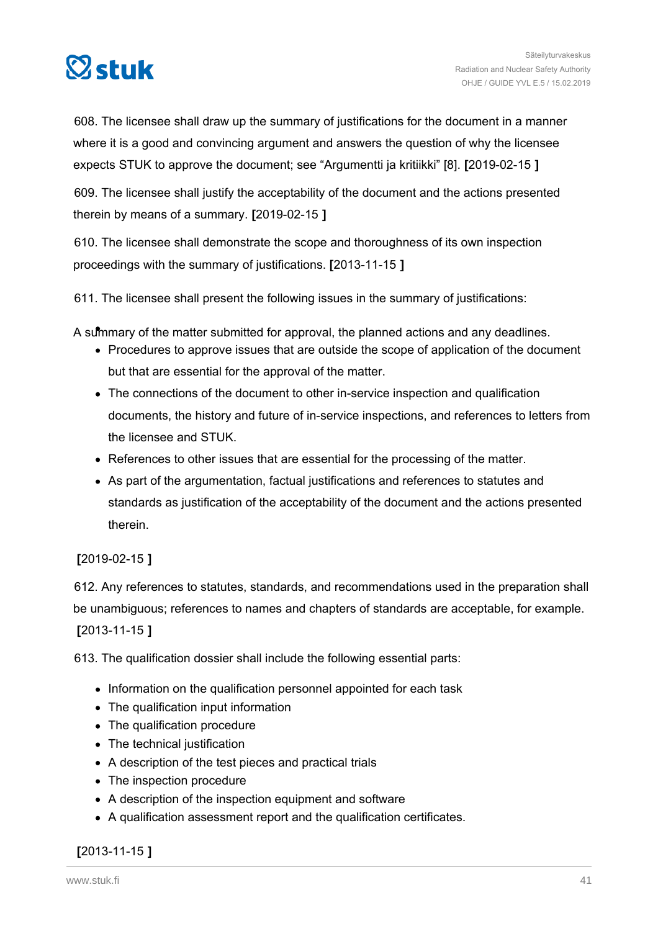

608. The licensee shall draw up the summary of justifications for the document in a manner where it is a good and convincing argument and answers the question of why the licensee expects STUK to approve the document; see "Argumentti ja kritiikki" [8]. **[**2019-02-15 **]**

609. The licensee shall justify the acceptability of the document and the actions presented therein by means of a summary. **[**2019-02-15 **]**

610. The licensee shall demonstrate the scope and thoroughness of its own inspection proceedings with the summary of justifications. **[**2013-11-15 **]**

611. The licensee shall present the following issues in the summary of justifications:

A summary of the matter submitted for approval, the planned actions and any deadlines.

- Procedures to approve issues that are outside the scope of application of the document but that are essential for the approval of the matter.
- The connections of the document to other in-service inspection and qualification documents, the history and future of in-service inspections, and references to letters from the licensee and STUK.
- References to other issues that are essential for the processing of the matter.
- As part of the argumentation, factual justifications and references to statutes and standards as justification of the acceptability of the document and the actions presented therein.

#### **[**2019-02-15 **]**

612. Any references to statutes, standards, and recommendations used in the preparation shall be unambiguous; references to names and chapters of standards are acceptable, for example. **[**2013-11-15 **]**

613. The qualification dossier shall include the following essential parts:

- Information on the qualification personnel appointed for each task
- The qualification input information
- The qualification procedure
- The technical justification
- A description of the test pieces and practical trials
- The inspection procedure
- A description of the inspection equipment and software
- A qualification assessment report and the qualification certificates.

#### **[**2013-11-15 **]**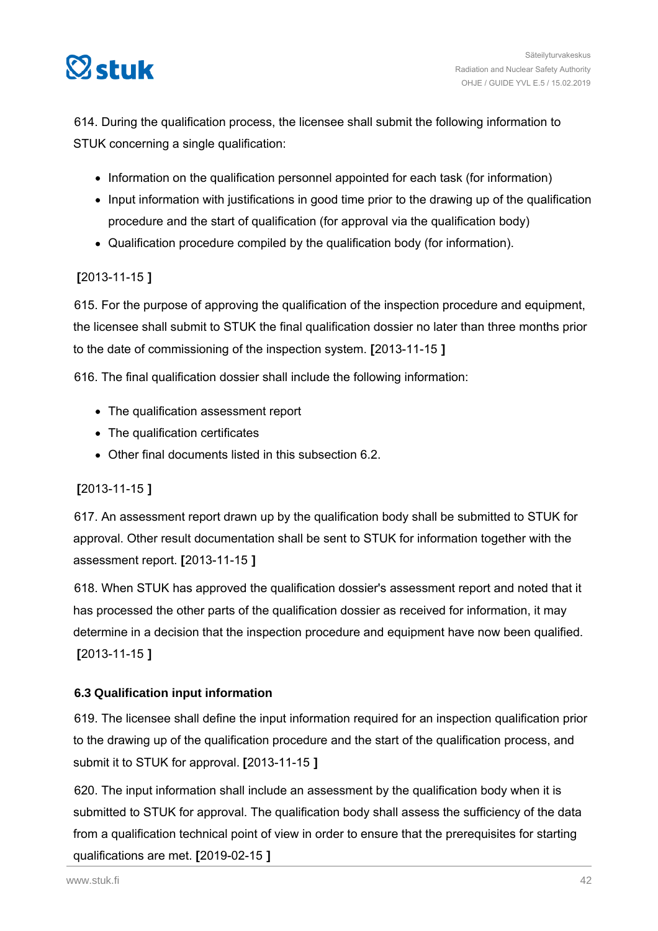

614. During the qualification process, the licensee shall submit the following information to STUK concerning a single qualification:

- Information on the qualification personnel appointed for each task (for information)
- Input information with justifications in good time prior to the drawing up of the qualification procedure and the start of qualification (for approval via the qualification body)
- Qualification procedure compiled by the qualification body (for information).

## **[**2013-11-15 **]**

615. For the purpose of approving the qualification of the inspection procedure and equipment, the licensee shall submit to STUK the final qualification dossier no later than three months prior to the date of commissioning of the inspection system. **[**2013-11-15 **]**

616. The final qualification dossier shall include the following information:

- The qualification assessment report
- The qualification certificates
- Other final documents listed in this subsection 6.2.

## **[**2013-11-15 **]**

617. An assessment report drawn up by the qualification body shall be submitted to STUK for approval. Other result documentation shall be sent to STUK for information together with the assessment report. **[**2013-11-15 **]**

618. When STUK has approved the qualification dossier's assessment report and noted that it has processed the other parts of the qualification dossier as received for information, it may determine in a decision that the inspection procedure and equipment have now been qualified. **[**2013-11-15 **]**

#### **6.3 Qualification input information**

619. The licensee shall define the input information required for an inspection qualification prior to the drawing up of the qualification procedure and the start of the qualification process, and submit it to STUK for approval. **[**2013-11-15 **]**

620. The input information shall include an assessment by the qualification body when it is submitted to STUK for approval. The qualification body shall assess the sufficiency of the data from a qualification technical point of view in order to ensure that the prerequisites for starting qualifications are met. **[**2019-02-15 **]**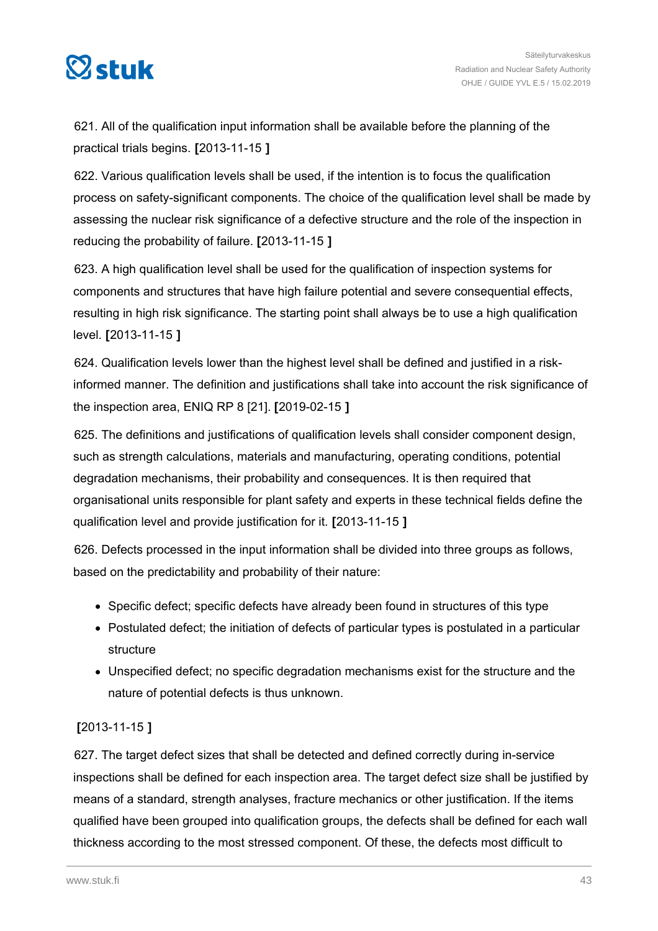

621. All of the qualification input information shall be available before the planning of the practical trials begins. **[**2013-11-15 **]**

622. Various qualification levels shall be used, if the intention is to focus the qualification process on safety-significant components. The choice of the qualification level shall be made by assessing the nuclear risk significance of a defective structure and the role of the inspection in reducing the probability of failure. **[**2013-11-15 **]**

623. A high qualification level shall be used for the qualification of inspection systems for components and structures that have high failure potential and severe consequential effects, resulting in high risk significance. The starting point shall always be to use a high qualification level. **[**2013-11-15 **]**

624. Qualification levels lower than the highest level shall be defined and justified in a riskinformed manner. The definition and justifications shall take into account the risk significance of the inspection area, ENIQ RP 8 [21]. **[**2019-02-15 **]**

625. The definitions and justifications of qualification levels shall consider component design, such as strength calculations, materials and manufacturing, operating conditions, potential degradation mechanisms, their probability and consequences. It is then required that organisational units responsible for plant safety and experts in these technical fields define the qualification level and provide justification for it. **[**2013-11-15 **]**

626. Defects processed in the input information shall be divided into three groups as follows, based on the predictability and probability of their nature:

- Specific defect; specific defects have already been found in structures of this type
- Postulated defect; the initiation of defects of particular types is postulated in a particular structure
- Unspecified defect; no specific degradation mechanisms exist for the structure and the nature of potential defects is thus unknown.

## **[**2013-11-15 **]**

627. The target defect sizes that shall be detected and defined correctly during in-service inspections shall be defined for each inspection area. The target defect size shall be justified by means of a standard, strength analyses, fracture mechanics or other justification. If the items qualified have been grouped into qualification groups, the defects shall be defined for each wall thickness according to the most stressed component. Of these, the defects most difficult to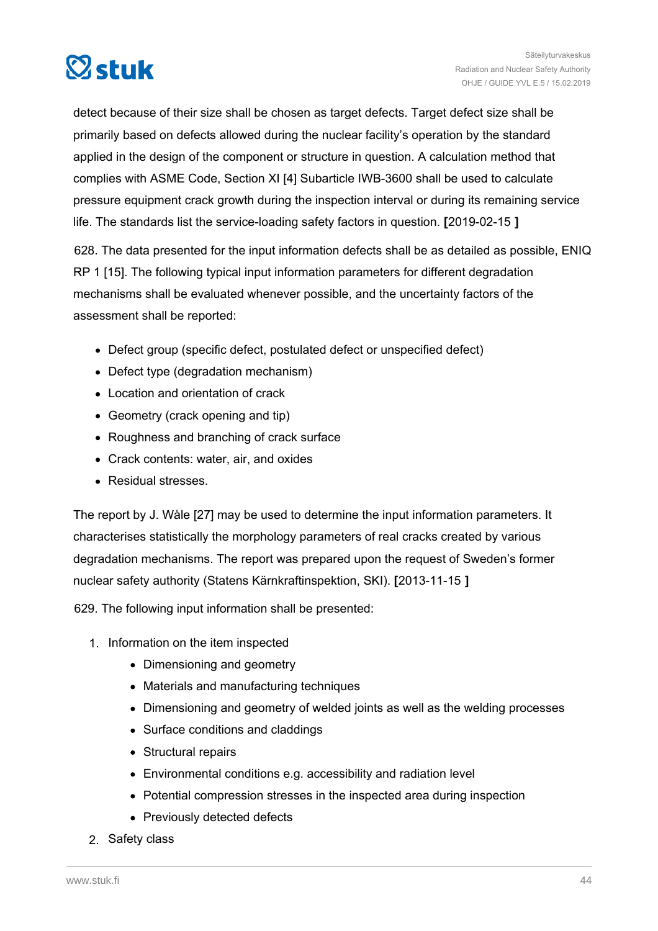

detect because of their size shall be chosen as target defects. Target defect size shall be primarily based on defects allowed during the nuclear facility's operation by the standard applied in the design of the component or structure in question. A calculation method that complies with ASME Code, Section XI [4] Subarticle IWB-3600 shall be used to calculate pressure equipment crack growth during the inspection interval or during its remaining service life. The standards list the service-loading safety factors in question. **[**2019-02-15 **]**

628. The data presented for the input information defects shall be as detailed as possible, ENIQ RP 1 [15]. The following typical input information parameters for different degradation mechanisms shall be evaluated whenever possible, and the uncertainty factors of the assessment shall be reported:

- Defect group (specific defect, postulated defect or unspecified defect)
- Defect type (degradation mechanism)
- Location and orientation of crack
- Geometry (crack opening and tip)
- Roughness and branching of crack surface
- Crack contents: water, air, and oxides
- Residual stresses.

The report by J. Wåle [27] may be used to determine the input information parameters. It characterises statistically the morphology parameters of real cracks created by various degradation mechanisms. The report was prepared upon the request of Sweden's former nuclear safety authority (Statens Kärnkraftinspektion, SKI). **[**2013-11-15 **]**

629. The following input information shall be presented:

- 1. Information on the item inspected
	- Dimensioning and geometry
	- Materials and manufacturing techniques
	- Dimensioning and geometry of welded joints as well as the welding processes
	- Surface conditions and claddings
	- Structural repairs
	- Environmental conditions e.g. accessibility and radiation level
	- Potential compression stresses in the inspected area during inspection
	- Previously detected defects
- 2. Safety class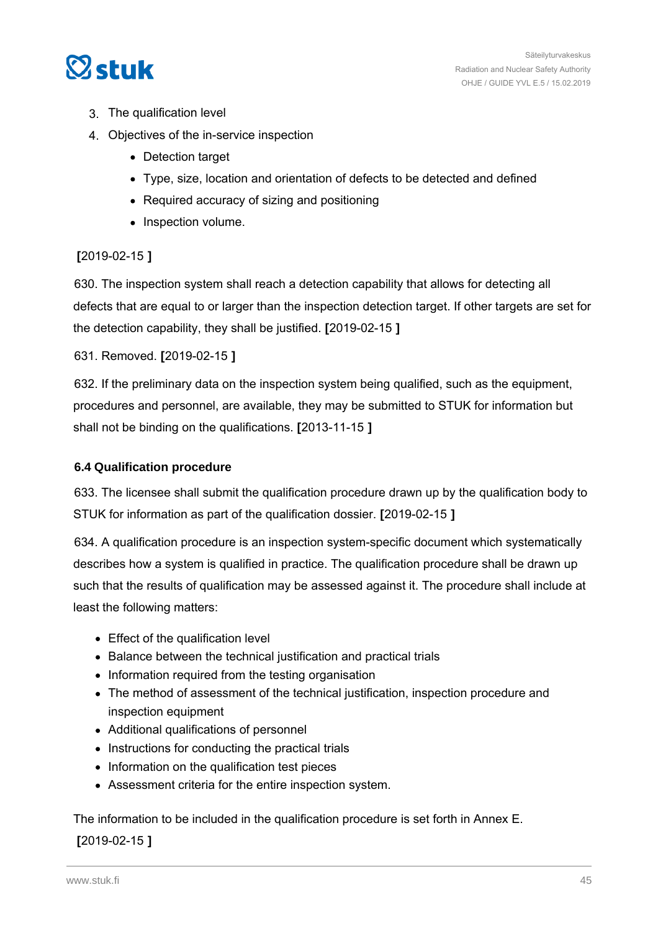

- 3. The qualification level
- 4. Objectives of the in-service inspection
	- Detection target
	- Type, size, location and orientation of defects to be detected and defined
	- Required accuracy of sizing and positioning
	- Inspection volume.

#### **[**2019-02-15 **]**

630. The inspection system shall reach a detection capability that allows for detecting all defects that are equal to or larger than the inspection detection target. If other targets are set for the detection capability, they shall be justified. **[**2019-02-15 **]**

631. Removed. **[**2019-02-15 **]**

632. If the preliminary data on the inspection system being qualified, such as the equipment, procedures and personnel, are available, they may be submitted to STUK for information but shall not be binding on the qualifications. **[**2013-11-15 **]**

#### **6.4 Qualification procedure**

633. The licensee shall submit the qualification procedure drawn up by the qualification body to STUK for information as part of the qualification dossier. **[**2019-02-15 **]**

634. A qualification procedure is an inspection system-specific document which systematically describes how a system is qualified in practice. The qualification procedure shall be drawn up such that the results of qualification may be assessed against it. The procedure shall include at least the following matters:

- Effect of the qualification level
- Balance between the technical justification and practical trials
- Information required from the testing organisation
- The method of assessment of the technical justification, inspection procedure and inspection equipment
- Additional qualifications of personnel
- Instructions for conducting the practical trials
- Information on the qualification test pieces
- Assessment criteria for the entire inspection system.

The information to be included in the qualification procedure is set forth in Annex E.

#### **[**2019-02-15 **]**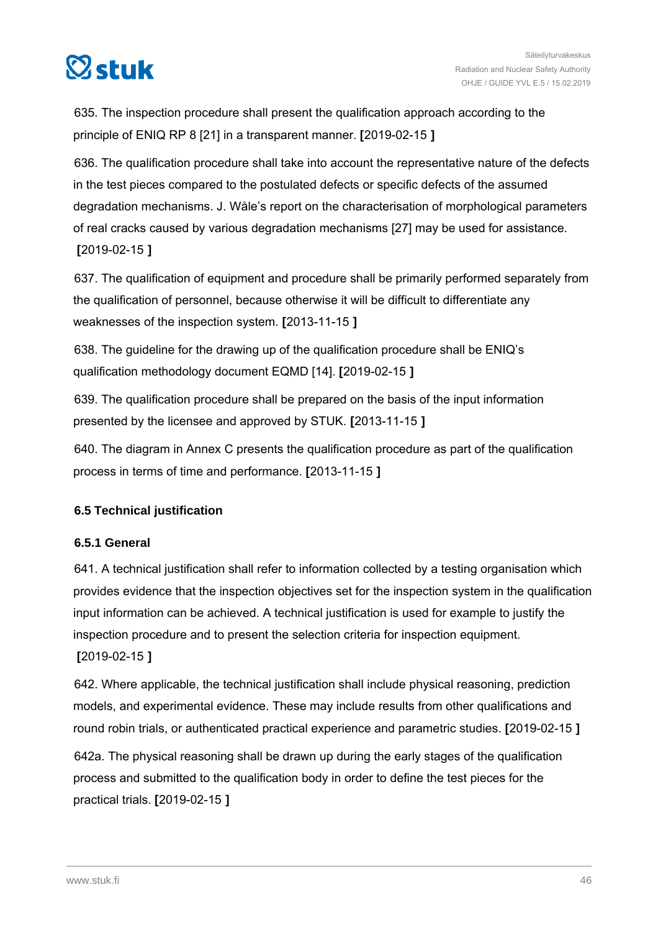

635. The inspection procedure shall present the qualification approach according to the principle of ENIQ RP 8 [21] in a transparent manner. **[**2019-02-15 **]**

636. The qualification procedure shall take into account the representative nature of the defects in the test pieces compared to the postulated defects or specific defects of the assumed degradation mechanisms. J. Wåle's report on the characterisation of morphological parameters of real cracks caused by various degradation mechanisms [27] may be used for assistance. **[**2019-02-15 **]**

637. The qualification of equipment and procedure shall be primarily performed separately from the qualification of personnel, because otherwise it will be difficult to differentiate any weaknesses of the inspection system. **[**2013-11-15 **]**

638. The guideline for the drawing up of the qualification procedure shall be ENIQ's qualification methodology document EQMD [14]. **[**2019-02-15 **]**

639. The qualification procedure shall be prepared on the basis of the input information presented by the licensee and approved by STUK. **[**2013-11-15 **]**

640. The diagram in Annex C presents the qualification procedure as part of the qualification process in terms of time and performance. **[**2013-11-15 **]**

## **6.5 Technical justification**

## **6.5.1 General**

641. A technical justification shall refer to information collected by a testing organisation which provides evidence that the inspection objectives set for the inspection system in the qualification input information can be achieved. A technical justification is used for example to justify the inspection procedure and to present the selection criteria for inspection equipment. **[**2019-02-15 **]**

642. Where applicable, the technical justification shall include physical reasoning, prediction models, and experimental evidence. These may include results from other qualifications and round robin trials, or authenticated practical experience and parametric studies. **[**2019-02-15 **]**

642a. The physical reasoning shall be drawn up during the early stages of the qualification process and submitted to the qualification body in order to define the test pieces for the practical trials. **[**2019-02-15 **]**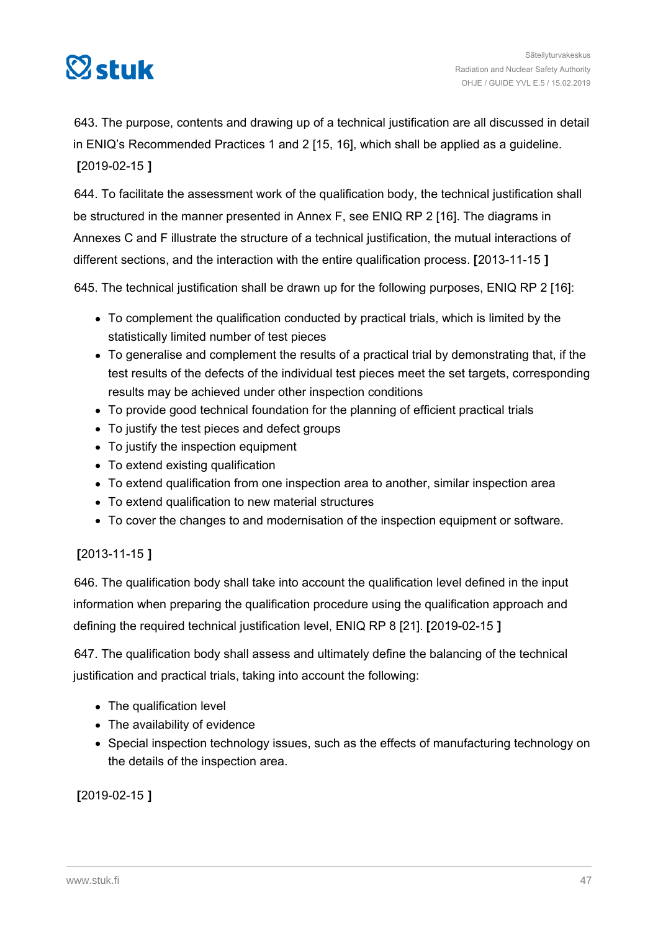

643. The purpose, contents and drawing up of a technical justification are all discussed in detail in ENIQ's Recommended Practices 1 and 2 [15, 16], which shall be applied as a guideline. **[**2019-02-15 **]**

644. To facilitate the assessment work of the qualification body, the technical justification shall be structured in the manner presented in Annex F, see ENIQ RP 2 [16]. The diagrams in Annexes C and F illustrate the structure of a technical justification, the mutual interactions of different sections, and the interaction with the entire qualification process. **[**2013-11-15 **]**

645. The technical justification shall be drawn up for the following purposes, ENIQ RP 2 [16]:

- To complement the qualification conducted by practical trials, which is limited by the statistically limited number of test pieces
- To generalise and complement the results of a practical trial by demonstrating that, if the test results of the defects of the individual test pieces meet the set targets, corresponding results may be achieved under other inspection conditions
- To provide good technical foundation for the planning of efficient practical trials
- To justify the test pieces and defect groups
- To justify the inspection equipment
- To extend existing qualification
- To extend qualification from one inspection area to another, similar inspection area
- To extend qualification to new material structures
- To cover the changes to and modernisation of the inspection equipment or software.

## **[**2013-11-15 **]**

646. The qualification body shall take into account the qualification level defined in the input information when preparing the qualification procedure using the qualification approach and defining the required technical justification level, ENIQ RP 8 [21]. **[**2019-02-15 **]**

647. The qualification body shall assess and ultimately define the balancing of the technical justification and practical trials, taking into account the following:

- The qualification level
- The availability of evidence
- Special inspection technology issues, such as the effects of manufacturing technology on the details of the inspection area.

**[**2019-02-15 **]**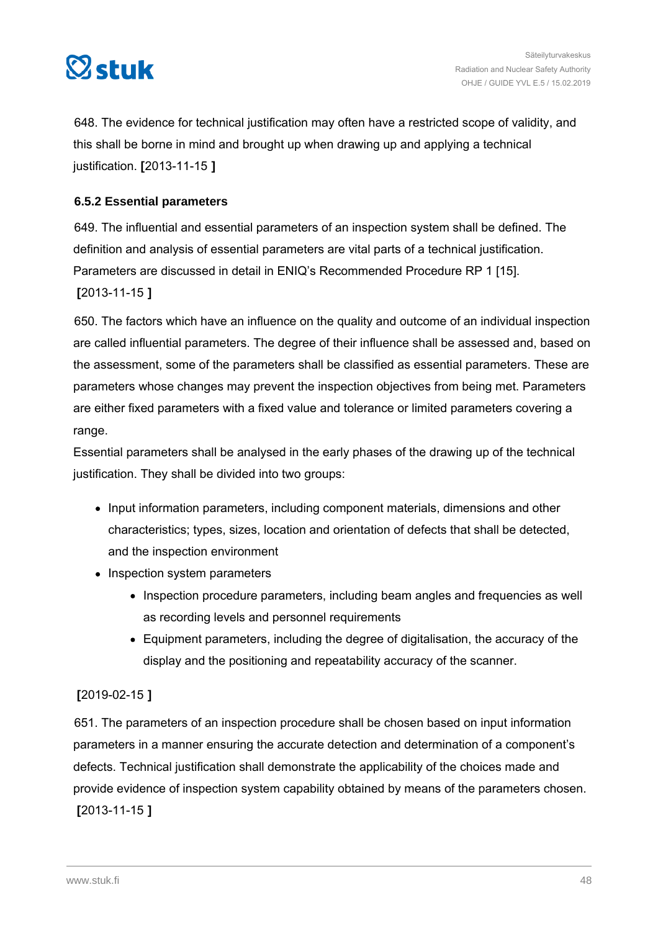

648. The evidence for technical justification may often have a restricted scope of validity, and this shall be borne in mind and brought up when drawing up and applying a technical justification. **[**2013-11-15 **]**

#### **6.5.2 Essential parameters**

649. The influential and essential parameters of an inspection system shall be defined. The definition and analysis of essential parameters are vital parts of a technical justification. Parameters are discussed in detail in ENIQ's Recommended Procedure RP 1 [15].

**[**2013-11-15 **]**

650. The factors which have an influence on the quality and outcome of an individual inspection are called influential parameters. The degree of their influence shall be assessed and, based on the assessment, some of the parameters shall be classified as essential parameters. These are parameters whose changes may prevent the inspection objectives from being met. Parameters are either fixed parameters with a fixed value and tolerance or limited parameters covering a range.

Essential parameters shall be analysed in the early phases of the drawing up of the technical justification. They shall be divided into two groups:

- Input information parameters, including component materials, dimensions and other characteristics; types, sizes, location and orientation of defects that shall be detected, and the inspection environment
- Inspection system parameters
	- Inspection procedure parameters, including beam angles and frequencies as well as recording levels and personnel requirements
	- Equipment parameters, including the degree of digitalisation, the accuracy of the display and the positioning and repeatability accuracy of the scanner.

#### **[**2019-02-15 **]**

651. The parameters of an inspection procedure shall be chosen based on input information parameters in a manner ensuring the accurate detection and determination of a component's defects. Technical justification shall demonstrate the applicability of the choices made and provide evidence of inspection system capability obtained by means of the parameters chosen. **[**2013-11-15 **]**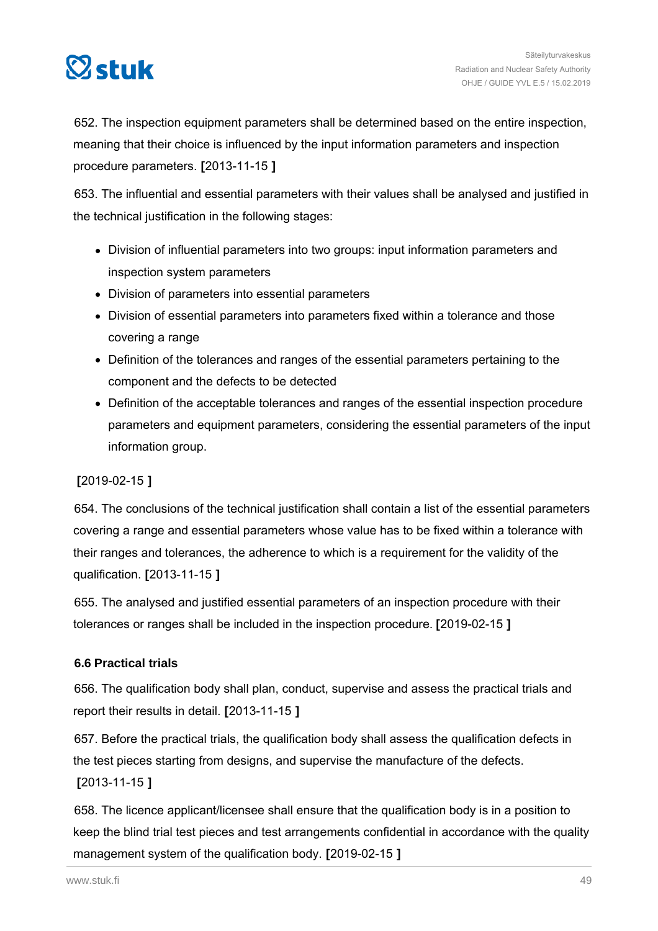

652. The inspection equipment parameters shall be determined based on the entire inspection, meaning that their choice is influenced by the input information parameters and inspection procedure parameters. **[**2013-11-15 **]**

653. The influential and essential parameters with their values shall be analysed and justified in the technical justification in the following stages:

- Division of influential parameters into two groups: input information parameters and inspection system parameters
- Division of parameters into essential parameters
- Division of essential parameters into parameters fixed within a tolerance and those covering a range
- Definition of the tolerances and ranges of the essential parameters pertaining to the component and the defects to be detected
- Definition of the acceptable tolerances and ranges of the essential inspection procedure parameters and equipment parameters, considering the essential parameters of the input information group.

#### **[**2019-02-15 **]**

654. The conclusions of the technical justification shall contain a list of the essential parameters covering a range and essential parameters whose value has to be fixed within a tolerance with their ranges and tolerances, the adherence to which is a requirement for the validity of the qualification. **[**2013-11-15 **]**

655. The analysed and justified essential parameters of an inspection procedure with their tolerances or ranges shall be included in the inspection procedure. **[**2019-02-15 **]**

#### **6.6 Practical trials**

656. The qualification body shall plan, conduct, supervise and assess the practical trials and report their results in detail. **[**2013-11-15 **]**

657. Before the practical trials, the qualification body shall assess the qualification defects in the test pieces starting from designs, and supervise the manufacture of the defects. **[**2013-11-15 **]**

658. The licence applicant/licensee shall ensure that the qualification body is in a position to keep the blind trial test pieces and test arrangements confidential in accordance with the quality management system of the qualification body. **[**2019-02-15 **]**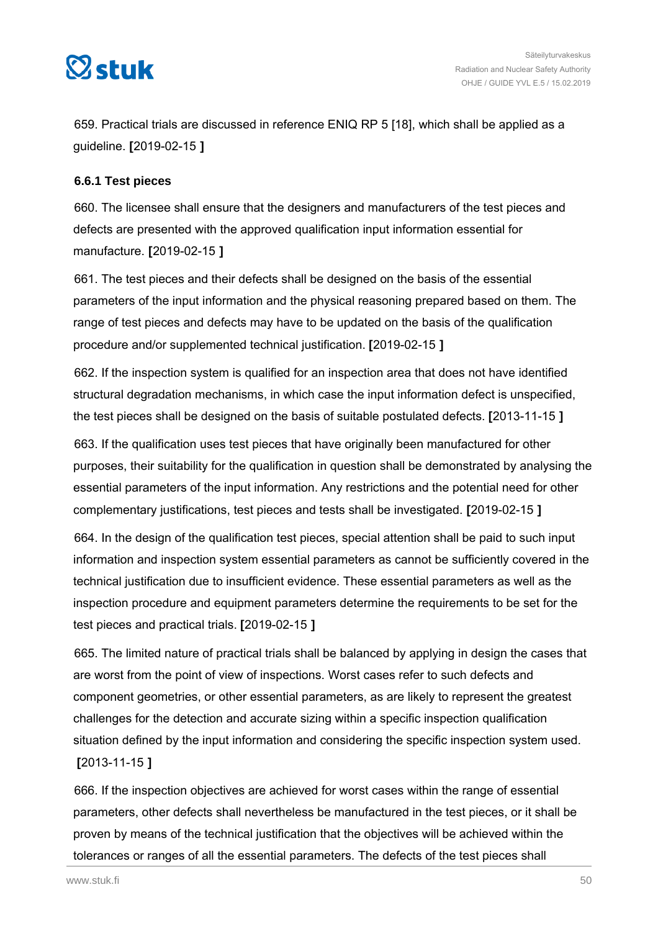

659. Practical trials are discussed in reference ENIQ RP 5 [18], which shall be applied as a guideline. **[**2019-02-15 **]**

#### **6.6.1 Test pieces**

660. The licensee shall ensure that the designers and manufacturers of the test pieces and defects are presented with the approved qualification input information essential for manufacture. **[**2019-02-15 **]**

661. The test pieces and their defects shall be designed on the basis of the essential parameters of the input information and the physical reasoning prepared based on them. The range of test pieces and defects may have to be updated on the basis of the qualification procedure and/or supplemented technical justification. **[**2019-02-15 **]**

662. If the inspection system is qualified for an inspection area that does not have identified structural degradation mechanisms, in which case the input information defect is unspecified, the test pieces shall be designed on the basis of suitable postulated defects. **[**2013-11-15 **]**

663. If the qualification uses test pieces that have originally been manufactured for other purposes, their suitability for the qualification in question shall be demonstrated by analysing the essential parameters of the input information. Any restrictions and the potential need for other complementary justifications, test pieces and tests shall be investigated. **[**2019-02-15 **]**

664. In the design of the qualification test pieces, special attention shall be paid to such input information and inspection system essential parameters as cannot be sufficiently covered in the technical justification due to insufficient evidence. These essential parameters as well as the inspection procedure and equipment parameters determine the requirements to be set for the test pieces and practical trials. **[**2019-02-15 **]**

665. The limited nature of practical trials shall be balanced by applying in design the cases that are worst from the point of view of inspections. Worst cases refer to such defects and component geometries, or other essential parameters, as are likely to represent the greatest challenges for the detection and accurate sizing within a specific inspection qualification situation defined by the input information and considering the specific inspection system used. **[**2013-11-15 **]**

666. If the inspection objectives are achieved for worst cases within the range of essential parameters, other defects shall nevertheless be manufactured in the test pieces, or it shall be proven by means of the technical justification that the objectives will be achieved within the tolerances or ranges of all the essential parameters. The defects of the test pieces shall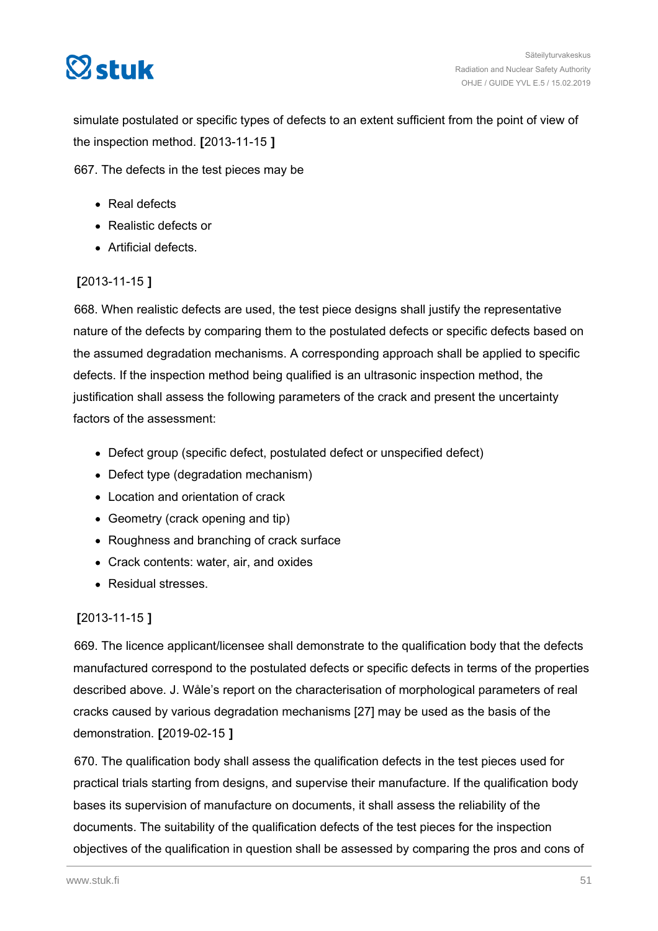

simulate postulated or specific types of defects to an extent sufficient from the point of view of the inspection method. **[**2013-11-15 **]**

667. The defects in the test pieces may be

- Real defects
- Realistic defects or
- Artificial defects.

## **[**2013-11-15 **]**

668. When realistic defects are used, the test piece designs shall justify the representative nature of the defects by comparing them to the postulated defects or specific defects based on the assumed degradation mechanisms. A corresponding approach shall be applied to specific defects. If the inspection method being qualified is an ultrasonic inspection method, the justification shall assess the following parameters of the crack and present the uncertainty factors of the assessment:

- Defect group (specific defect, postulated defect or unspecified defect)
- Defect type (degradation mechanism)
- Location and orientation of crack
- Geometry (crack opening and tip)
- Roughness and branching of crack surface
- Crack contents: water, air, and oxides
- Residual stresses.

## **[**2013-11-15 **]**

669. The licence applicant/licensee shall demonstrate to the qualification body that the defects manufactured correspond to the postulated defects or specific defects in terms of the properties described above. J. Wåle's report on the characterisation of morphological parameters of real cracks caused by various degradation mechanisms [27] may be used as the basis of the demonstration. **[**2019-02-15 **]**

670. The qualification body shall assess the qualification defects in the test pieces used for practical trials starting from designs, and supervise their manufacture. If the qualification body bases its supervision of manufacture on documents, it shall assess the reliability of the documents. The suitability of the qualification defects of the test pieces for the inspection objectives of the qualification in question shall be assessed by comparing the pros and cons of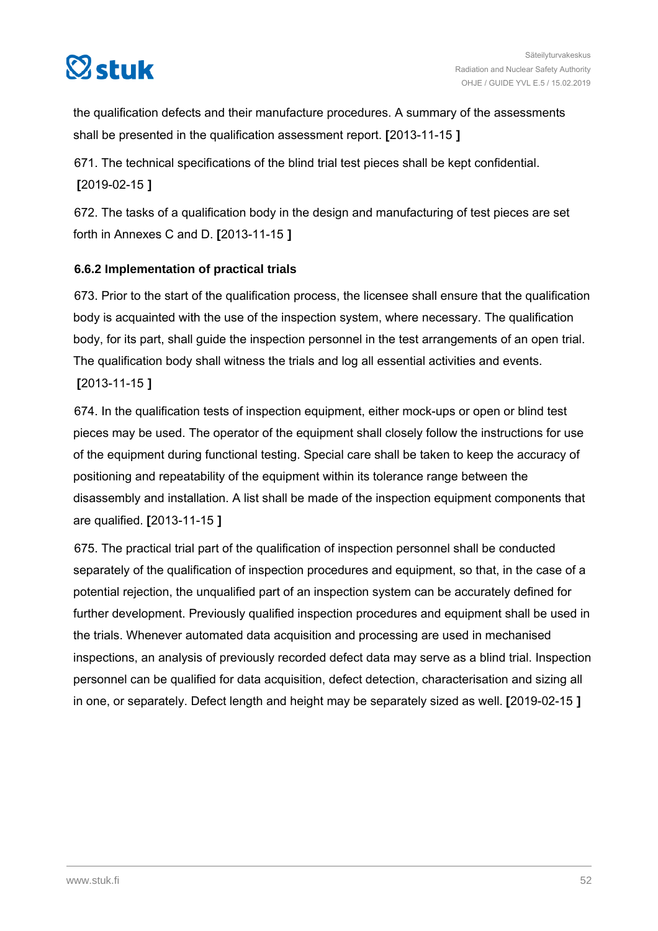

the qualification defects and their manufacture procedures. A summary of the assessments shall be presented in the qualification assessment report. **[**2013-11-15 **]**

671. The technical specifications of the blind trial test pieces shall be kept confidential. **[**2019-02-15 **]**

672. The tasks of a qualification body in the design and manufacturing of test pieces are set forth in Annexes C and D. **[**2013-11-15 **]**

## **6.6.2 Implementation of practical trials**

673. Prior to the start of the qualification process, the licensee shall ensure that the qualification body is acquainted with the use of the inspection system, where necessary. The qualification body, for its part, shall guide the inspection personnel in the test arrangements of an open trial. The qualification body shall witness the trials and log all essential activities and events. **[**2013-11-15 **]**

674. In the qualification tests of inspection equipment, either mock-ups or open or blind test pieces may be used. The operator of the equipment shall closely follow the instructions for use of the equipment during functional testing. Special care shall be taken to keep the accuracy of positioning and repeatability of the equipment within its tolerance range between the disassembly and installation. A list shall be made of the inspection equipment components that are qualified. **[**2013-11-15 **]**

675. The practical trial part of the qualification of inspection personnel shall be conducted separately of the qualification of inspection procedures and equipment, so that, in the case of a potential rejection, the unqualified part of an inspection system can be accurately defined for further development. Previously qualified inspection procedures and equipment shall be used in the trials. Whenever automated data acquisition and processing are used in mechanised inspections, an analysis of previously recorded defect data may serve as a blind trial. Inspection personnel can be qualified for data acquisition, defect detection, characterisation and sizing all in one, or separately. Defect length and height may be separately sized as well. **[**2019-02-15 **]**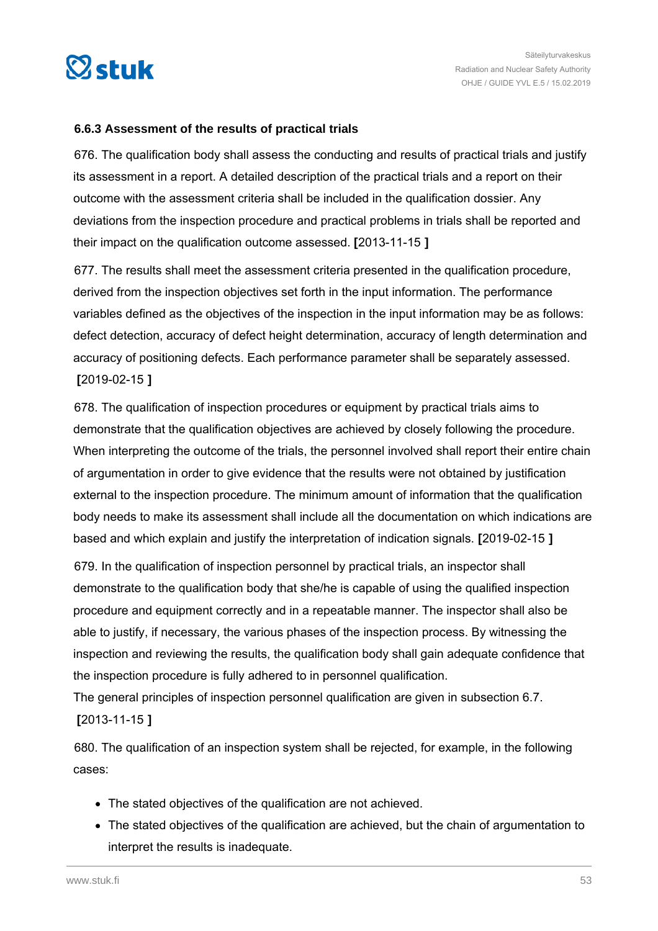

#### **6.6.3 Assessment of the results of practical trials**

676. The qualification body shall assess the conducting and results of practical trials and justify its assessment in a report. A detailed description of the practical trials and a report on their outcome with the assessment criteria shall be included in the qualification dossier. Any deviations from the inspection procedure and practical problems in trials shall be reported and their impact on the qualification outcome assessed. **[**2013-11-15 **]**

677. The results shall meet the assessment criteria presented in the qualification procedure, derived from the inspection objectives set forth in the input information. The performance variables defined as the objectives of the inspection in the input information may be as follows: defect detection, accuracy of defect height determination, accuracy of length determination and accuracy of positioning defects. Each performance parameter shall be separately assessed. **[**2019-02-15 **]**

678. The qualification of inspection procedures or equipment by practical trials aims to demonstrate that the qualification objectives are achieved by closely following the procedure. When interpreting the outcome of the trials, the personnel involved shall report their entire chain of argumentation in order to give evidence that the results were not obtained by justification external to the inspection procedure. The minimum amount of information that the qualification body needs to make its assessment shall include all the documentation on which indications are based and which explain and justify the interpretation of indication signals. **[**2019-02-15 **]**

679. In the qualification of inspection personnel by practical trials, an inspector shall demonstrate to the qualification body that she/he is capable of using the qualified inspection procedure and equipment correctly and in a repeatable manner. The inspector shall also be able to justify, if necessary, the various phases of the inspection process. By witnessing the inspection and reviewing the results, the qualification body shall gain adequate confidence that the inspection procedure is fully adhered to in personnel qualification.

The general principles of inspection personnel qualification are given in subsection 6.7. **[**2013-11-15 **]**

680. The qualification of an inspection system shall be rejected, for example, in the following cases:

- The stated objectives of the qualification are not achieved.
- The stated objectives of the qualification are achieved, but the chain of argumentation to interpret the results is inadequate.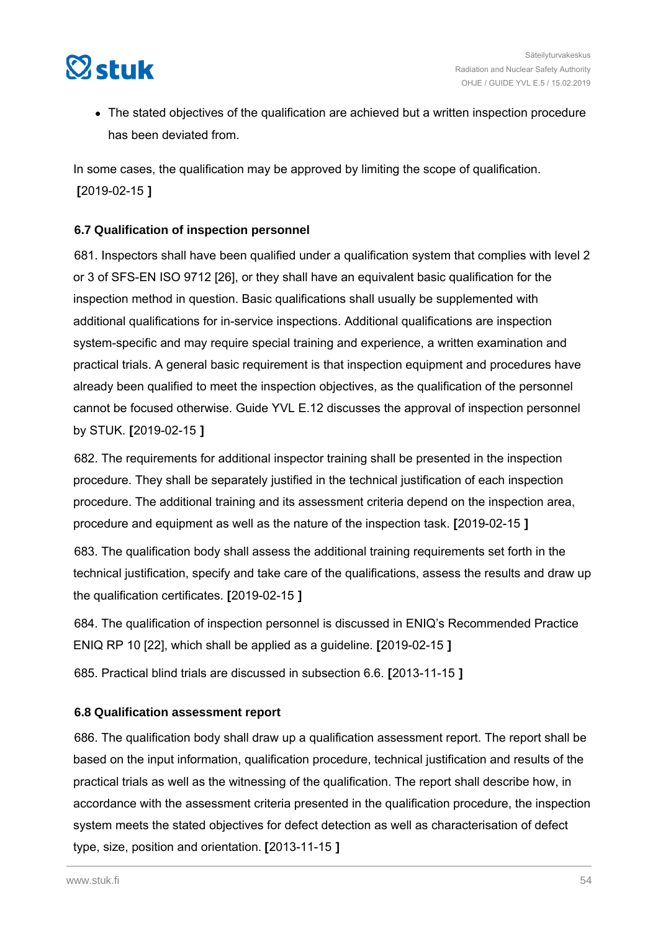

• The stated objectives of the qualification are achieved but a written inspection procedure has been deviated from.

In some cases, the qualification may be approved by limiting the scope of qualification. **[**2019-02-15 **]**

#### **6.7 Qualification of inspection personnel**

681. Inspectors shall have been qualified under a qualification system that complies with level 2 or 3 of SFS-EN ISO 9712 [26], or they shall have an equivalent basic qualification for the inspection method in question. Basic qualifications shall usually be supplemented with additional qualifications for in-service inspections. Additional qualifications are inspection system-specific and may require special training and experience, a written examination and practical trials. A general basic requirement is that inspection equipment and procedures have already been qualified to meet the inspection objectives, as the qualification of the personnel cannot be focused otherwise. Guide YVL E.12 discusses the approval of inspection personnel by STUK. **[**2019-02-15 **]**

682. The requirements for additional inspector training shall be presented in the inspection procedure. They shall be separately justified in the technical justification of each inspection procedure. The additional training and its assessment criteria depend on the inspection area, procedure and equipment as well as the nature of the inspection task. **[**2019-02-15 **]**

683. The qualification body shall assess the additional training requirements set forth in the technical justification, specify and take care of the qualifications, assess the results and draw up the qualification certificates. **[**2019-02-15 **]**

684. The qualification of inspection personnel is discussed in ENIQ's Recommended Practice ENIQ RP 10 [22], which shall be applied as a guideline. **[**2019-02-15 **]**

685. Practical blind trials are discussed in subsection 6.6. **[**2013-11-15 **]**

#### **6.8 Qualification assessment report**

686. The qualification body shall draw up a qualification assessment report. The report shall be based on the input information, qualification procedure, technical justification and results of the practical trials as well as the witnessing of the qualification. The report shall describe how, in accordance with the assessment criteria presented in the qualification procedure, the inspection system meets the stated objectives for defect detection as well as characterisation of defect type, size, position and orientation. **[**2013-11-15 **]**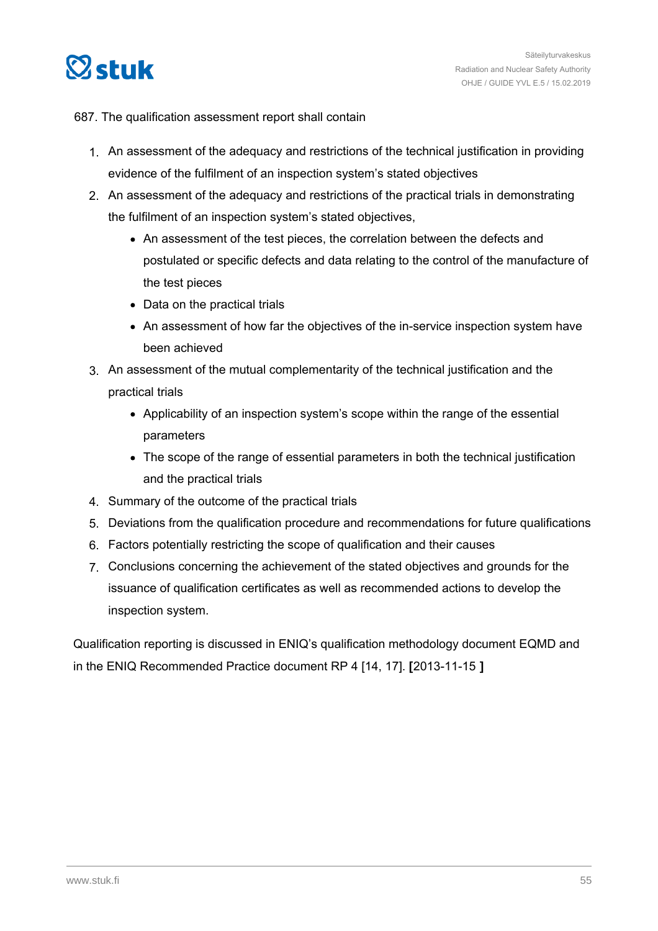

#### 687. The qualification assessment report shall contain

- 1. An assessment of the adequacy and restrictions of the technical justification in providing evidence of the fulfilment of an inspection system's stated objectives
- 2. An assessment of the adequacy and restrictions of the practical trials in demonstrating the fulfilment of an inspection system's stated objectives,
	- An assessment of the test pieces, the correlation between the defects and postulated or specific defects and data relating to the control of the manufacture of the test pieces
	- Data on the practical trials
	- An assessment of how far the objectives of the in-service inspection system have been achieved
- 3. An assessment of the mutual complementarity of the technical justification and the practical trials
	- Applicability of an inspection system's scope within the range of the essential parameters
	- The scope of the range of essential parameters in both the technical justification and the practical trials
- 4. Summary of the outcome of the practical trials
- 5. Deviations from the qualification procedure and recommendations for future qualifications
- 6. Factors potentially restricting the scope of qualification and their causes
- 7. Conclusions concerning the achievement of the stated objectives and grounds for the issuance of qualification certificates as well as recommended actions to develop the inspection system.

Qualification reporting is discussed in ENIQ's qualification methodology document EQMD and in the ENIQ Recommended Practice document RP 4 [14, 17]. **[**2013-11-15 **]**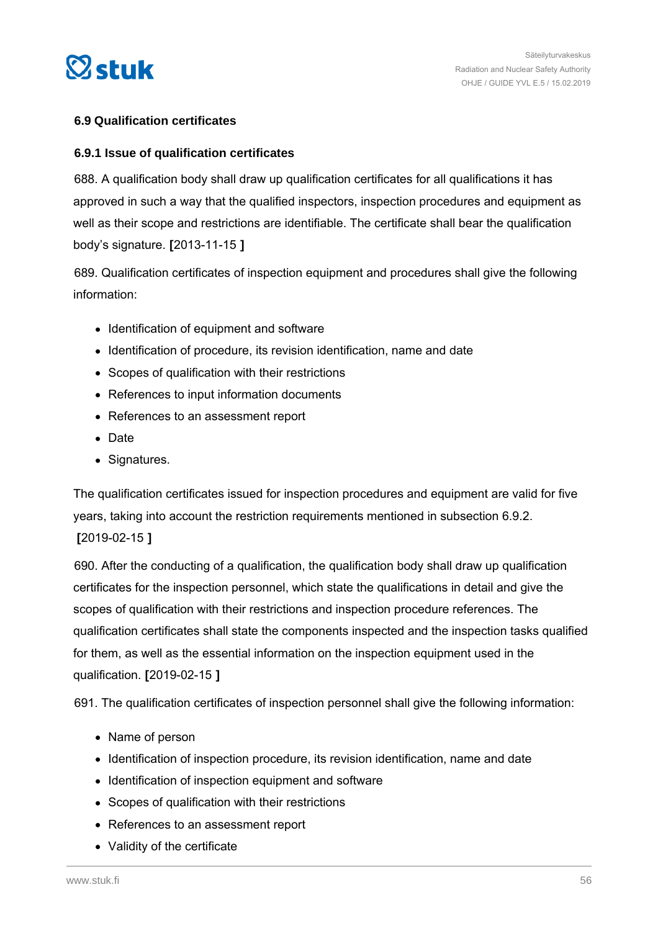

#### **6.9 Qualification certificates**

#### **6.9.1 Issue of qualification certificates**

688. A qualification body shall draw up qualification certificates for all qualifications it has approved in such a way that the qualified inspectors, inspection procedures and equipment as well as their scope and restrictions are identifiable. The certificate shall bear the qualification body's signature. **[**2013-11-15 **]**

689. Qualification certificates of inspection equipment and procedures shall give the following information:

- Identification of equipment and software
- Identification of procedure, its revision identification, name and date
- Scopes of qualification with their restrictions
- References to input information documents
- References to an assessment report
- Date
- Signatures.

The qualification certificates issued for inspection procedures and equipment are valid for five years, taking into account the restriction requirements mentioned in subsection 6.9.2. **[**2019-02-15 **]**

690. After the conducting of a qualification, the qualification body shall draw up qualification certificates for the inspection personnel, which state the qualifications in detail and give the scopes of qualification with their restrictions and inspection procedure references. The qualification certificates shall state the components inspected and the inspection tasks qualified for them, as well as the essential information on the inspection equipment used in the qualification. **[**2019-02-15 **]**

691. The qualification certificates of inspection personnel shall give the following information:

- Name of person
- Identification of inspection procedure, its revision identification, name and date
- Identification of inspection equipment and software
- Scopes of qualification with their restrictions
- References to an assessment report
- Validity of the certificate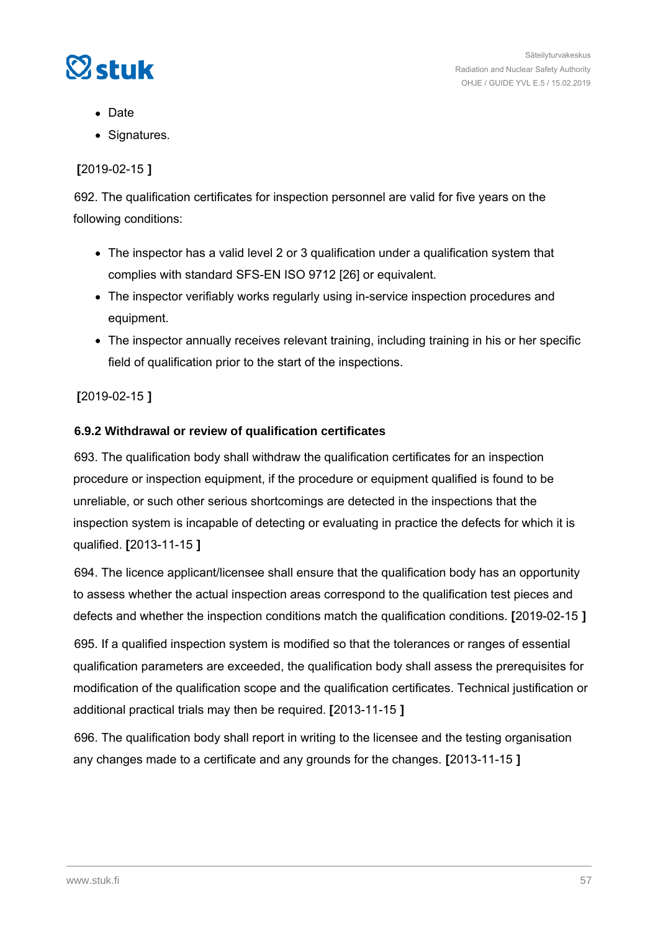

- Date
- Signatures.

## **[**2019-02-15 **]**

692. The qualification certificates for inspection personnel are valid for five years on the following conditions:

- The inspector has a valid level 2 or 3 qualification under a qualification system that complies with standard SFS-EN ISO 9712 [26] or equivalent.
- The inspector verifiably works regularly using in-service inspection procedures and equipment.
- The inspector annually receives relevant training, including training in his or her specific field of qualification prior to the start of the inspections.

## **[**2019-02-15 **]**

#### **6.9.2 Withdrawal or review of qualification certificates**

693. The qualification body shall withdraw the qualification certificates for an inspection procedure or inspection equipment, if the procedure or equipment qualified is found to be unreliable, or such other serious shortcomings are detected in the inspections that the inspection system is incapable of detecting or evaluating in practice the defects for which it is qualified. **[**2013-11-15 **]**

694. The licence applicant/licensee shall ensure that the qualification body has an opportunity to assess whether the actual inspection areas correspond to the qualification test pieces and defects and whether the inspection conditions match the qualification conditions. **[**2019-02-15 **]**

695. If a qualified inspection system is modified so that the tolerances or ranges of essential qualification parameters are exceeded, the qualification body shall assess the prerequisites for modification of the qualification scope and the qualification certificates. Technical justification or additional practical trials may then be required. **[**2013-11-15 **]**

696. The qualification body shall report in writing to the licensee and the testing organisation any changes made to a certificate and any grounds for the changes. **[**2013-11-15 **]**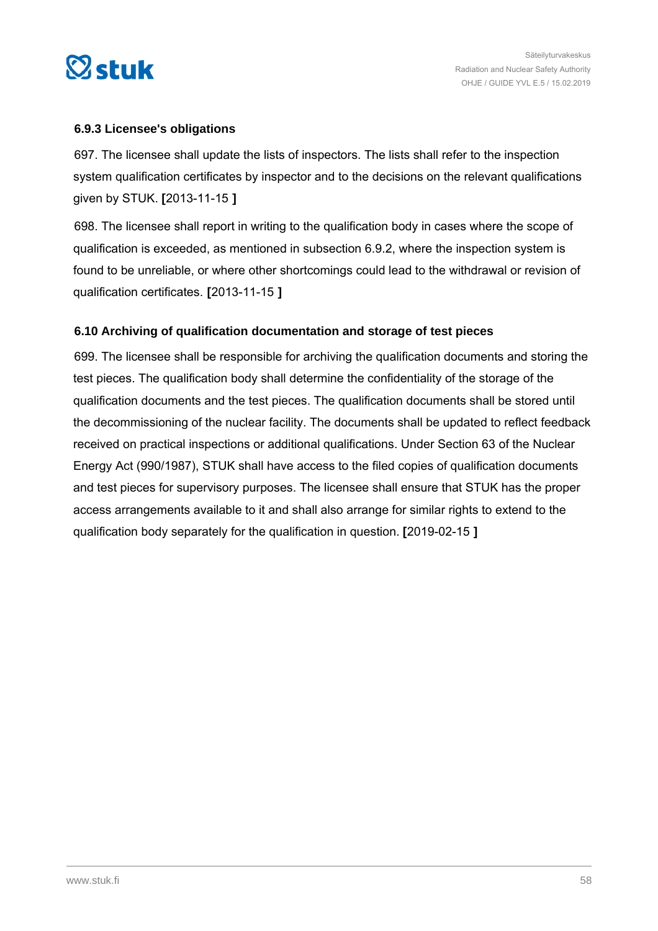

#### **6.9.3 Licensee's obligations**

697. The licensee shall update the lists of inspectors. The lists shall refer to the inspection system qualification certificates by inspector and to the decisions on the relevant qualifications given by STUK. **[**2013-11-15 **]**

698. The licensee shall report in writing to the qualification body in cases where the scope of qualification is exceeded, as mentioned in subsection 6.9.2, where the inspection system is found to be unreliable, or where other shortcomings could lead to the withdrawal or revision of qualification certificates. **[**2013-11-15 **]**

#### **6.10 Archiving of qualification documentation and storage of test pieces**

699. The licensee shall be responsible for archiving the qualification documents and storing the test pieces. The qualification body shall determine the confidentiality of the storage of the qualification documents and the test pieces. The qualification documents shall be stored until the decommissioning of the nuclear facility. The documents shall be updated to reflect feedback received on practical inspections or additional qualifications. Under Section 63 of the Nuclear Energy Act (990/1987), STUK shall have access to the filed copies of qualification documents and test pieces for supervisory purposes. The licensee shall ensure that STUK has the proper access arrangements available to it and shall also arrange for similar rights to extend to the qualification body separately for the qualification in question. **[**2019-02-15 **]**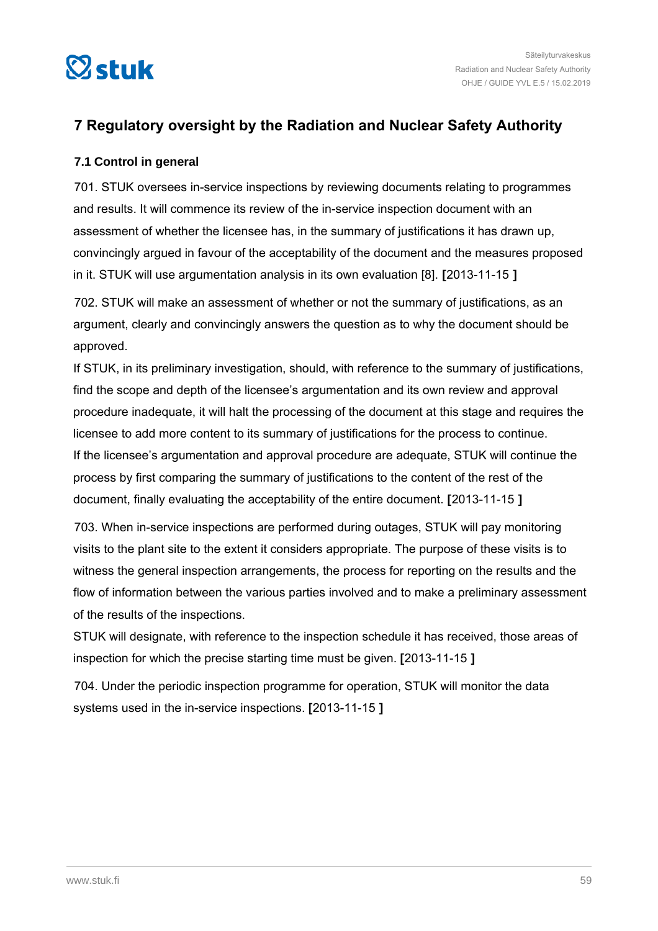

# **7 Regulatory oversight by the Radiation and Nuclear Safety Authority**

### **7.1 Control in general**

701. STUK oversees in-service inspections by reviewing documents relating to programmes and results. It will commence its review of the in-service inspection document with an assessment of whether the licensee has, in the summary of justifications it has drawn up, convincingly argued in favour of the acceptability of the document and the measures proposed in it. STUK will use argumentation analysis in its own evaluation [8]. **[**2013-11-15 **]**

702. STUK will make an assessment of whether or not the summary of justifications, as an argument, clearly and convincingly answers the question as to why the document should be approved.

If STUK, in its preliminary investigation, should, with reference to the summary of justifications, find the scope and depth of the licensee's argumentation and its own review and approval procedure inadequate, it will halt the processing of the document at this stage and requires the licensee to add more content to its summary of justifications for the process to continue. If the licensee's argumentation and approval procedure are adequate, STUK will continue the process by first comparing the summary of justifications to the content of the rest of the document, finally evaluating the acceptability of the entire document. **[**2013-11-15 **]**

703. When in-service inspections are performed during outages, STUK will pay monitoring visits to the plant site to the extent it considers appropriate. The purpose of these visits is to witness the general inspection arrangements, the process for reporting on the results and the flow of information between the various parties involved and to make a preliminary assessment of the results of the inspections.

STUK will designate, with reference to the inspection schedule it has received, those areas of inspection for which the precise starting time must be given. **[**2013-11-15 **]**

704. Under the periodic inspection programme for operation, STUK will monitor the data systems used in the in-service inspections. **[**2013-11-15 **]**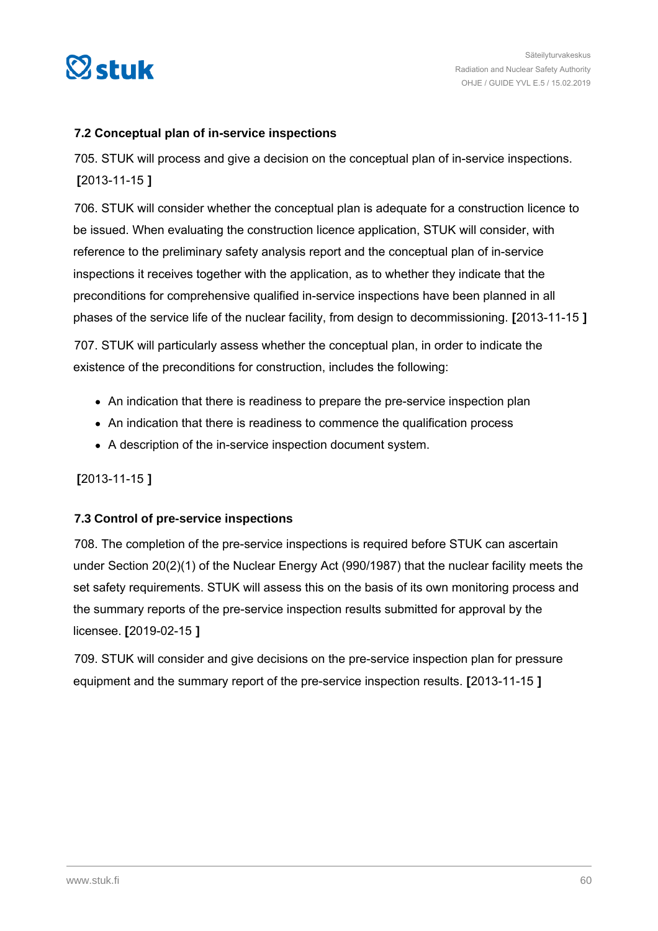

#### **7.2 Conceptual plan of in-service inspections**

705. STUK will process and give a decision on the conceptual plan of in-service inspections. **[**2013-11-15 **]**

706. STUK will consider whether the conceptual plan is adequate for a construction licence to be issued. When evaluating the construction licence application, STUK will consider, with reference to the preliminary safety analysis report and the conceptual plan of in-service inspections it receives together with the application, as to whether they indicate that the preconditions for comprehensive qualified in-service inspections have been planned in all phases of the service life of the nuclear facility, from design to decommissioning. **[**2013-11-15 **]**

707. STUK will particularly assess whether the conceptual plan, in order to indicate the existence of the preconditions for construction, includes the following:

- An indication that there is readiness to prepare the pre-service inspection plan
- An indication that there is readiness to commence the qualification process
- A description of the in-service inspection document system.

## **[**2013-11-15 **]**

#### **7.3 Control of pre-service inspections**

708. The completion of the pre-service inspections is required before STUK can ascertain under Section 20(2)(1) of the Nuclear Energy Act (990/1987) that the nuclear facility meets the set safety requirements. STUK will assess this on the basis of its own monitoring process and the summary reports of the pre-service inspection results submitted for approval by the licensee. **[**2019-02-15 **]**

709. STUK will consider and give decisions on the pre-service inspection plan for pressure equipment and the summary report of the pre-service inspection results. **[**2013-11-15 **]**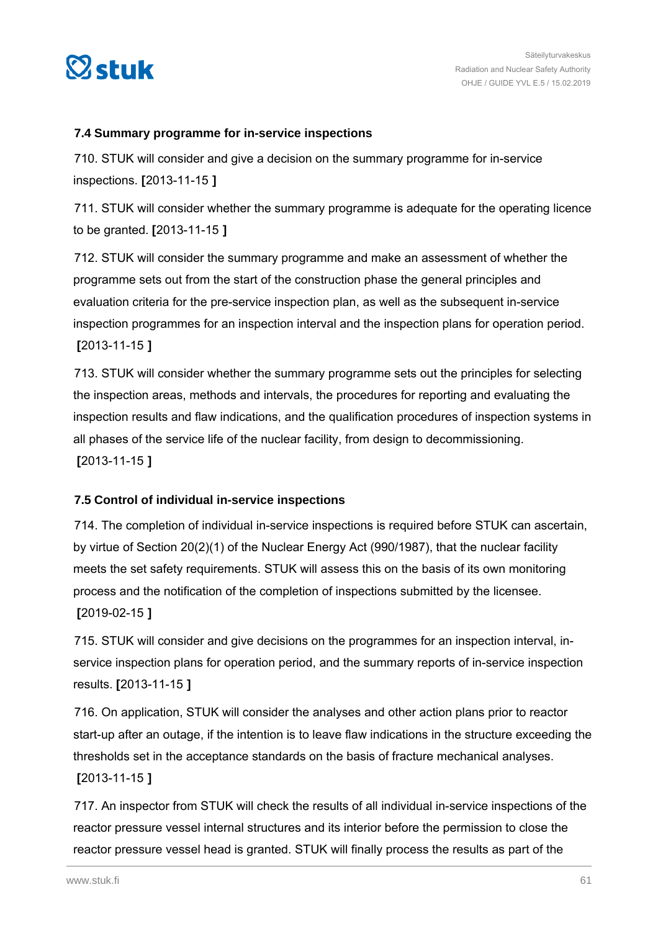

#### **7.4 Summary programme for in-service inspections**

710. STUK will consider and give a decision on the summary programme for in-service inspections. **[**2013-11-15 **]**

711. STUK will consider whether the summary programme is adequate for the operating licence to be granted. **[**2013-11-15 **]**

712. STUK will consider the summary programme and make an assessment of whether the programme sets out from the start of the construction phase the general principles and evaluation criteria for the pre-service inspection plan, as well as the subsequent in-service inspection programmes for an inspection interval and the inspection plans for operation period. **[**2013-11-15 **]**

713. STUK will consider whether the summary programme sets out the principles for selecting the inspection areas, methods and intervals, the procedures for reporting and evaluating the inspection results and flaw indications, and the qualification procedures of inspection systems in all phases of the service life of the nuclear facility, from design to decommissioning. **[**2013-11-15 **]**

#### **7.5 Control of individual in-service inspections**

714. The completion of individual in-service inspections is required before STUK can ascertain, by virtue of Section 20(2)(1) of the Nuclear Energy Act (990/1987), that the nuclear facility meets the set safety requirements. STUK will assess this on the basis of its own monitoring process and the notification of the completion of inspections submitted by the licensee. **[**2019-02-15 **]**

715. STUK will consider and give decisions on the programmes for an inspection interval, inservice inspection plans for operation period, and the summary reports of in-service inspection results. **[**2013-11-15 **]**

716. On application, STUK will consider the analyses and other action plans prior to reactor start-up after an outage, if the intention is to leave flaw indications in the structure exceeding the thresholds set in the acceptance standards on the basis of fracture mechanical analyses.

#### **[**2013-11-15 **]**

717. An inspector from STUK will check the results of all individual in-service inspections of the reactor pressure vessel internal structures and its interior before the permission to close the reactor pressure vessel head is granted. STUK will finally process the results as part of the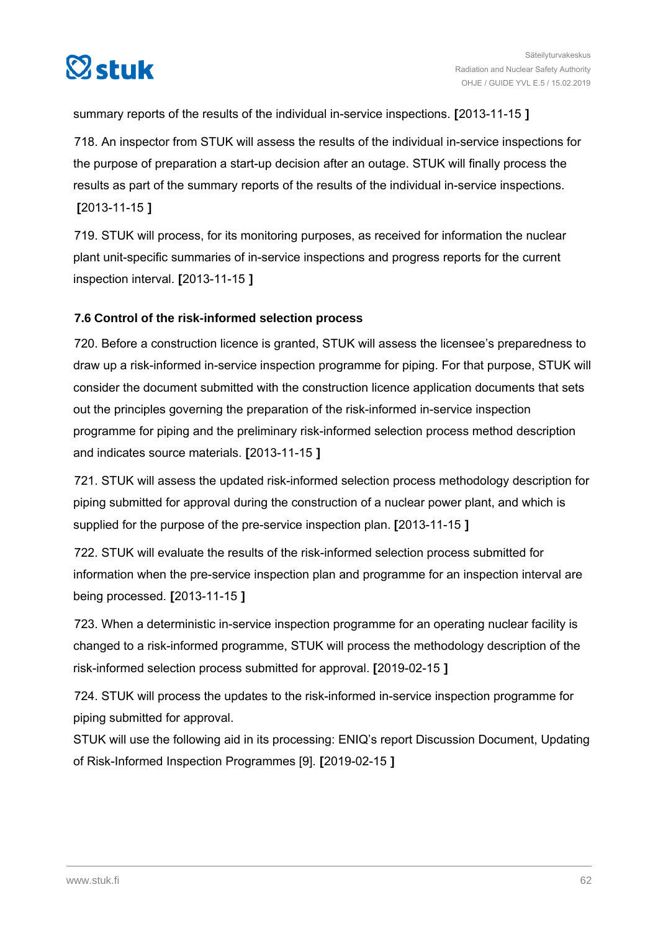

summary reports of the results of the individual in-service inspections. **[**2013-11-15 **]**

718. An inspector from STUK will assess the results of the individual in-service inspections for the purpose of preparation a start-up decision after an outage. STUK will finally process the results as part of the summary reports of the results of the individual in-service inspections. **[**2013-11-15 **]**

719. STUK will process, for its monitoring purposes, as received for information the nuclear plant unit-specific summaries of in-service inspections and progress reports for the current inspection interval. **[**2013-11-15 **]**

#### **7.6 Control of the risk-informed selection process**

720. Before a construction licence is granted, STUK will assess the licensee's preparedness to draw up a risk-informed in-service inspection programme for piping. For that purpose, STUK will consider the document submitted with the construction licence application documents that sets out the principles governing the preparation of the risk-informed in-service inspection programme for piping and the preliminary risk-informed selection process method description and indicates source materials. **[**2013-11-15 **]**

721. STUK will assess the updated risk-informed selection process methodology description for piping submitted for approval during the construction of a nuclear power plant, and which is supplied for the purpose of the pre-service inspection plan. **[**2013-11-15 **]**

722. STUK will evaluate the results of the risk-informed selection process submitted for information when the pre-service inspection plan and programme for an inspection interval are being processed. **[**2013-11-15 **]**

723. When a deterministic in-service inspection programme for an operating nuclear facility is changed to a risk-informed programme, STUK will process the methodology description of the risk-informed selection process submitted for approval. **[**2019-02-15 **]**

724. STUK will process the updates to the risk-informed in-service inspection programme for piping submitted for approval.

STUK will use the following aid in its processing: ENIQ's report Discussion Document, Updating of Risk-Informed Inspection Programmes [9]. **[**2019-02-15 **]**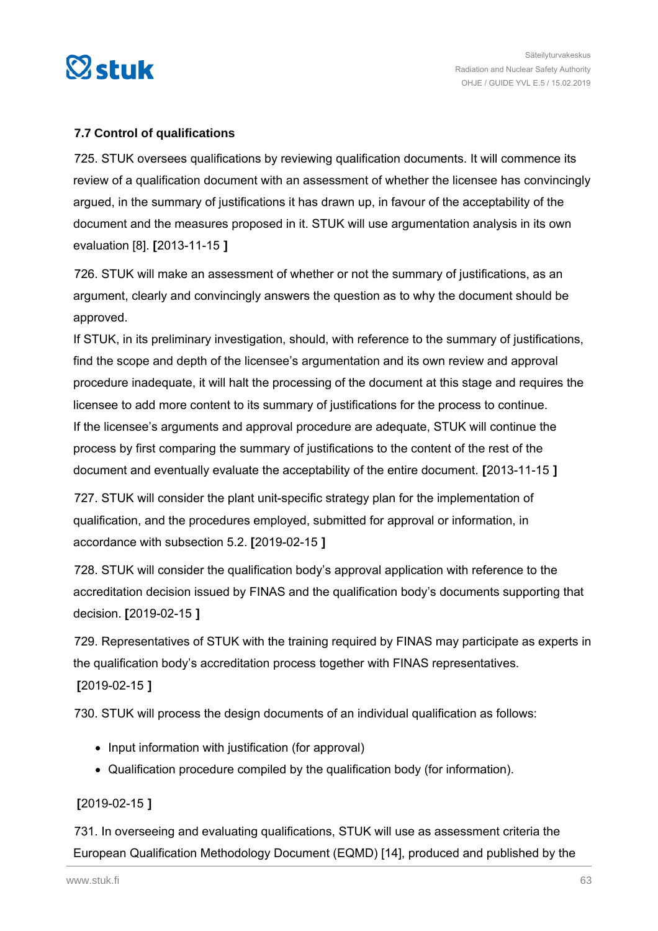

#### **7.7 Control of qualifications**

725. STUK oversees qualifications by reviewing qualification documents. It will commence its review of a qualification document with an assessment of whether the licensee has convincingly argued, in the summary of justifications it has drawn up, in favour of the acceptability of the document and the measures proposed in it. STUK will use argumentation analysis in its own evaluation [8]. **[**2013-11-15 **]**

726. STUK will make an assessment of whether or not the summary of justifications, as an argument, clearly and convincingly answers the question as to why the document should be approved.

If STUK, in its preliminary investigation, should, with reference to the summary of justifications, find the scope and depth of the licensee's argumentation and its own review and approval procedure inadequate, it will halt the processing of the document at this stage and requires the licensee to add more content to its summary of justifications for the process to continue. If the licensee's arguments and approval procedure are adequate, STUK will continue the process by first comparing the summary of justifications to the content of the rest of the document and eventually evaluate the acceptability of the entire document. **[**2013-11-15 **]**

727. STUK will consider the plant unit-specific strategy plan for the implementation of qualification, and the procedures employed, submitted for approval or information, in accordance with subsection 5.2. **[**2019-02-15 **]**

728. STUK will consider the qualification body's approval application with reference to the accreditation decision issued by FINAS and the qualification body's documents supporting that decision. **[**2019-02-15 **]**

729. Representatives of STUK with the training required by FINAS may participate as experts in the qualification body's accreditation process together with FINAS representatives. **[**2019-02-15 **]**

730. STUK will process the design documents of an individual qualification as follows:

- Input information with justification (for approval)
- Qualification procedure compiled by the qualification body (for information).

#### **[**2019-02-15 **]**

731. In overseeing and evaluating qualifications, STUK will use as assessment criteria the European Qualification Methodology Document (EQMD) [14], produced and published by the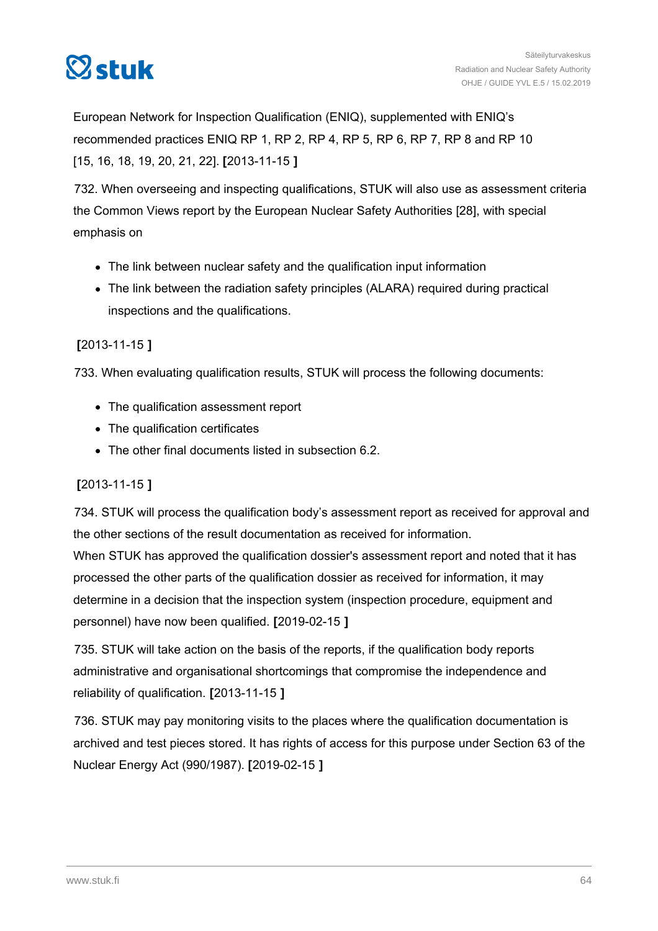

European Network for Inspection Qualification (ENIQ), supplemented with ENIQ's recommended practices ENIQ RP 1, RP 2, RP 4, RP 5, RP 6, RP 7, RP 8 and RP 10 [15, 16, 18, 19, 20, 21, 22]. **[**2013-11-15 **]**

732. When overseeing and inspecting qualifications, STUK will also use as assessment criteria the Common Views report by the European Nuclear Safety Authorities [28], with special emphasis on

- The link between nuclear safety and the qualification input information
- The link between the radiation safety principles (ALARA) required during practical inspections and the qualifications.

## **[**2013-11-15 **]**

733. When evaluating qualification results, STUK will process the following documents:

- The qualification assessment report
- The qualification certificates
- The other final documents listed in subsection 6.2.

## **[**2013-11-15 **]**

734. STUK will process the qualification body's assessment report as received for approval and the other sections of the result documentation as received for information.

When STUK has approved the qualification dossier's assessment report and noted that it has processed the other parts of the qualification dossier as received for information, it may determine in a decision that the inspection system (inspection procedure, equipment and personnel) have now been qualified. **[**2019-02-15 **]**

735. STUK will take action on the basis of the reports, if the qualification body reports administrative and organisational shortcomings that compromise the independence and reliability of qualification. **[**2013-11-15 **]**

736. STUK may pay monitoring visits to the places where the qualification documentation is archived and test pieces stored. It has rights of access for this purpose under Section 63 of the Nuclear Energy Act (990/1987). **[**2019-02-15 **]**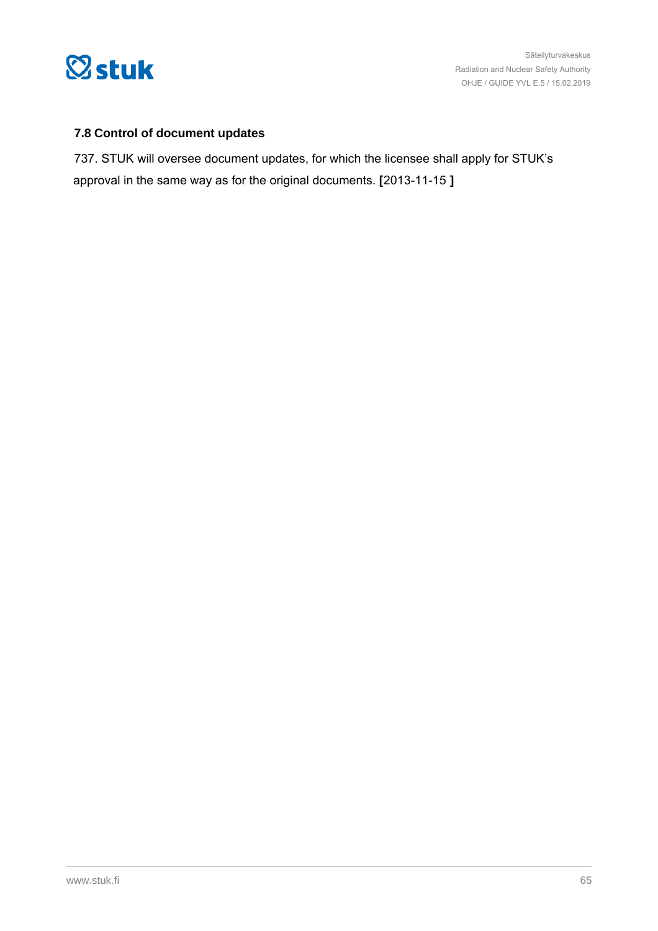

## **7.8 Control of document updates**

737. STUK will oversee document updates, for which the licensee shall apply for STUK's approval in the same way as for the original documents. **[**2013-11-15 **]**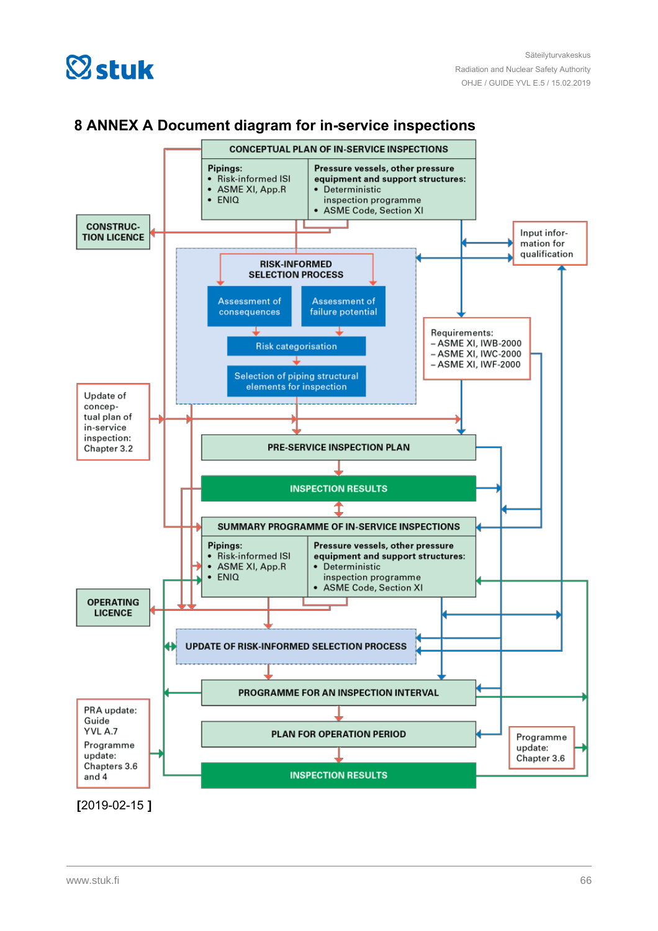



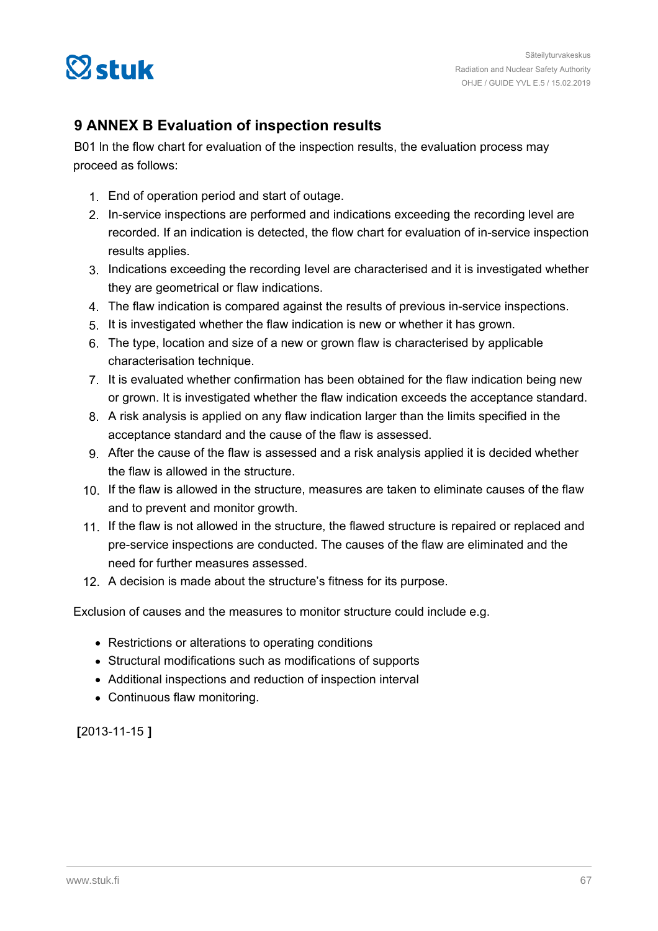

# **9 ANNEX B Evaluation of inspection results**

B01 ln the flow chart for evaluation of the inspection results, the evaluation process may proceed as follows:

- 1. End of operation period and start of outage.
- 2. In-service inspections are performed and indications exceeding the recording level are recorded. If an indication is detected, the flow chart for evaluation of in-service inspection results applies.
- 3. Indications exceeding the recording Ievel are characterised and it is investigated whether they are geometrical or flaw indications.
- 4. The flaw indication is compared against the results of previous in-service inspections.
- 5. It is investigated whether the flaw indication is new or whether it has grown.
- 6. The type, location and size of a new or grown flaw is characterised by applicable characterisation technique.
- 7. It is evaluated whether confirmation has been obtained for the flaw indication being new or grown. It is investigated whether the flaw indication exceeds the acceptance standard.
- 8. A risk analysis is applied on any flaw indication larger than the limits specified in the acceptance standard and the cause of the flaw is assessed.
- 9. After the cause of the flaw is assessed and a risk analysis applied it is decided whether the flaw is allowed in the structure.
- 10. If the flaw is allowed in the structure, measures are taken to eliminate causes of the flaw and to prevent and monitor growth.
- 11. If the flaw is not allowed in the structure, the flawed structure is repaired or replaced and pre-service inspections are conducted. The causes of the flaw are eliminated and the need for further measures assessed.
- 12. A decision is made about the structure's fitness for its purpose.

Exclusion of causes and the measures to monitor structure could include e.g.

- Restrictions or alterations to operating conditions
- Structural modifications such as modifications of supports
- Additional inspections and reduction of inspection interval
- Continuous flaw monitoring.

**[**2013-11-15 **]**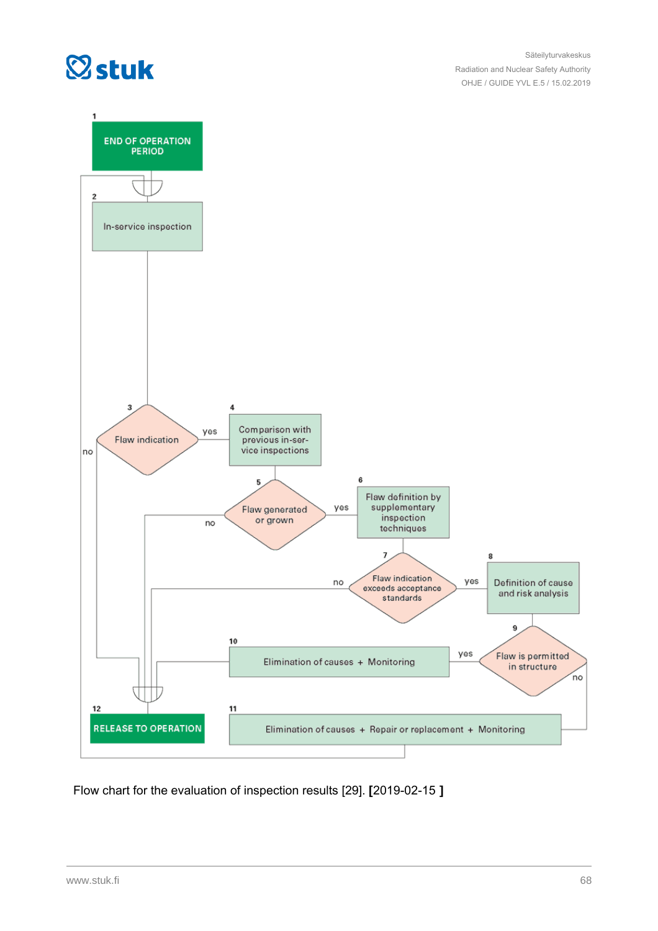



Flow chart for the evaluation of inspection results [29]. **[**2019-02-15 **]**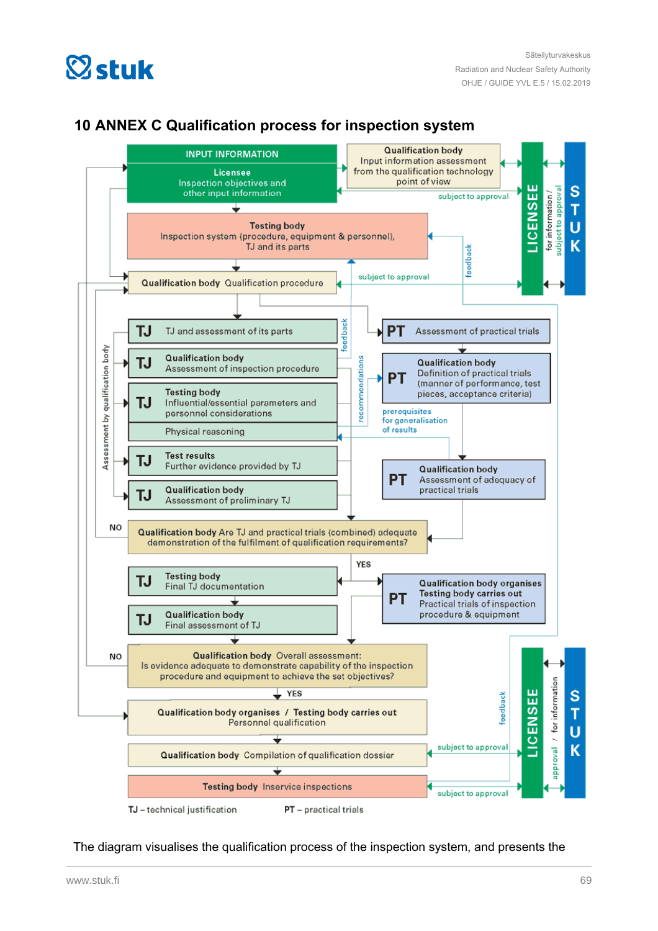



## **10 ANNEX C Qualification process for inspection system**

The diagram visualises the qualification process of the inspection system, and presents the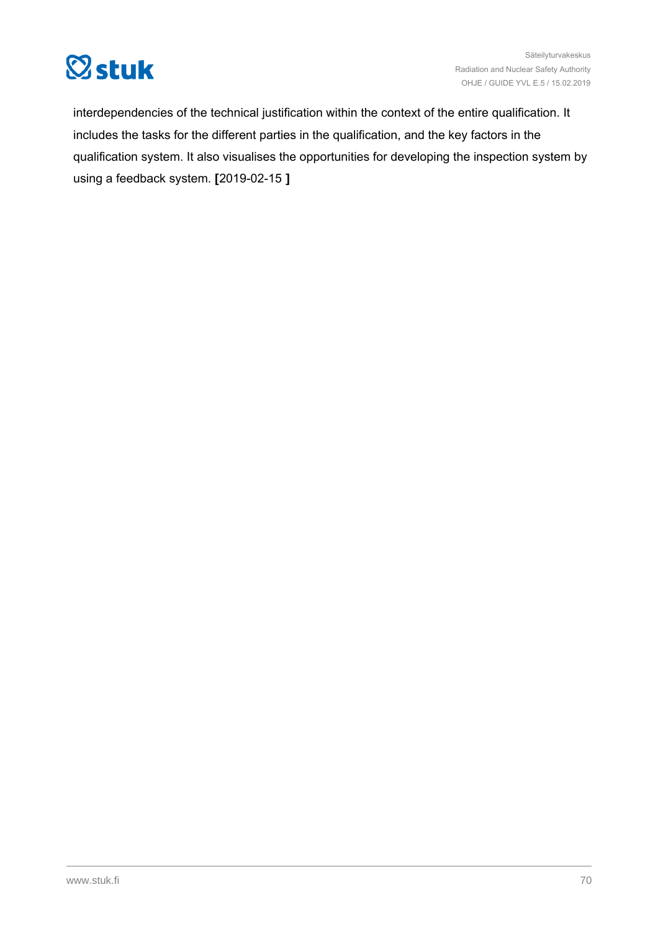

interdependencies of the technical justification within the context of the entire qualification. It includes the tasks for the different parties in the qualification, and the key factors in the qualification system. It also visualises the opportunities for developing the inspection system by using a feedback system. **[**2019-02-15 **]**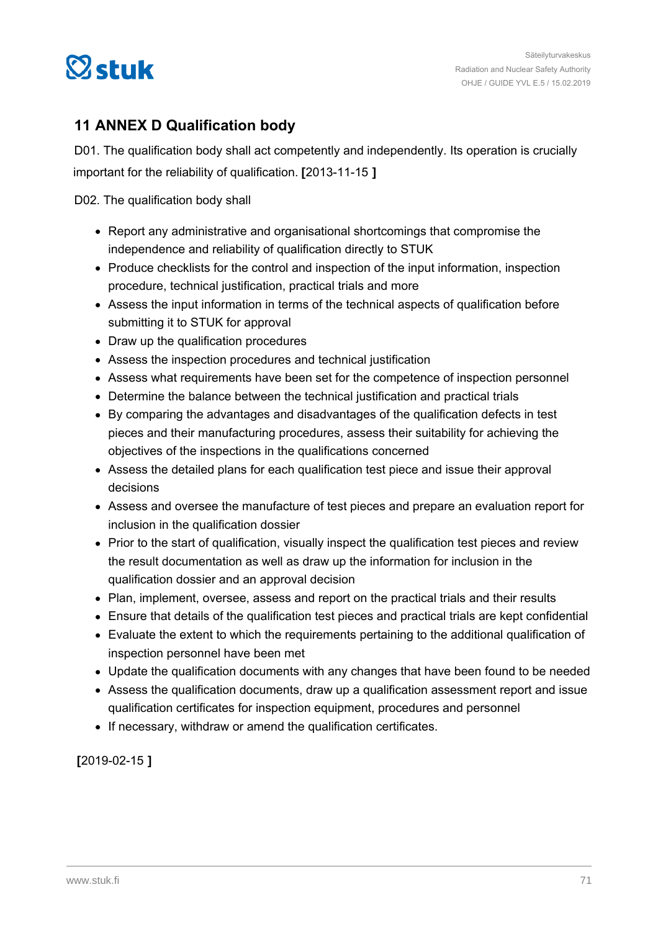

# **11 ANNEX D Qualification body**

D01. The qualification body shall act competently and independently. Its operation is crucially important for the reliability of qualification. **[**2013-11-15 **]**

D02. The qualification body shall

- Report any administrative and organisational shortcomings that compromise the independence and reliability of qualification directly to STUK
- Produce checklists for the control and inspection of the input information, inspection procedure, technical justification, practical trials and more
- Assess the input information in terms of the technical aspects of qualification before submitting it to STUK for approval
- Draw up the qualification procedures
- Assess the inspection procedures and technical justification
- Assess what requirements have been set for the competence of inspection personnel
- Determine the balance between the technical justification and practical trials
- By comparing the advantages and disadvantages of the qualification defects in test pieces and their manufacturing procedures, assess their suitability for achieving the objectives of the inspections in the qualifications concerned
- Assess the detailed plans for each qualification test piece and issue their approval decisions
- Assess and oversee the manufacture of test pieces and prepare an evaluation report for inclusion in the qualification dossier
- Prior to the start of qualification, visually inspect the qualification test pieces and review the result documentation as well as draw up the information for inclusion in the qualification dossier and an approval decision
- Plan, implement, oversee, assess and report on the practical trials and their results
- Ensure that details of the qualification test pieces and practical trials are kept confidential
- Evaluate the extent to which the requirements pertaining to the additional qualification of inspection personnel have been met
- Update the qualification documents with any changes that have been found to be needed
- Assess the qualification documents, draw up a qualification assessment report and issue qualification certificates for inspection equipment, procedures and personnel
- If necessary, withdraw or amend the qualification certificates.

**[**2019-02-15 **]**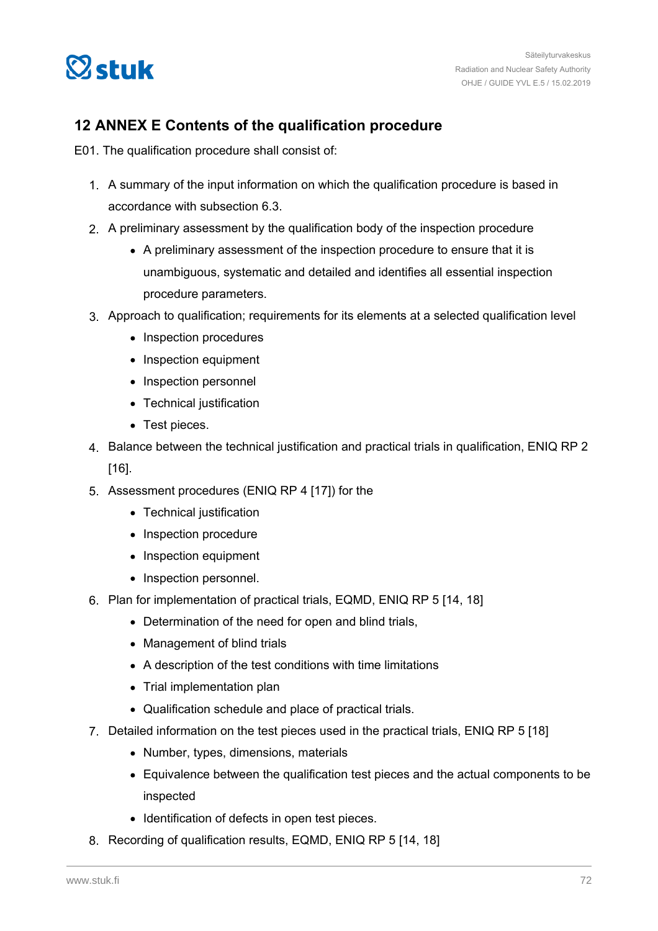

# **12 ANNEX E Contents of the qualification procedure**

E01. The qualification procedure shall consist of:

- 1. A summary of the input information on which the qualification procedure is based in accordance with subsection 6.3.
- 2. A preliminary assessment by the qualification body of the inspection procedure
	- A preliminary assessment of the inspection procedure to ensure that it is unambiguous, systematic and detailed and identifies all essential inspection procedure parameters.
- 3. Approach to qualification; requirements for its elements at a selected qualification level
	- Inspection procedures
	- Inspection equipment
	- Inspection personnel
	- Technical justification
	- Test pieces.
- 4. Balance between the technical justification and practical trials in qualification, ENIQ RP 2 [16].
- 5. Assessment procedures (ENIQ RP 4 [17]) for the
	- Technical justification
	- Inspection procedure
	- Inspection equipment
	- Inspection personnel.
- 6. Plan for implementation of practical trials, EQMD, ENIQ RP 5 [14, 18]
	- Determination of the need for open and blind trials,
	- Management of blind trials
	- A description of the test conditions with time limitations
	- Trial implementation plan
	- Qualification schedule and place of practical trials.
- 7. Detailed information on the test pieces used in the practical trials, ENIQ RP 5 [18]
	- Number, types, dimensions, materials
	- Equivalence between the qualification test pieces and the actual components to be inspected
	- Identification of defects in open test pieces.
- 8. Recording of qualification results, EQMD, ENIQ RP 5 [14, 18]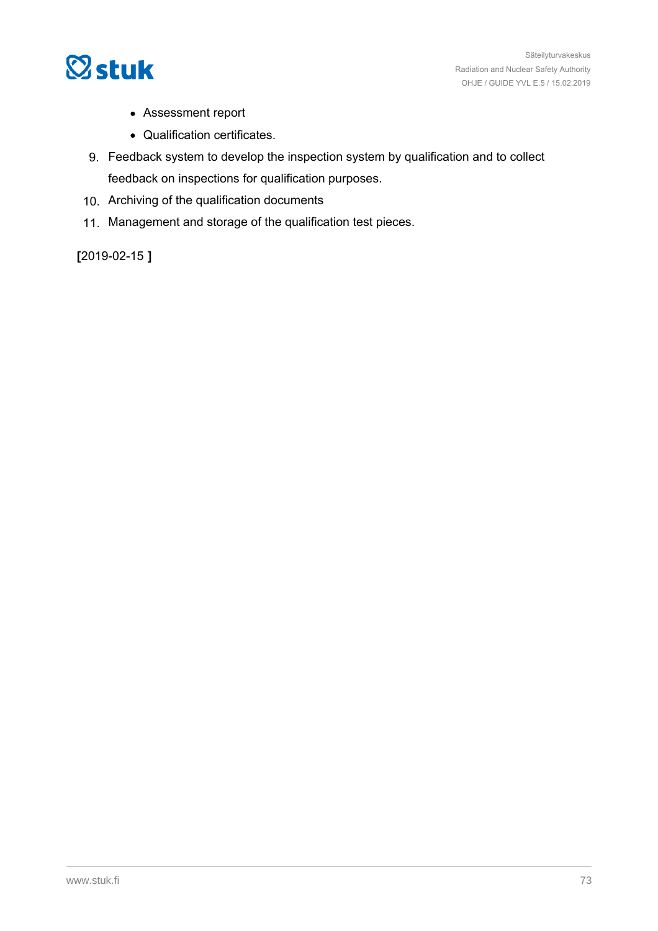

- Assessment report
- Qualification certificates.
- 9. Feedback system to develop the inspection system by qualification and to collect feedback on inspections for qualification purposes.
- 10. Archiving of the qualification documents
- 11. Management and storage of the qualification test pieces.

**[**2019-02-15 **]**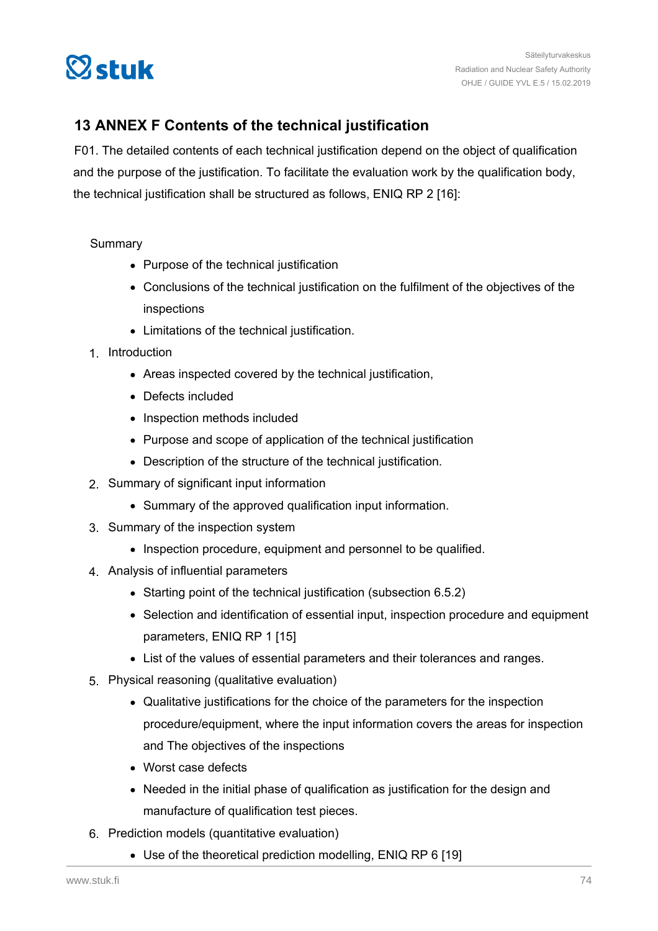

# **13 ANNEX F Contents of the technical justification**

F01. The detailed contents of each technical justification depend on the object of qualification and the purpose of the justification. To facilitate the evaluation work by the qualification body, the technical justification shall be structured as follows, ENIQ RP 2 [16]:

## Summary

- Purpose of the technical justification
- Conclusions of the technical justification on the fulfilment of the objectives of the inspections
- Limitations of the technical justification.
- 1. Introduction
	- Areas inspected covered by the technical justification,
	- Defects included
	- Inspection methods included
	- Purpose and scope of application of the technical justification
	- Description of the structure of the technical justification.
- 2. Summary of significant input information
	- Summary of the approved qualification input information.
- 3. Summary of the inspection system
	- Inspection procedure, equipment and personnel to be qualified.
- 4. Analysis of influential parameters
	- Starting point of the technical justification (subsection 6.5.2)
	- Selection and identification of essential input, inspection procedure and equipment parameters, ENIQ RP 1 [15]
	- List of the values of essential parameters and their tolerances and ranges.
- 5. Physical reasoning (qualitative evaluation)
	- Qualitative justifications for the choice of the parameters for the inspection procedure/equipment, where the input information covers the areas for inspection and The objectives of the inspections
	- Worst case defects
	- Needed in the initial phase of qualification as justification for the design and manufacture of qualification test pieces.
- 6. Prediction models (quantitative evaluation)
	- Use of the theoretical prediction modelling, ENIQ RP 6 [19]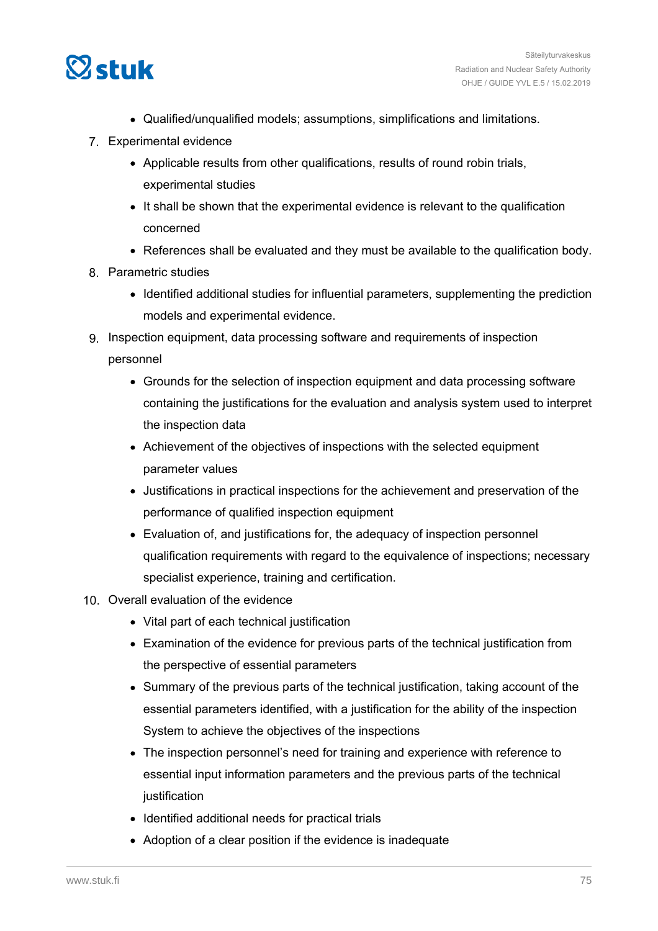

- Qualified/unqualified models; assumptions, simplifications and limitations.
- 7. Experimental evidence
	- Applicable results from other qualifications, results of round robin trials, experimental studies
	- It shall be shown that the experimental evidence is relevant to the qualification concerned
	- References shall be evaluated and they must be available to the qualification body.
- 8. Parametric studies
	- Identified additional studies for influential parameters, supplementing the prediction models and experimental evidence.
- 9. Inspection equipment, data processing software and requirements of inspection personnel
	- Grounds for the selection of inspection equipment and data processing software containing the justifications for the evaluation and analysis system used to interpret the inspection data
	- Achievement of the objectives of inspections with the selected equipment parameter values
	- Justifications in practical inspections for the achievement and preservation of the performance of qualified inspection equipment
	- Evaluation of, and justifications for, the adequacy of inspection personnel qualification requirements with regard to the equivalence of inspections; necessary specialist experience, training and certification.
- 10. Overall evaluation of the evidence
	- Vital part of each technical justification
	- Examination of the evidence for previous parts of the technical justification from the perspective of essential parameters
	- Summary of the previous parts of the technical justification, taking account of the essential parameters identified, with a justification for the ability of the inspection System to achieve the objectives of the inspections
	- The inspection personnel's need for training and experience with reference to essential input information parameters and the previous parts of the technical justification
	- Identified additional needs for practical trials
	- Adoption of a clear position if the evidence is inadequate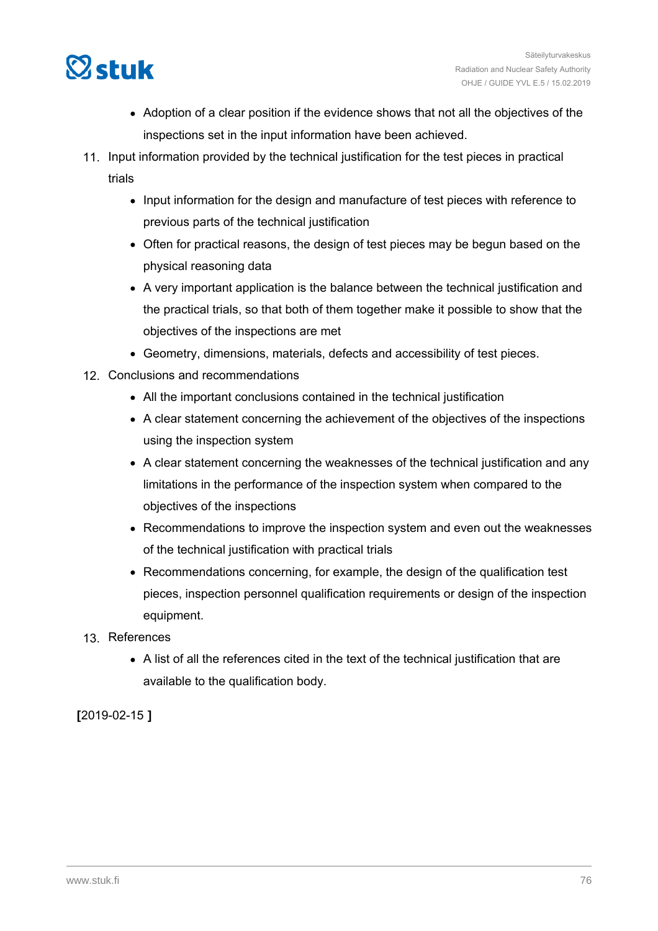

- Adoption of a clear position if the evidence shows that not all the objectives of the inspections set in the input information have been achieved.
- 11. Input information provided by the technical justification for the test pieces in practical trials
	- Input information for the design and manufacture of test pieces with reference to previous parts of the technical justification
	- Often for practical reasons, the design of test pieces may be begun based on the physical reasoning data
	- A very important application is the balance between the technical justification and the practical trials, so that both of them together make it possible to show that the objectives of the inspections are met
	- Geometry, dimensions, materials, defects and accessibility of test pieces.
- 12. Conclusions and recommendations
	- All the important conclusions contained in the technical justification
	- A clear statement concerning the achievement of the objectives of the inspections using the inspection system
	- A clear statement concerning the weaknesses of the technical justification and any limitations in the performance of the inspection system when compared to the objectives of the inspections
	- Recommendations to improve the inspection system and even out the weaknesses of the technical justification with practical trials
	- Recommendations concerning, for example, the design of the qualification test pieces, inspection personnel qualification requirements or design of the inspection equipment.
- 13. References
	- A list of all the references cited in the text of the technical justification that are available to the qualification body.

**[**2019-02-15 **]**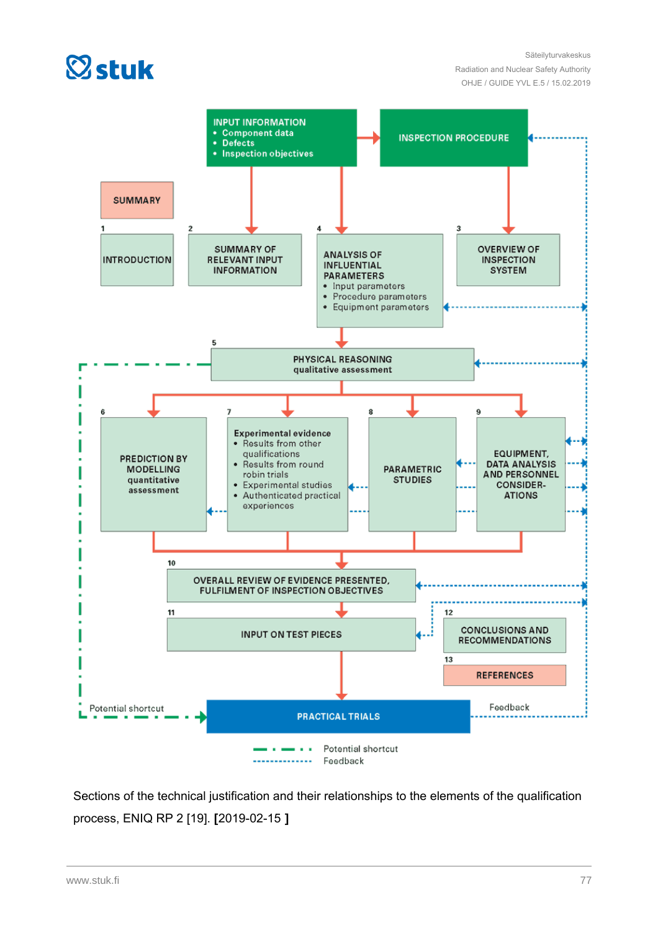

Säteilyturvakeskus Radiation and Nuclear Safety Authority OHJE / GUIDE YVL E.5 / 15.02.2019



Sections of the technical justification and their relationships to the elements of the qualification process, ENIQ RP 2 [19]. **[**2019-02-15 **]**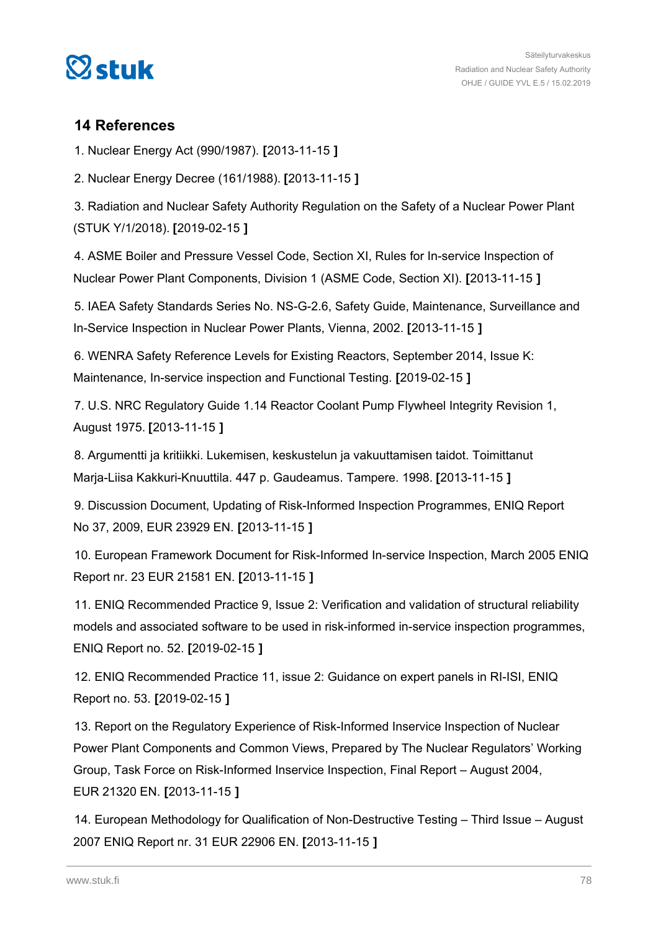

## **14 References**

1. Nuclear Energy Act (990/1987). **[**2013-11-15 **]**

2. Nuclear Energy Decree (161/1988). **[**2013-11-15 **]**

3. Radiation and Nuclear Safety Authority Regulation on the Safety of a Nuclear Power Plant (STUK Y/1/2018). **[**2019-02-15 **]**

4. ASME Boiler and Pressure Vessel Code, Section XI, Rules for In-service Inspection of Nuclear Power Plant Components, Division 1 (ASME Code, Section XI). **[**2013-11-15 **]**

5. IAEA Safety Standards Series No. NS-G-2.6, Safety Guide, Maintenance, Surveillance and In-Service Inspection in Nuclear Power Plants, Vienna, 2002. **[**2013-11-15 **]**

6. WENRA Safety Reference Levels for Existing Reactors, September 2014, Issue K: Maintenance, In-service inspection and Functional Testing. **[**2019-02-15 **]**

7. U.S. NRC Regulatory Guide 1.14 Reactor Coolant Pump Flywheel Integrity Revision 1, August 1975. **[**2013-11-15 **]**

8. Argumentti ja kritiikki. Lukemisen, keskustelun ja vakuuttamisen taidot. Toimittanut Marja-Liisa Kakkuri-Knuuttila. 447 p. Gaudeamus. Tampere. 1998. **[**2013-11-15 **]**

9. Discussion Document, Updating of Risk-Informed Inspection Programmes, ENIQ Report No 37, 2009, EUR 23929 EN. **[**2013-11-15 **]**

10. European Framework Document for Risk-Informed In-service Inspection, March 2005 ENIQ Report nr. 23 EUR 21581 EN. **[**2013-11-15 **]**

11. ENIQ Recommended Practice 9, Issue 2: Verification and validation of structural reliability models and associated software to be used in risk-informed in-service inspection programmes, ENIQ Report no. 52. **[**2019-02-15 **]**

12. ENIQ Recommended Practice 11, issue 2: Guidance on expert panels in RI-ISI, ENIQ Report no. 53. **[**2019-02-15 **]**

13. Report on the Regulatory Experience of Risk-Informed Inservice Inspection of Nuclear Power Plant Components and Common Views, Prepared by The Nuclear Regulators' Working Group, Task Force on Risk-Informed Inservice Inspection, Final Report – August 2004, EUR 21320 EN. **[**2013-11-15 **]**

14. European Methodology for Qualification of Non-Destructive Testing – Third Issue – August 2007 ENIQ Report nr. 31 EUR 22906 EN. **[**2013-11-15 **]**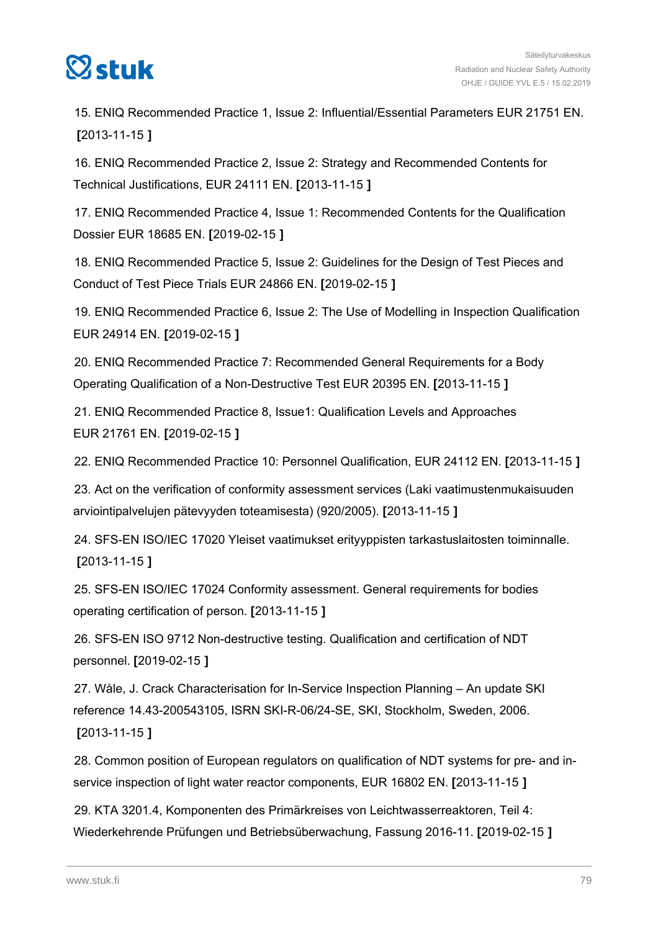

15. ENIQ Recommended Practice 1, Issue 2: Influential/Essential Parameters EUR 21751 EN. **[**2013-11-15 **]**

16. ENIQ Recommended Practice 2, Issue 2: Strategy and Recommended Contents for Technical Justifications, EUR 24111 EN. **[**2013-11-15 **]**

17. ENIQ Recommended Practice 4, Issue 1: Recommended Contents for the Qualification Dossier EUR 18685 EN. **[**2019-02-15 **]**

18. ENIQ Recommended Practice 5, Issue 2: Guidelines for the Design of Test Pieces and Conduct of Test Piece Trials EUR 24866 EN. **[**2019-02-15 **]**

19. ENIQ Recommended Practice 6, Issue 2: The Use of Modelling in Inspection Qualification EUR 24914 EN. **[**2019-02-15 **]**

20. ENIQ Recommended Practice 7: Recommended General Requirements for a Body Operating Qualification of a Non-Destructive Test EUR 20395 EN. **[**2013-11-15 **]**

21. ENIQ Recommended Practice 8, Issue1: Qualification Levels and Approaches EUR 21761 EN. **[**2019-02-15 **]**

22. ENIQ Recommended Practice 10: Personnel Qualification, EUR 24112 EN. **[**2013-11-15 **]**

23. Act on the verification of conformity assessment services (Laki vaatimustenmukaisuuden arviointipalvelujen pätevyyden toteamisesta) (920/2005). **[**2013-11-15 **]**

24. SFS-EN ISO/IEC 17020 Yleiset vaatimukset erityyppisten tarkastuslaitosten toiminnalle. **[**2013-11-15 **]**

25. SFS-EN ISO/IEC 17024 Conformity assessment. General requirements for bodies operating certification of person. **[**2013-11-15 **]**

26. SFS-EN ISO 9712 Non-destructive testing. Qualification and certification of NDT personnel. **[**2019-02-15 **]**

27. Wåle, J. Crack Characterisation for In-Service Inspection Planning – An update SKI reference 14.43-200543105, ISRN SKI-R-06/24-SE, SKI, Stockholm, Sweden, 2006. **[**2013-11-15 **]**

28. Common position of European regulators on qualification of NDT systems for pre- and inservice inspection of light water reactor components, EUR 16802 EN. **[**2013-11-15 **]**

29. KTA 3201.4, Komponenten des Primärkreises von Leichtwasserreaktoren, Teil 4: Wiederkehrende Prüfungen und Betriebsüberwachung, Fassung 2016-11. **[**2019-02-15 **]**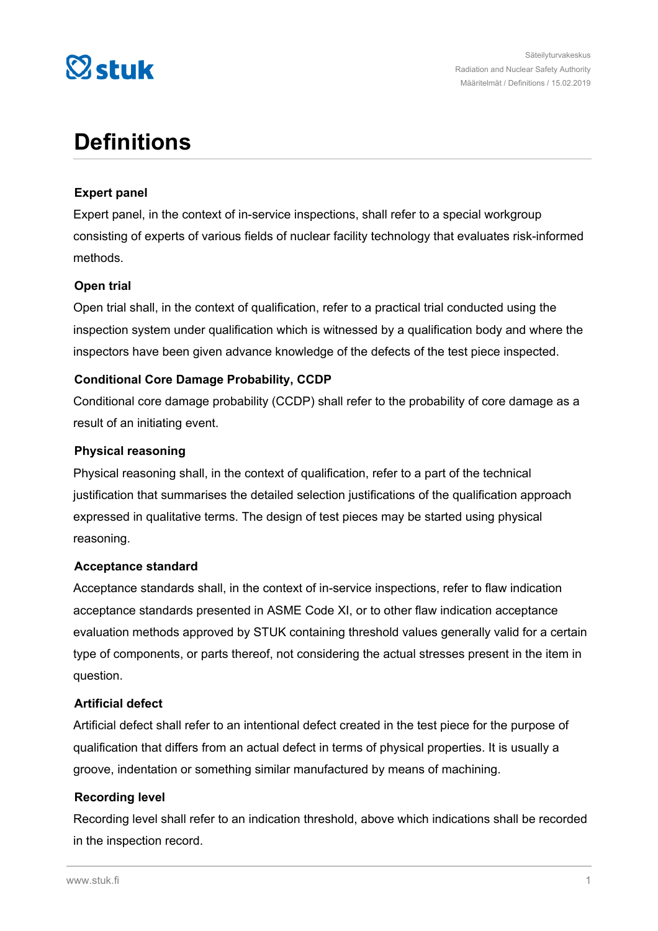

# **Definitions**

## **Expert panel**

Expert panel, in the context of in-service inspections, shall refer to a special workgroup consisting of experts of various fields of nuclear facility technology that evaluates risk-informed methods.

## **Open trial**

Open trial shall, in the context of qualification, refer to a practical trial conducted using the inspection system under qualification which is witnessed by a qualification body and where the inspectors have been given advance knowledge of the defects of the test piece inspected.

## **Conditional Core Damage Probability, CCDP**

Conditional core damage probability (CCDP) shall refer to the probability of core damage as a result of an initiating event.

## **Physical reasoning**

Physical reasoning shall, in the context of qualification, refer to a part of the technical justification that summarises the detailed selection justifications of the qualification approach expressed in qualitative terms. The design of test pieces may be started using physical reasoning.

#### **Acceptance standard**

Acceptance standards shall, in the context of in-service inspections, refer to flaw indication acceptance standards presented in ASME Code XI, or to other flaw indication acceptance evaluation methods approved by STUK containing threshold values generally valid for a certain type of components, or parts thereof, not considering the actual stresses present in the item in question.

#### **Artificial defect**

Artificial defect shall refer to an intentional defect created in the test piece for the purpose of qualification that differs from an actual defect in terms of physical properties. It is usually a groove, indentation or something similar manufactured by means of machining.

#### **Recording level**

Recording level shall refer to an indication threshold, above which indications shall be recorded in the inspection record.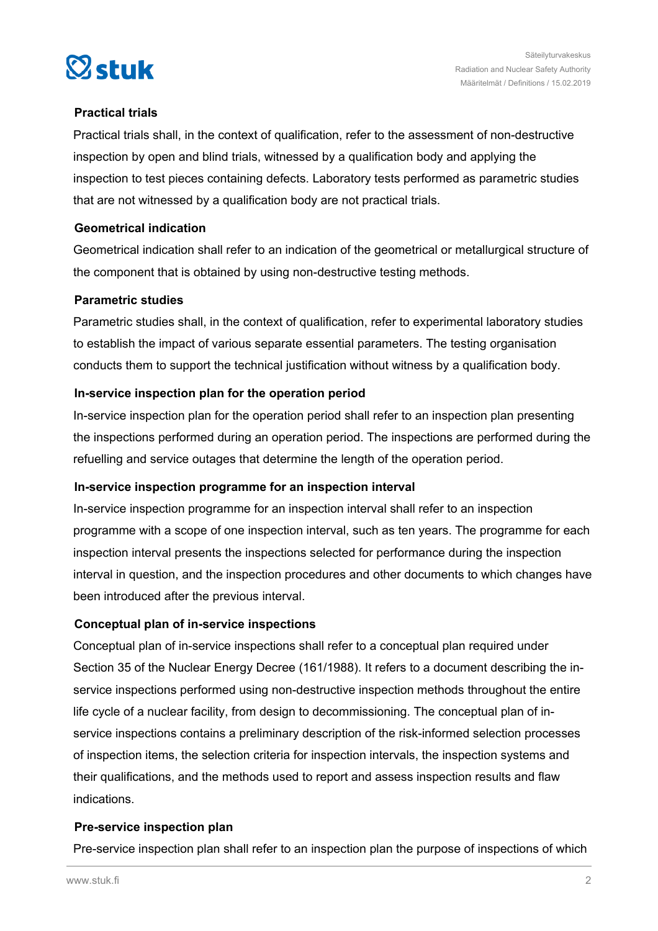



## **Practical trials**

Practical trials shall, in the context of qualification, refer to the assessment of non-destructive inspection by open and blind trials, witnessed by a qualification body and applying the inspection to test pieces containing defects. Laboratory tests performed as parametric studies that are not witnessed by a qualification body are not practical trials.

#### **Geometrical indication**

Geometrical indication shall refer to an indication of the geometrical or metallurgical structure of the component that is obtained by using non-destructive testing methods.

#### **Parametric studies**

Parametric studies shall, in the context of qualification, refer to experimental laboratory studies to establish the impact of various separate essential parameters. The testing organisation conducts them to support the technical justification without witness by a qualification body.

## **In-service inspection plan for the operation period**

In-service inspection plan for the operation period shall refer to an inspection plan presenting the inspections performed during an operation period. The inspections are performed during the refuelling and service outages that determine the length of the operation period.

## **In-service inspection programme for an inspection interval**

In-service inspection programme for an inspection interval shall refer to an inspection programme with a scope of one inspection interval, such as ten years. The programme for each inspection interval presents the inspections selected for performance during the inspection interval in question, and the inspection procedures and other documents to which changes have been introduced after the previous interval.

## **Conceptual plan of in-service inspections**

Conceptual plan of in-service inspections shall refer to a conceptual plan required under Section 35 of the Nuclear Energy Decree (161/1988). It refers to a document describing the inservice inspections performed using non-destructive inspection methods throughout the entire life cycle of a nuclear facility, from design to decommissioning. The conceptual plan of inservice inspections contains a preliminary description of the risk-informed selection processes of inspection items, the selection criteria for inspection intervals, the inspection systems and their qualifications, and the methods used to report and assess inspection results and flaw indications.

## **Pre-service inspection plan**

Pre-service inspection plan shall refer to an inspection plan the purpose of inspections of which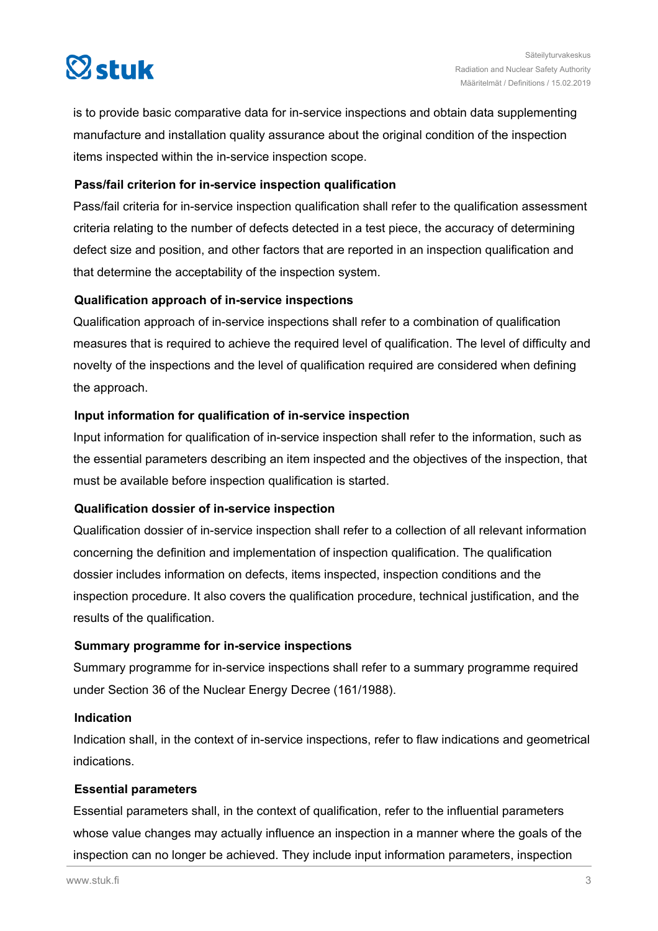

is to provide basic comparative data for in-service inspections and obtain data supplementing manufacture and installation quality assurance about the original condition of the inspection items inspected within the in-service inspection scope.

## **Pass/fail criterion for in-service inspection qualification**

Pass/fail criteria for in-service inspection qualification shall refer to the qualification assessment criteria relating to the number of defects detected in a test piece, the accuracy of determining defect size and position, and other factors that are reported in an inspection qualification and that determine the acceptability of the inspection system.

#### **Qualification approach of in-service inspections**

Qualification approach of in-service inspections shall refer to a combination of qualification measures that is required to achieve the required level of qualification. The level of difficulty and novelty of the inspections and the level of qualification required are considered when defining the approach.

## **Input information for qualification of in-service inspection**

Input information for qualification of in-service inspection shall refer to the information, such as the essential parameters describing an item inspected and the objectives of the inspection, that must be available before inspection qualification is started.

#### **Qualification dossier of in-service inspection**

Qualification dossier of in-service inspection shall refer to a collection of all relevant information concerning the definition and implementation of inspection qualification. The qualification dossier includes information on defects, items inspected, inspection conditions and the inspection procedure. It also covers the qualification procedure, technical justification, and the results of the qualification.

#### **Summary programme for in-service inspections**

Summary programme for in-service inspections shall refer to a summary programme required under Section 36 of the Nuclear Energy Decree (161/1988).

#### **Indication**

Indication shall, in the context of in-service inspections, refer to flaw indications and geometrical indications.

## **Essential parameters**

Essential parameters shall, in the context of qualification, refer to the influential parameters whose value changes may actually influence an inspection in a manner where the goals of the inspection can no longer be achieved. They include input information parameters, inspection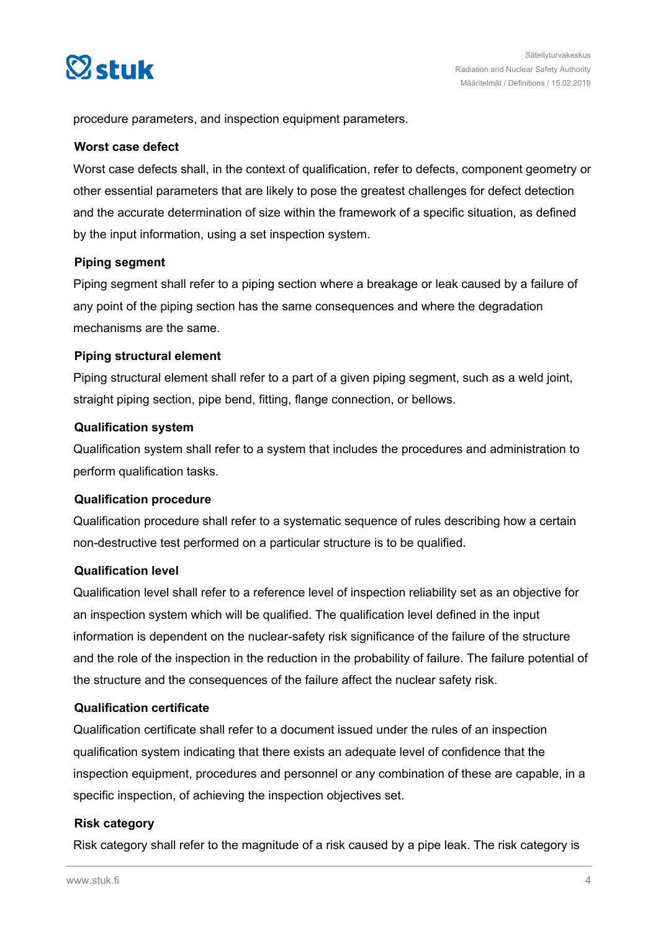

procedure parameters, and inspection equipment parameters.

#### **Worst case defect**

Worst case defects shall, in the context of qualification, refer to defects, component geometry or other essential parameters that are likely to pose the greatest challenges for defect detection and the accurate determination of size within the framework of a specific situation, as defined by the input information, using a set inspection system.

#### **Piping segment**

Piping segment shall refer to a piping section where a breakage or leak caused by a failure of any point of the piping section has the same consequences and where the degradation mechanisms are the same.

#### **Piping structural element**

Piping structural element shall refer to a part of a given piping segment, such as a weld joint, straight piping section, pipe bend, fitting, flange connection, or bellows.

#### **Qualification system**

Qualification system shall refer to a system that includes the procedures and administration to perform qualification tasks.

#### **Qualification procedure**

Qualification procedure shall refer to a systematic sequence of rules describing how a certain non-destructive test performed on a particular structure is to be qualified.

#### **Qualification level**

Qualification level shall refer to a reference level of inspection reliability set as an objective for an inspection system which will be qualified. The qualification level defined in the input information is dependent on the nuclear-safety risk significance of the failure of the structure and the role of the inspection in the reduction in the probability of failure. The failure potential of the structure and the consequences of the failure affect the nuclear safety risk.

#### **Qualification certificate**

Qualification certificate shall refer to a document issued under the rules of an inspection qualification system indicating that there exists an adequate level of confidence that the inspection equipment, procedures and personnel or any combination of these are capable, in a specific inspection, of achieving the inspection objectives set.

#### **Risk category**

Risk category shall refer to the magnitude of a risk caused by a pipe leak. The risk category is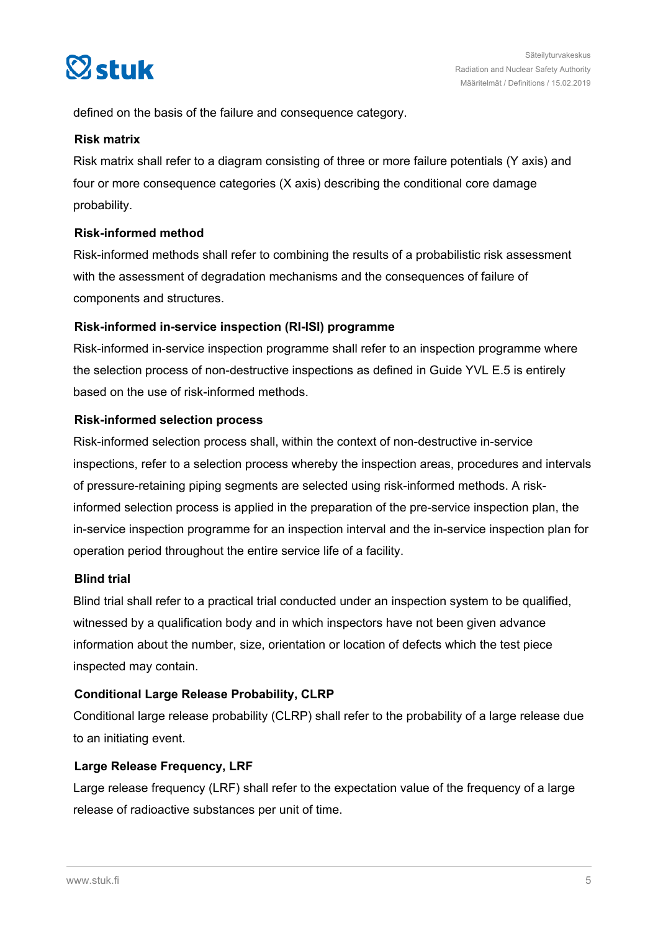

defined on the basis of the failure and consequence category.

#### **Risk matrix**

Risk matrix shall refer to a diagram consisting of three or more failure potentials (Y axis) and four or more consequence categories (X axis) describing the conditional core damage probability.

## **Risk-informed method**

Risk-informed methods shall refer to combining the results of a probabilistic risk assessment with the assessment of degradation mechanisms and the consequences of failure of components and structures.

## **Risk-informed in-service inspection (RI-ISI) programme**

Risk-informed in-service inspection programme shall refer to an inspection programme where the selection process of non-destructive inspections as defined in Guide YVL E.5 is entirely based on the use of risk-informed methods.

## **Risk-informed selection process**

Risk-informed selection process shall, within the context of non-destructive in-service inspections, refer to a selection process whereby the inspection areas, procedures and intervals of pressure-retaining piping segments are selected using risk-informed methods. A riskinformed selection process is applied in the preparation of the pre-service inspection plan, the in-service inspection programme for an inspection interval and the in-service inspection plan for operation period throughout the entire service life of a facility.

## **Blind trial**

Blind trial shall refer to a practical trial conducted under an inspection system to be qualified, witnessed by a qualification body and in which inspectors have not been given advance information about the number, size, orientation or location of defects which the test piece inspected may contain.

## **Conditional Large Release Probability, CLRP**

Conditional large release probability (CLRP) shall refer to the probability of a large release due to an initiating event.

## **Large Release Frequency, LRF**

Large release frequency (LRF) shall refer to the expectation value of the frequency of a large release of radioactive substances per unit of time.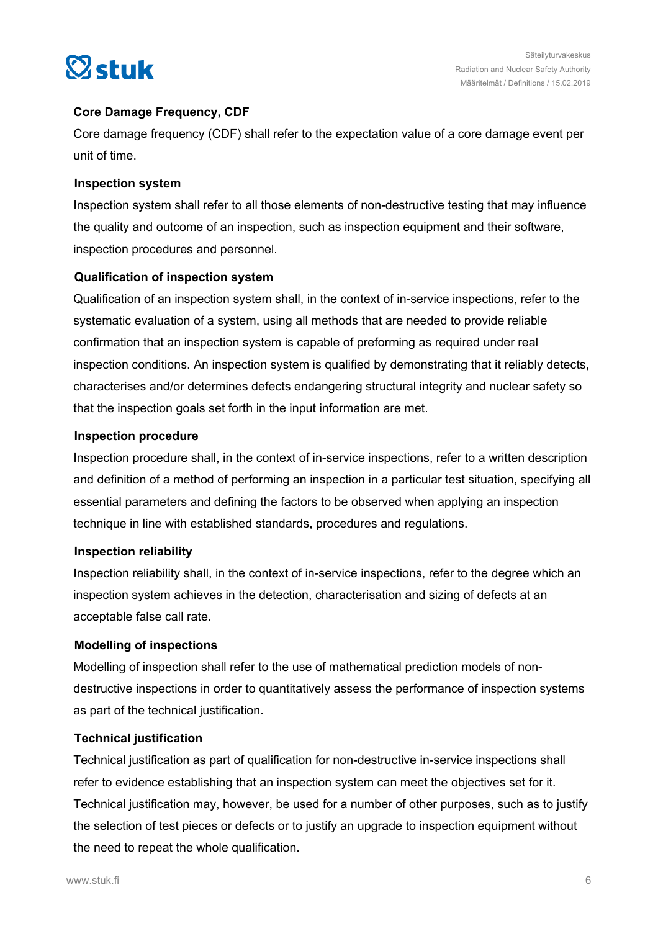

## **Core Damage Frequency, CDF**

Core damage frequency (CDF) shall refer to the expectation value of a core damage event per unit of time.

## **Inspection system**

Inspection system shall refer to all those elements of non-destructive testing that may influence the quality and outcome of an inspection, such as inspection equipment and their software, inspection procedures and personnel.

## **Qualification of inspection system**

Qualification of an inspection system shall, in the context of in-service inspections, refer to the systematic evaluation of a system, using all methods that are needed to provide reliable confirmation that an inspection system is capable of preforming as required under real inspection conditions. An inspection system is qualified by demonstrating that it reliably detects, characterises and/or determines defects endangering structural integrity and nuclear safety so that the inspection goals set forth in the input information are met.

## **Inspection procedure**

Inspection procedure shall, in the context of in-service inspections, refer to a written description and definition of a method of performing an inspection in a particular test situation, specifying all essential parameters and defining the factors to be observed when applying an inspection technique in line with established standards, procedures and regulations.

#### **Inspection reliability**

Inspection reliability shall, in the context of in-service inspections, refer to the degree which an inspection system achieves in the detection, characterisation and sizing of defects at an acceptable false call rate.

## **Modelling of inspections**

Modelling of inspection shall refer to the use of mathematical prediction models of nondestructive inspections in order to quantitatively assess the performance of inspection systems as part of the technical justification.

## **Technical justification**

Technical justification as part of qualification for non-destructive in-service inspections shall refer to evidence establishing that an inspection system can meet the objectives set for it. Technical justification may, however, be used for a number of other purposes, such as to justify the selection of test pieces or defects or to justify an upgrade to inspection equipment without the need to repeat the whole qualification.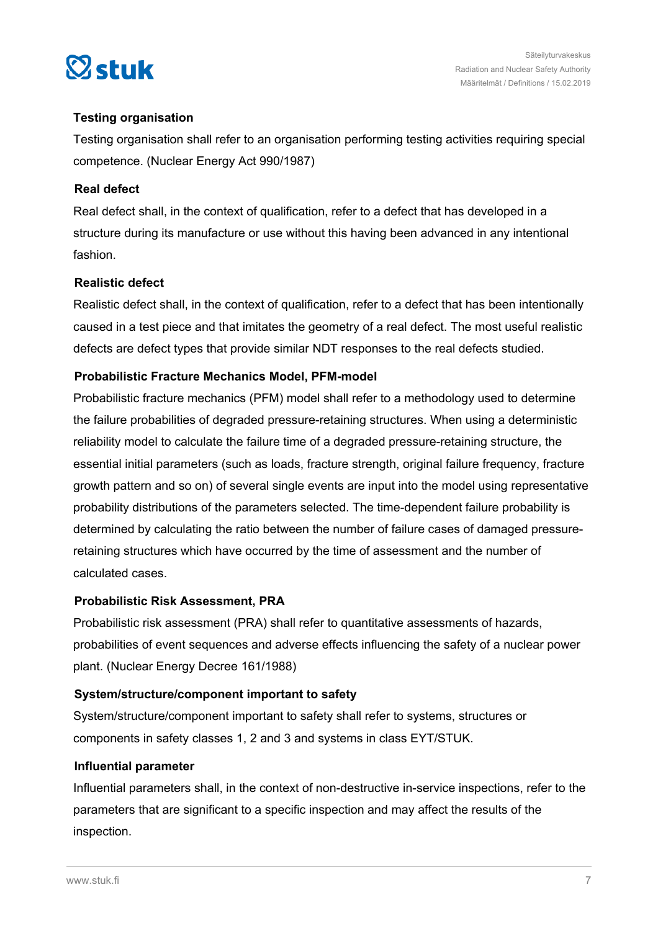

## **Testing organisation**

Testing organisation shall refer to an organisation performing testing activities requiring special competence. (Nuclear Energy Act 990/1987)

## **Real defect**

Real defect shall, in the context of qualification, refer to a defect that has developed in a structure during its manufacture or use without this having been advanced in any intentional fashion.

## **Realistic defect**

Realistic defect shall, in the context of qualification, refer to a defect that has been intentionally caused in a test piece and that imitates the geometry of a real defect. The most useful realistic defects are defect types that provide similar NDT responses to the real defects studied.

## **Probabilistic Fracture Mechanics Model, PFM-model**

Probabilistic fracture mechanics (PFM) model shall refer to a methodology used to determine the failure probabilities of degraded pressure-retaining structures. When using a deterministic reliability model to calculate the failure time of a degraded pressure-retaining structure, the essential initial parameters (such as loads, fracture strength, original failure frequency, fracture growth pattern and so on) of several single events are input into the model using representative probability distributions of the parameters selected. The time-dependent failure probability is determined by calculating the ratio between the number of failure cases of damaged pressureretaining structures which have occurred by the time of assessment and the number of calculated cases.

#### **Probabilistic Risk Assessment, PRA**

Probabilistic risk assessment (PRA) shall refer to quantitative assessments of hazards, probabilities of event sequences and adverse effects influencing the safety of a nuclear power plant. (Nuclear Energy Decree 161/1988)

#### **System/structure/component important to safety**

System/structure/component important to safety shall refer to systems, structures or components in safety classes 1, 2 and 3 and systems in class EYT/STUK.

#### **Influential parameter**

Influential parameters shall, in the context of non-destructive in-service inspections, refer to the parameters that are significant to a specific inspection and may affect the results of the inspection.